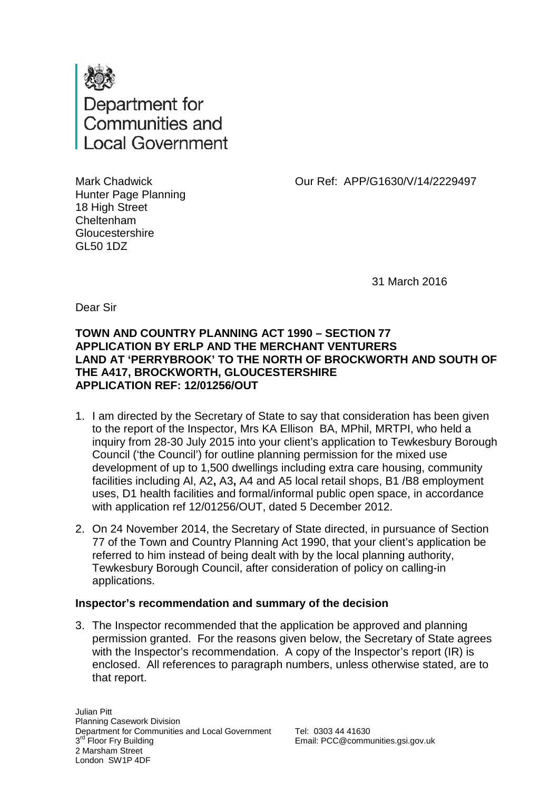

Our Ref: APP/G1630/V/14/2229497

Mark Chadwick Hunter Page Planning 18 High Street Cheltenham **Gloucestershire** GL50 1DZ

31 March 2016

Dear Sir

# **TOWN AND COUNTRY PLANNING ACT 1990 – SECTION 77 APPLICATION BY ERLP AND THE MERCHANT VENTURERS LAND AT 'PERRYBROOK' TO THE NORTH OF BROCKWORTH AND SOUTH OF THE A417, BROCKWORTH, GLOUCESTERSHIRE APPLICATION REF: 12/01256/OUT**

- 1. I am directed by the Secretary of State to say that consideration has been given to the report of the Inspector, Mrs KA Ellison BA, MPhil, MRTPI, who held a inquiry from 28-30 July 2015 into your client's application to Tewkesbury Borough Council ('the Council') for outline planning permission for the mixed use development of up to 1,500 dwellings including extra care housing, community facilities including Al, A2**,** A3**,** A4 and A5 local retail shops, B1 /B8 employment uses, D1 health facilities and formal/informal public open space, in accordance with application ref 12/01256/OUT, dated 5 December 2012.
- 2. On 24 November 2014, the Secretary of State directed, in pursuance of Section 77 of the Town and Country Planning Act 1990, that your client's application be referred to him instead of being dealt with by the local planning authority, Tewkesbury Borough Council, after consideration of policy on calling-in applications.

# **Inspector's recommendation and summary of the decision**

3. The Inspector recommended that the application be approved and planning permission granted. For the reasons given below, the Secretary of State agrees with the Inspector's recommendation. A copy of the Inspector's report (IR) is enclosed. All references to paragraph numbers, unless otherwise stated, are to that report.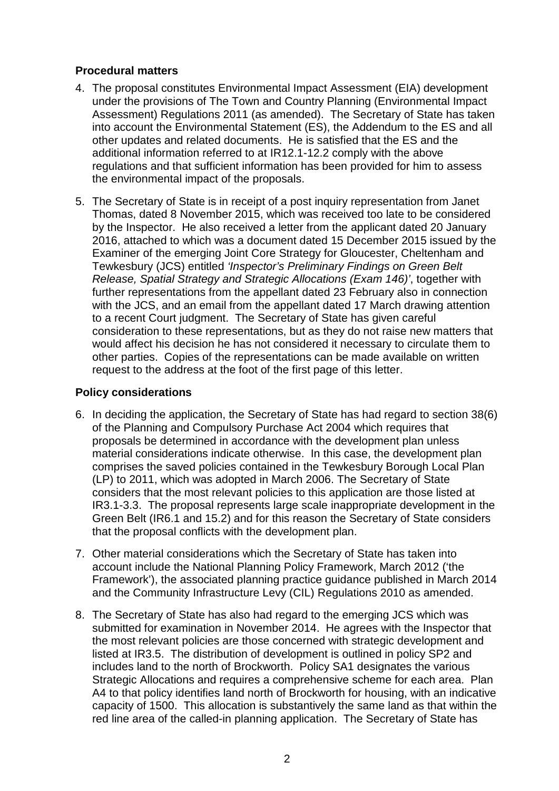# **Procedural matters**

- 4. The proposal constitutes Environmental Impact Assessment (EIA) development under the provisions of The Town and Country Planning (Environmental Impact Assessment) Regulations 2011 (as amended). The Secretary of State has taken into account the Environmental Statement (ES), the Addendum to the ES and all other updates and related documents. He is satisfied that the ES and the additional information referred to at IR12.1-12.2 comply with the above regulations and that sufficient information has been provided for him to assess the environmental impact of the proposals.
- 5. The Secretary of State is in receipt of a post inquiry representation from Janet Thomas, dated 8 November 2015, which was received too late to be considered by the Inspector. He also received a letter from the applicant dated 20 January 2016, attached to which was a document dated 15 December 2015 issued by the Examiner of the emerging Joint Core Strategy for Gloucester, Cheltenham and Tewkesbury (JCS) entitled *'Inspector's Preliminary Findings on Green Belt Release, Spatial Strategy and Strategic Allocations (Exam 146)'*, together with further representations from the appellant dated 23 February also in connection with the JCS, and an email from the appellant dated 17 March drawing attention to a recent Court judgment. The Secretary of State has given careful consideration to these representations, but as they do not raise new matters that would affect his decision he has not considered it necessary to circulate them to other parties. Copies of the representations can be made available on written request to the address at the foot of the first page of this letter.

# **Policy considerations**

- 6. In deciding the application, the Secretary of State has had regard to section 38(6) of the Planning and Compulsory Purchase Act 2004 which requires that proposals be determined in accordance with the development plan unless material considerations indicate otherwise. In this case, the development plan comprises the saved policies contained in the Tewkesbury Borough Local Plan (LP) to 2011, which was adopted in March 2006. The Secretary of State considers that the most relevant policies to this application are those listed at IR3.1-3.3. The proposal represents large scale inappropriate development in the Green Belt (IR6.1 and 15.2) and for this reason the Secretary of State considers that the proposal conflicts with the development plan.
- 7. Other material considerations which the Secretary of State has taken into account include the National Planning Policy Framework, March 2012 ('the Framework'), the associated planning practice guidance published in March 2014 and the Community Infrastructure Levy (CIL) Regulations 2010 as amended.
- 8. The Secretary of State has also had regard to the emerging JCS which was submitted for examination in November 2014. He agrees with the Inspector that the most relevant policies are those concerned with strategic development and listed at IR3.5. The distribution of development is outlined in policy SP2 and includes land to the north of Brockworth. Policy SA1 designates the various Strategic Allocations and requires a comprehensive scheme for each area. Plan A4 to that policy identifies land north of Brockworth for housing, with an indicative capacity of 1500. This allocation is substantively the same land as that within the red line area of the called-in planning application. The Secretary of State has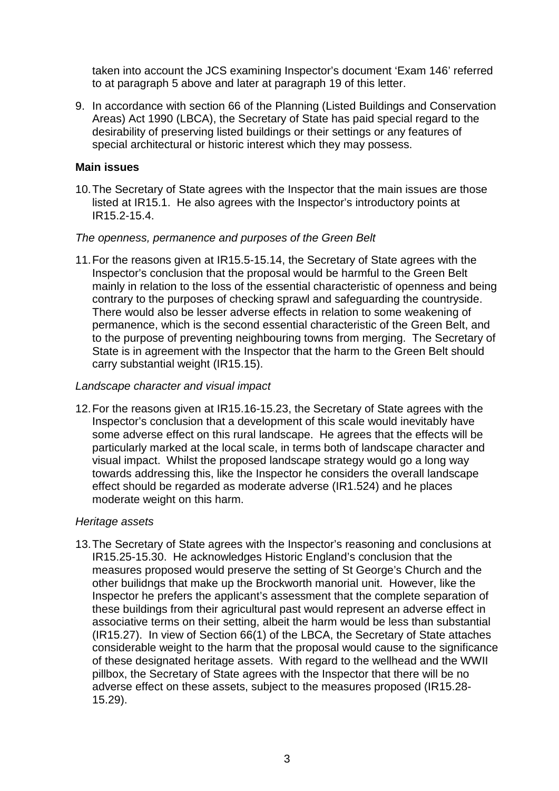taken into account the JCS examining Inspector's document 'Exam 146' referred to at paragraph 5 above and later at paragraph 19 of this letter.

9. In accordance with section 66 of the Planning (Listed Buildings and Conservation Areas) Act 1990 (LBCA), the Secretary of State has paid special regard to the desirability of preserving listed buildings or their settings or any features of special architectural or historic interest which they may possess.

## **Main issues**

10.The Secretary of State agrees with the Inspector that the main issues are those listed at IR15.1. He also agrees with the Inspector's introductory points at IR15.2-15.4.

## *The openness, permanence and purposes of the Green Belt*

11.For the reasons given at IR15.5-15.14, the Secretary of State agrees with the Inspector's conclusion that the proposal would be harmful to the Green Belt mainly in relation to the loss of the essential characteristic of openness and being contrary to the purposes of checking sprawl and safeguarding the countryside. There would also be lesser adverse effects in relation to some weakening of permanence, which is the second essential characteristic of the Green Belt, and to the purpose of preventing neighbouring towns from merging. The Secretary of State is in agreement with the Inspector that the harm to the Green Belt should carry substantial weight (IR15.15).

## *Landscape character and visual impact*

12.For the reasons given at IR15.16-15.23, the Secretary of State agrees with the Inspector's conclusion that a development of this scale would inevitably have some adverse effect on this rural landscape. He agrees that the effects will be particularly marked at the local scale, in terms both of landscape character and visual impact. Whilst the proposed landscape strategy would go a long way towards addressing this, like the Inspector he considers the overall landscape effect should be regarded as moderate adverse (IR1.524) and he places moderate weight on this harm.

#### *Heritage assets*

13.The Secretary of State agrees with the Inspector's reasoning and conclusions at IR15.25-15.30. He acknowledges Historic England's conclusion that the measures proposed would preserve the setting of St George's Church and the other builidngs that make up the Brockworth manorial unit. However, like the Inspector he prefers the applicant's assessment that the complete separation of these buildings from their agricultural past would represent an adverse effect in associative terms on their setting, albeit the harm would be less than substantial (IR15.27). In view of Section 66(1) of the LBCA, the Secretary of State attaches considerable weight to the harm that the proposal would cause to the significance of these designated heritage assets. With regard to the wellhead and the WWII pillbox, the Secretary of State agrees with the Inspector that there will be no adverse effect on these assets, subject to the measures proposed (IR15.28- 15.29).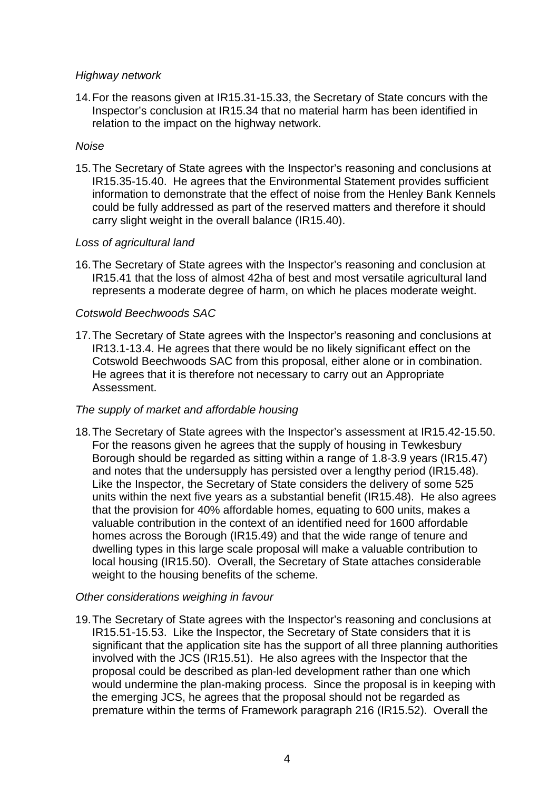# *Highway network*

14.For the reasons given at IR15.31-15.33, the Secretary of State concurs with the Inspector's conclusion at IR15.34 that no material harm has been identified in relation to the impact on the highway network.

# *Noise*

15.The Secretary of State agrees with the Inspector's reasoning and conclusions at IR15.35-15.40. He agrees that the Environmental Statement provides sufficient information to demonstrate that the effect of noise from the Henley Bank Kennels could be fully addressed as part of the reserved matters and therefore it should carry slight weight in the overall balance (IR15.40).

# *Loss of agricultural land*

16.The Secretary of State agrees with the Inspector's reasoning and conclusion at IR15.41 that the loss of almost 42ha of best and most versatile agricultural land represents a moderate degree of harm, on which he places moderate weight.

# *Cotswold Beechwoods SAC*

17.The Secretary of State agrees with the Inspector's reasoning and conclusions at IR13.1-13.4. He agrees that there would be no likely significant effect on the Cotswold Beechwoods SAC from this proposal, either alone or in combination. He agrees that it is therefore not necessary to carry out an Appropriate Assessment.

# *The supply of market and affordable housing*

18.The Secretary of State agrees with the Inspector's assessment at IR15.42-15.50. For the reasons given he agrees that the supply of housing in Tewkesbury Borough should be regarded as sitting within a range of 1.8-3.9 years (IR15.47) and notes that the undersupply has persisted over a lengthy period (IR15.48). Like the Inspector, the Secretary of State considers the delivery of some 525 units within the next five years as a substantial benefit (IR15.48). He also agrees that the provision for 40% affordable homes, equating to 600 units, makes a valuable contribution in the context of an identified need for 1600 affordable homes across the Borough (IR15.49) and that the wide range of tenure and dwelling types in this large scale proposal will make a valuable contribution to local housing (IR15.50). Overall, the Secretary of State attaches considerable weight to the housing benefits of the scheme.

# *Other considerations weighing in favour*

19.The Secretary of State agrees with the Inspector's reasoning and conclusions at IR15.51-15.53. Like the Inspector, the Secretary of State considers that it is significant that the application site has the support of all three planning authorities involved with the JCS (IR15.51). He also agrees with the Inspector that the proposal could be described as plan-led development rather than one which would undermine the plan-making process. Since the proposal is in keeping with the emerging JCS, he agrees that the proposal should not be regarded as premature within the terms of Framework paragraph 216 (IR15.52). Overall the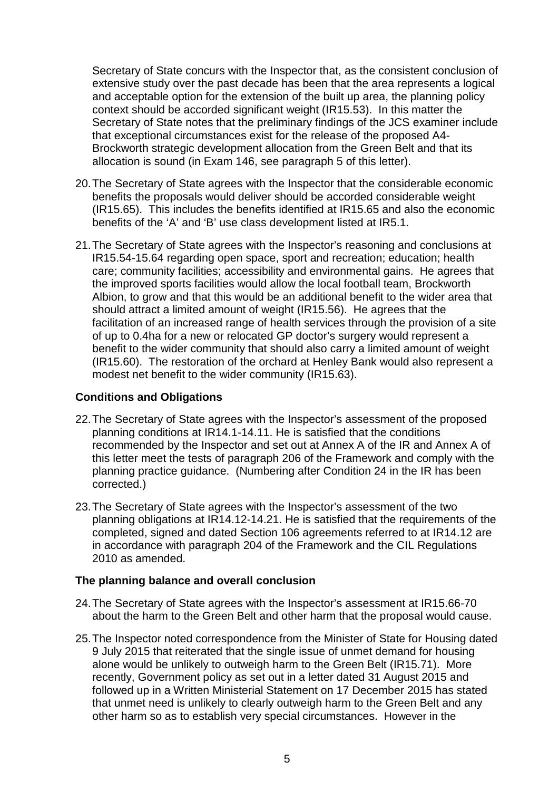Secretary of State concurs with the Inspector that, as the consistent conclusion of extensive study over the past decade has been that the area represents a logical and acceptable option for the extension of the built up area, the planning policy context should be accorded significant weight (IR15.53). In this matter the Secretary of State notes that the preliminary findings of the JCS examiner include that exceptional circumstances exist for the release of the proposed A4- Brockworth strategic development allocation from the Green Belt and that its allocation is sound (in Exam 146, see paragraph 5 of this letter).

- 20.The Secretary of State agrees with the Inspector that the considerable economic benefits the proposals would deliver should be accorded considerable weight (IR15.65). This includes the benefits identified at IR15.65 and also the economic benefits of the 'A' and 'B' use class development listed at IR5.1.
- 21.The Secretary of State agrees with the Inspector's reasoning and conclusions at IR15.54-15.64 regarding open space, sport and recreation; education; health care; community facilities; accessibility and environmental gains. He agrees that the improved sports facilities would allow the local football team, Brockworth Albion, to grow and that this would be an additional benefit to the wider area that should attract a limited amount of weight (IR15.56). He agrees that the facilitation of an increased range of health services through the provision of a site of up to 0.4ha for a new or relocated GP doctor's surgery would represent a benefit to the wider community that should also carry a limited amount of weight (IR15.60). The restoration of the orchard at Henley Bank would also represent a modest net benefit to the wider community (IR15.63).

# **Conditions and Obligations**

- 22.The Secretary of State agrees with the Inspector's assessment of the proposed planning conditions at IR14.1-14.11. He is satisfied that the conditions recommended by the Inspector and set out at Annex A of the IR and Annex A of this letter meet the tests of paragraph 206 of the Framework and comply with the planning practice guidance. (Numbering after Condition 24 in the IR has been corrected.)
- 23.The Secretary of State agrees with the Inspector's assessment of the two planning obligations at IR14.12-14.21. He is satisfied that the requirements of the completed, signed and dated Section 106 agreements referred to at IR14.12 are in accordance with paragraph 204 of the Framework and the CIL Regulations 2010 as amended.

# **The planning balance and overall conclusion**

- 24.The Secretary of State agrees with the Inspector's assessment at IR15.66-70 about the harm to the Green Belt and other harm that the proposal would cause.
- 25.The Inspector noted correspondence from the Minister of State for Housing dated 9 July 2015 that reiterated that the single issue of unmet demand for housing alone would be unlikely to outweigh harm to the Green Belt (IR15.71). More recently, Government policy as set out in a letter dated 31 August 2015 and followed up in a Written Ministerial Statement on 17 December 2015 has stated that unmet need is unlikely to clearly outweigh harm to the Green Belt and any other harm so as to establish very special circumstances. However in the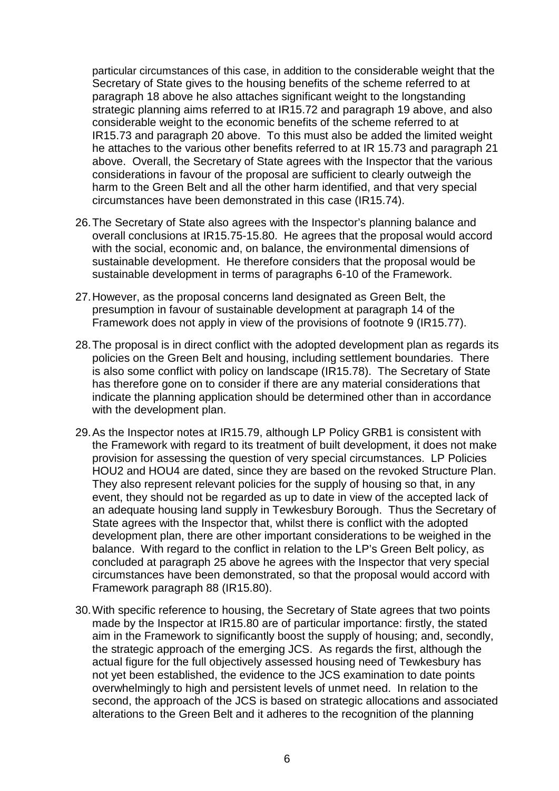particular circumstances of this case, in addition to the considerable weight that the Secretary of State gives to the housing benefits of the scheme referred to at paragraph 18 above he also attaches significant weight to the longstanding strategic planning aims referred to at IR15.72 and paragraph 19 above, and also considerable weight to the economic benefits of the scheme referred to at IR15.73 and paragraph 20 above. To this must also be added the limited weight he attaches to the various other benefits referred to at IR 15.73 and paragraph 21 above. Overall, the Secretary of State agrees with the Inspector that the various considerations in favour of the proposal are sufficient to clearly outweigh the harm to the Green Belt and all the other harm identified, and that very special circumstances have been demonstrated in this case (IR15.74).

- 26.The Secretary of State also agrees with the Inspector's planning balance and overall conclusions at IR15.75-15.80. He agrees that the proposal would accord with the social, economic and, on balance, the environmental dimensions of sustainable development. He therefore considers that the proposal would be sustainable development in terms of paragraphs 6-10 of the Framework.
- 27.However, as the proposal concerns land designated as Green Belt, the presumption in favour of sustainable development at paragraph 14 of the Framework does not apply in view of the provisions of footnote 9 (IR15.77).
- 28.The proposal is in direct conflict with the adopted development plan as regards its policies on the Green Belt and housing, including settlement boundaries. There is also some conflict with policy on landscape (IR15.78). The Secretary of State has therefore gone on to consider if there are any material considerations that indicate the planning application should be determined other than in accordance with the development plan.
- 29.As the Inspector notes at IR15.79, although LP Policy GRB1 is consistent with the Framework with regard to its treatment of built development, it does not make provision for assessing the question of very special circumstances. LP Policies HOU2 and HOU4 are dated, since they are based on the revoked Structure Plan. They also represent relevant policies for the supply of housing so that, in any event, they should not be regarded as up to date in view of the accepted lack of an adequate housing land supply in Tewkesbury Borough. Thus the Secretary of State agrees with the Inspector that, whilst there is conflict with the adopted development plan, there are other important considerations to be weighed in the balance. With regard to the conflict in relation to the LP's Green Belt policy, as concluded at paragraph 25 above he agrees with the Inspector that very special circumstances have been demonstrated, so that the proposal would accord with Framework paragraph 88 (IR15.80).
- 30.With specific reference to housing, the Secretary of State agrees that two points made by the Inspector at IR15.80 are of particular importance: firstly, the stated aim in the Framework to significantly boost the supply of housing; and, secondly, the strategic approach of the emerging JCS. As regards the first, although the actual figure for the full objectively assessed housing need of Tewkesbury has not yet been established, the evidence to the JCS examination to date points overwhelmingly to high and persistent levels of unmet need. In relation to the second, the approach of the JCS is based on strategic allocations and associated alterations to the Green Belt and it adheres to the recognition of the planning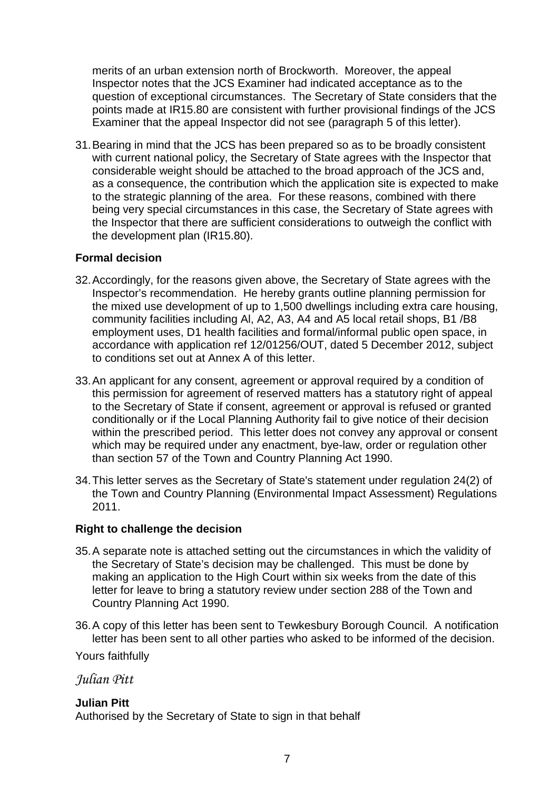merits of an urban extension north of Brockworth. Moreover, the appeal Inspector notes that the JCS Examiner had indicated acceptance as to the question of exceptional circumstances. The Secretary of State considers that the points made at IR15.80 are consistent with further provisional findings of the JCS Examiner that the appeal Inspector did not see (paragraph 5 of this letter).

31.Bearing in mind that the JCS has been prepared so as to be broadly consistent with current national policy, the Secretary of State agrees with the Inspector that considerable weight should be attached to the broad approach of the JCS and, as a consequence, the contribution which the application site is expected to make to the strategic planning of the area. For these reasons, combined with there being very special circumstances in this case, the Secretary of State agrees with the Inspector that there are sufficient considerations to outweigh the conflict with the development plan (IR15.80).

# **Formal decision**

- 32.Accordingly, for the reasons given above, the Secretary of State agrees with the Inspector's recommendation. He hereby grants outline planning permission for the mixed use development of up to 1,500 dwellings including extra care housing, community facilities including Al, A2, A3, A4 and A5 local retail shops, B1 /B8 employment uses, D1 health facilities and formal/informal public open space, in accordance with application ref 12/01256/OUT, dated 5 December 2012, subject to conditions set out at Annex A of this letter.
- 33.An applicant for any consent, agreement or approval required by a condition of this permission for agreement of reserved matters has a statutory right of appeal to the Secretary of State if consent, agreement or approval is refused or granted conditionally or if the Local Planning Authority fail to give notice of their decision within the prescribed period. This letter does not convey any approval or consent which may be required under any enactment, bye-law, order or regulation other than section 57 of the Town and Country Planning Act 1990.
- 34.This letter serves as the Secretary of State's statement under regulation 24(2) of the Town and Country Planning (Environmental Impact Assessment) Regulations 2011.

# **Right to challenge the decision**

- 35.A separate note is attached setting out the circumstances in which the validity of the Secretary of State's decision may be challenged. This must be done by making an application to the High Court within six weeks from the date of this letter for leave to bring a statutory review under section 288 of the Town and Country Planning Act 1990.
- 36.A copy of this letter has been sent to Tewkesbury Borough Council. A notification letter has been sent to all other parties who asked to be informed of the decision.

Yours faithfully

*Julian Pitt*

# **Julian Pitt**

Authorised by the Secretary of State to sign in that behalf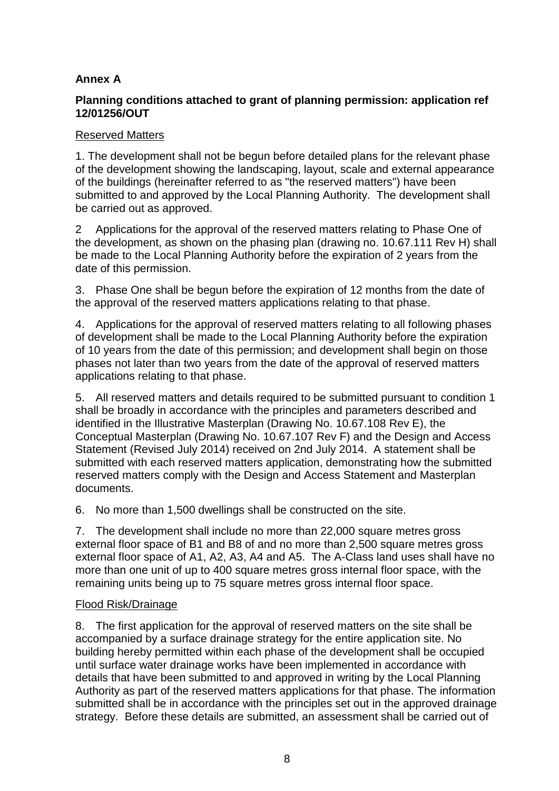# **Annex A**

# **Planning conditions attached to grant of planning permission: application ref 12/01256/OUT**

# Reserved Matters

1. The development shall not be begun before detailed plans for the relevant phase of the development showing the landscaping, layout, scale and external appearance of the buildings (hereinafter referred to as "the reserved matters") have been submitted to and approved by the Local Planning Authority. The development shall be carried out as approved.

2 Applications for the approval of the reserved matters relating to Phase One of the development, as shown on the phasing plan (drawing no. 10.67.111 Rev H) shall be made to the Local Planning Authority before the expiration of 2 years from the date of this permission.

3. Phase One shall be begun before the expiration of 12 months from the date of the approval of the reserved matters applications relating to that phase.

4. Applications for the approval of reserved matters relating to all following phases of development shall be made to the Local Planning Authority before the expiration of 10 years from the date of this permission; and development shall begin on those phases not later than two years from the date of the approval of reserved matters applications relating to that phase.

5. All reserved matters and details required to be submitted pursuant to condition 1 shall be broadly in accordance with the principles and parameters described and identified in the Illustrative Masterplan (Drawing No. 10.67.108 Rev E), the Conceptual Masterplan (Drawing No. 10.67.107 Rev F) and the Design and Access Statement (Revised July 2014) received on 2nd July 2014. A statement shall be submitted with each reserved matters application, demonstrating how the submitted reserved matters comply with the Design and Access Statement and Masterplan documents.

6. No more than 1,500 dwellings shall be constructed on the site.

7. The development shall include no more than 22,000 square metres gross external floor space of B1 and B8 of and no more than 2,500 square metres gross external floor space of A1, A2, A3, A4 and A5. The A-Class land uses shall have no more than one unit of up to 400 square metres gross internal floor space, with the remaining units being up to 75 square metres gross internal floor space.

# Flood Risk/Drainage

8. The first application for the approval of reserved matters on the site shall be accompanied by a surface drainage strategy for the entire application site. No building hereby permitted within each phase of the development shall be occupied until surface water drainage works have been implemented in accordance with details that have been submitted to and approved in writing by the Local Planning Authority as part of the reserved matters applications for that phase. The information submitted shall be in accordance with the principles set out in the approved drainage strategy. Before these details are submitted, an assessment shall be carried out of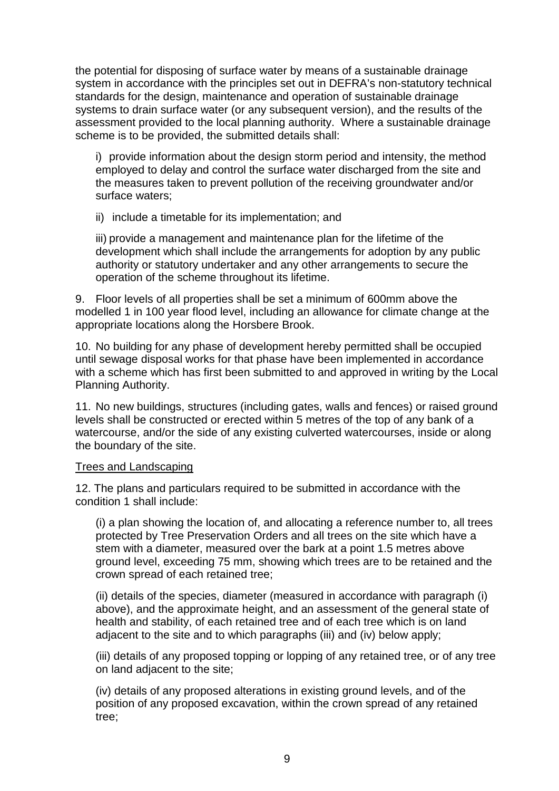the potential for disposing of surface water by means of a sustainable drainage system in accordance with the principles set out in DEFRA's non-statutory technical standards for the design, maintenance and operation of sustainable drainage systems to drain surface water (or any subsequent version), and the results of the assessment provided to the local planning authority. Where a sustainable drainage scheme is to be provided, the submitted details shall:

i) provide information about the design storm period and intensity, the method employed to delay and control the surface water discharged from the site and the measures taken to prevent pollution of the receiving groundwater and/or surface waters;

ii) include a timetable for its implementation; and

iii) provide a management and maintenance plan for the lifetime of the development which shall include the arrangements for adoption by any public authority or statutory undertaker and any other arrangements to secure the operation of the scheme throughout its lifetime.

9. Floor levels of all properties shall be set a minimum of 600mm above the modelled 1 in 100 year flood level, including an allowance for climate change at the appropriate locations along the Horsbere Brook.

10. No building for any phase of development hereby permitted shall be occupied until sewage disposal works for that phase have been implemented in accordance with a scheme which has first been submitted to and approved in writing by the Local Planning Authority.

11. No new buildings, structures (including gates, walls and fences) or raised ground levels shall be constructed or erected within 5 metres of the top of any bank of a watercourse, and/or the side of any existing culverted watercourses, inside or along the boundary of the site.

# Trees and Landscaping

12. The plans and particulars required to be submitted in accordance with the condition 1 shall include:

(i) a plan showing the location of, and allocating a reference number to, all trees protected by Tree Preservation Orders and all trees on the site which have a stem with a diameter, measured over the bark at a point 1.5 metres above ground level, exceeding 75 mm, showing which trees are to be retained and the crown spread of each retained tree;

(ii) details of the species, diameter (measured in accordance with paragraph (i) above), and the approximate height, and an assessment of the general state of health and stability, of each retained tree and of each tree which is on land adjacent to the site and to which paragraphs (iii) and (iv) below apply;

(iii) details of any proposed topping or lopping of any retained tree, or of any tree on land adjacent to the site;

(iv) details of any proposed alterations in existing ground levels, and of the position of any proposed excavation, within the crown spread of any retained tree;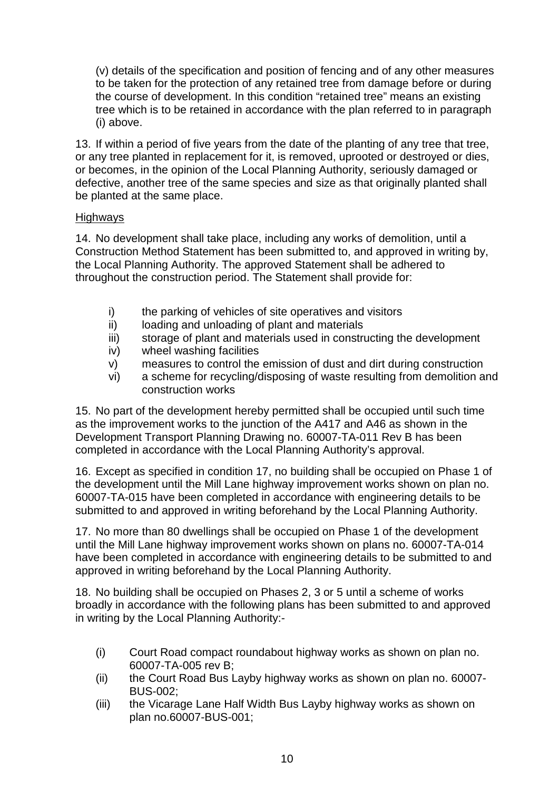(v) details of the specification and position of fencing and of any other measures to be taken for the protection of any retained tree from damage before or during the course of development. In this condition "retained tree" means an existing tree which is to be retained in accordance with the plan referred to in paragraph (i) above.

13. If within a period of five years from the date of the planting of any tree that tree, or any tree planted in replacement for it, is removed, uprooted or destroyed or dies, or becomes, in the opinion of the Local Planning Authority, seriously damaged or defective, another tree of the same species and size as that originally planted shall be planted at the same place.

# Highways

14. No development shall take place, including any works of demolition, until a Construction Method Statement has been submitted to, and approved in writing by, the Local Planning Authority. The approved Statement shall be adhered to throughout the construction period. The Statement shall provide for:

- i) the parking of vehicles of site operatives and visitors
- ii) loading and unloading of plant and materials
- iii) storage of plant and materials used in constructing the development
- iv) wheel washing facilities
- v) measures to control the emission of dust and dirt during construction
- vi) a scheme for recycling/disposing of waste resulting from demolition and construction works

15. No part of the development hereby permitted shall be occupied until such time as the improvement works to the junction of the A417 and A46 as shown in the Development Transport Planning Drawing no. 60007-TA-011 Rev B has been completed in accordance with the Local Planning Authority's approval.

16. Except as specified in condition 17, no building shall be occupied on Phase 1 of the development until the Mill Lane highway improvement works shown on plan no. 60007-TA-015 have been completed in accordance with engineering details to be submitted to and approved in writing beforehand by the Local Planning Authority.

17. No more than 80 dwellings shall be occupied on Phase 1 of the development until the Mill Lane highway improvement works shown on plans no. 60007-TA-014 have been completed in accordance with engineering details to be submitted to and approved in writing beforehand by the Local Planning Authority.

18. No building shall be occupied on Phases 2, 3 or 5 until a scheme of works broadly in accordance with the following plans has been submitted to and approved in writing by the Local Planning Authority:-

- (i) Court Road compact roundabout highway works as shown on plan no. 60007-TA-005 rev B;
- (ii) the Court Road Bus Layby highway works as shown on plan no. 60007- BUS-002;
- (iii) the Vicarage Lane Half Width Bus Layby highway works as shown on plan no.60007-BUS-001;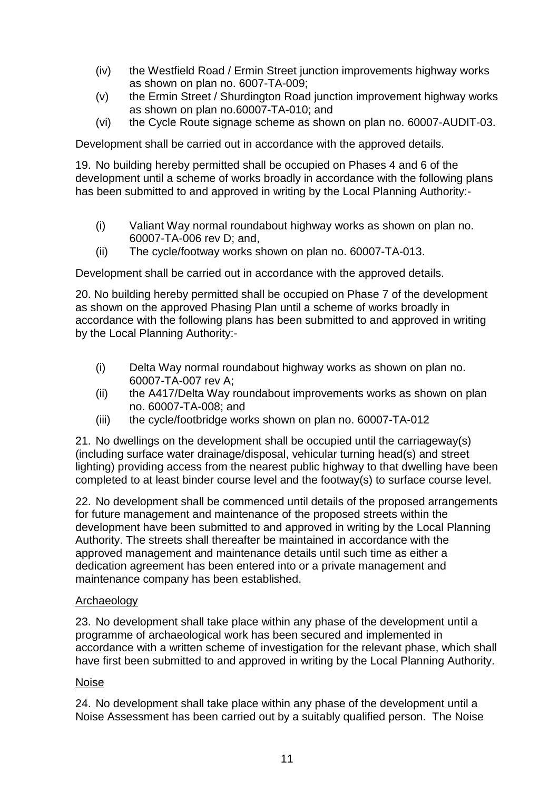- (iv) the Westfield Road / Ermin Street junction improvements highway works as shown on plan no. 6007-TA-009;
- (v) the Ermin Street / Shurdington Road junction improvement highway works as shown on plan no.60007-TA-010; and
- (vi) the Cycle Route signage scheme as shown on plan no. 60007-AUDIT-03.

Development shall be carried out in accordance with the approved details.

19. No building hereby permitted shall be occupied on Phases 4 and 6 of the development until a scheme of works broadly in accordance with the following plans has been submitted to and approved in writing by the Local Planning Authority:-

- (i) Valiant Way normal roundabout highway works as shown on plan no. 60007-TA-006 rev D; and,
- (ii) The cycle/footway works shown on plan no. 60007-TA-013.

Development shall be carried out in accordance with the approved details.

20. No building hereby permitted shall be occupied on Phase 7 of the development as shown on the approved Phasing Plan until a scheme of works broadly in accordance with the following plans has been submitted to and approved in writing by the Local Planning Authority:-

- (i) Delta Way normal roundabout highway works as shown on plan no. 60007-TA-007 rev A;
- (ii) the A417/Delta Way roundabout improvements works as shown on plan no. 60007-TA-008; and
- (iii) the cycle/footbridge works shown on plan no. 60007-TA-012

21. No dwellings on the development shall be occupied until the carriageway(s) (including surface water drainage/disposal, vehicular turning head(s) and street lighting) providing access from the nearest public highway to that dwelling have been completed to at least binder course level and the footway(s) to surface course level.

22. No development shall be commenced until details of the proposed arrangements for future management and maintenance of the proposed streets within the development have been submitted to and approved in writing by the Local Planning Authority. The streets shall thereafter be maintained in accordance with the approved management and maintenance details until such time as either a dedication agreement has been entered into or a private management and maintenance company has been established.

# Archaeology

23. No development shall take place within any phase of the development until a programme of archaeological work has been secured and implemented in accordance with a written scheme of investigation for the relevant phase, which shall have first been submitted to and approved in writing by the Local Planning Authority.

# Noise

24. No development shall take place within any phase of the development until a Noise Assessment has been carried out by a suitably qualified person. The Noise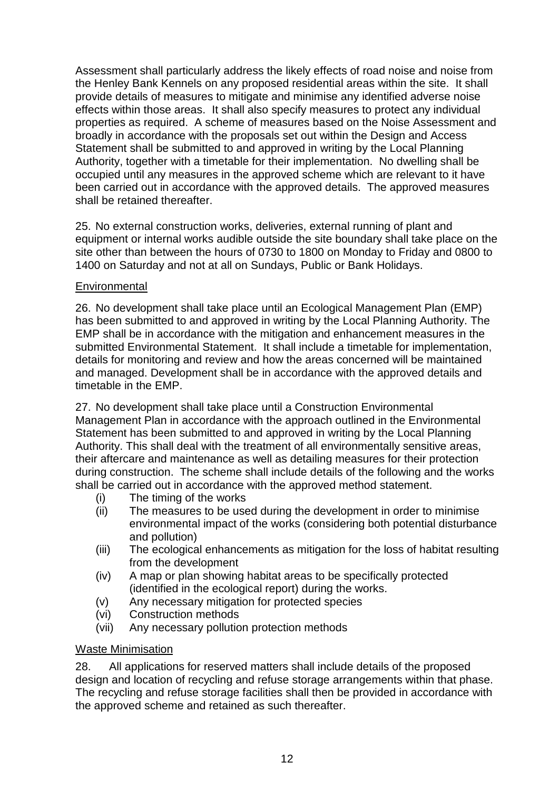Assessment shall particularly address the likely effects of road noise and noise from the Henley Bank Kennels on any proposed residential areas within the site. It shall provide details of measures to mitigate and minimise any identified adverse noise effects within those areas. It shall also specify measures to protect any individual properties as required. A scheme of measures based on the Noise Assessment and broadly in accordance with the proposals set out within the Design and Access Statement shall be submitted to and approved in writing by the Local Planning Authority, together with a timetable for their implementation. No dwelling shall be occupied until any measures in the approved scheme which are relevant to it have been carried out in accordance with the approved details. The approved measures shall be retained thereafter.

25. No external construction works, deliveries, external running of plant and equipment or internal works audible outside the site boundary shall take place on the site other than between the hours of 0730 to 1800 on Monday to Friday and 0800 to 1400 on Saturday and not at all on Sundays, Public or Bank Holidays.

# **Environmental**

26. No development shall take place until an Ecological Management Plan (EMP) has been submitted to and approved in writing by the Local Planning Authority. The EMP shall be in accordance with the mitigation and enhancement measures in the submitted Environmental Statement. It shall include a timetable for implementation, details for monitoring and review and how the areas concerned will be maintained and managed. Development shall be in accordance with the approved details and timetable in the EMP.

27. No development shall take place until a Construction Environmental Management Plan in accordance with the approach outlined in the Environmental Statement has been submitted to and approved in writing by the Local Planning Authority. This shall deal with the treatment of all environmentally sensitive areas, their aftercare and maintenance as well as detailing measures for their protection during construction. The scheme shall include details of the following and the works shall be carried out in accordance with the approved method statement.

- (i) The timing of the works
- (ii) The measures to be used during the development in order to minimise environmental impact of the works (considering both potential disturbance and pollution)
- (iii) The ecological enhancements as mitigation for the loss of habitat resulting from the development
- (iv) A map or plan showing habitat areas to be specifically protected (identified in the ecological report) during the works.
- (v) Any necessary mitigation for protected species
- (vi) Construction methods
- (vii) Any necessary pollution protection methods

# Waste Minimisation

28. All applications for reserved matters shall include details of the proposed design and location of recycling and refuse storage arrangements within that phase. The recycling and refuse storage facilities shall then be provided in accordance with the approved scheme and retained as such thereafter.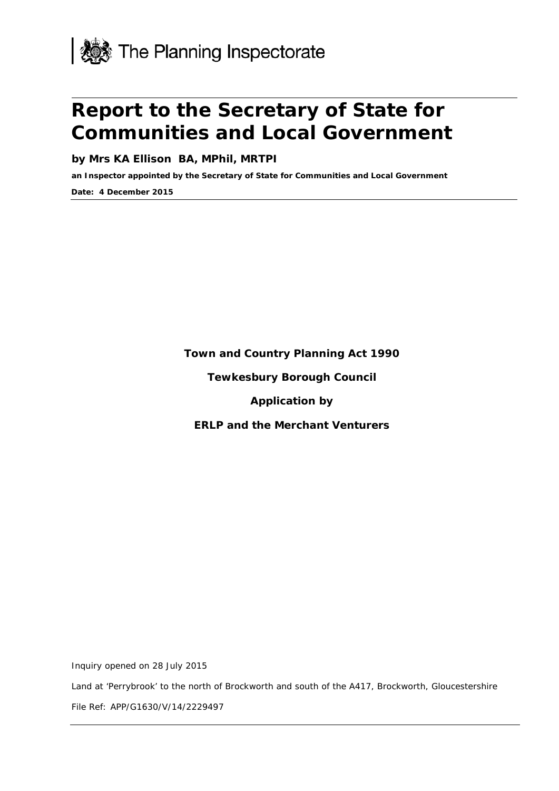

# **Report to the Secretary of State for Communities and Local Government**

**by Mrs KA Ellison BA, MPhil, MRTPI**

**an Inspector appointed by the Secretary of State for Communities and Local Government**

**Date: 4 December 2015**

**Town and Country Planning Act 1990**

**Tewkesbury Borough Council**

**Application by**

**ERLP and the Merchant Venturers** 

Inquiry opened on 28 July 2015

Land at 'Perrybrook' to the north of Brockworth and south of the A417, Brockworth, Gloucestershire

File Ref: APP/G1630/V/14/2229497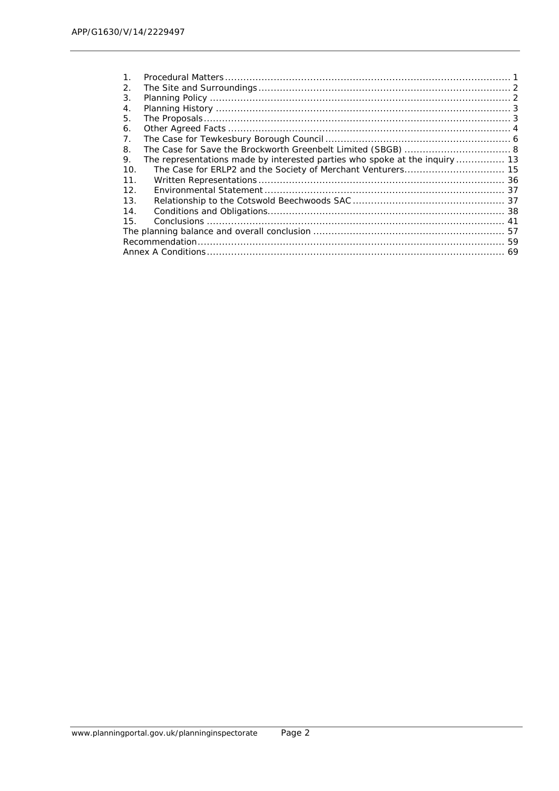| 1.  |                                                                             |  |
|-----|-----------------------------------------------------------------------------|--|
| 2.  |                                                                             |  |
| 3.  |                                                                             |  |
| 4.  |                                                                             |  |
| 5.  |                                                                             |  |
| 6.  |                                                                             |  |
| 7.  |                                                                             |  |
| 8.  |                                                                             |  |
| 9.  | The representations made by interested parties who spoke at the inquiry  13 |  |
| 10. |                                                                             |  |
| 11. |                                                                             |  |
| 12. |                                                                             |  |
| 13. |                                                                             |  |
| 14. |                                                                             |  |
| 15. |                                                                             |  |
|     |                                                                             |  |
|     |                                                                             |  |
|     |                                                                             |  |
|     |                                                                             |  |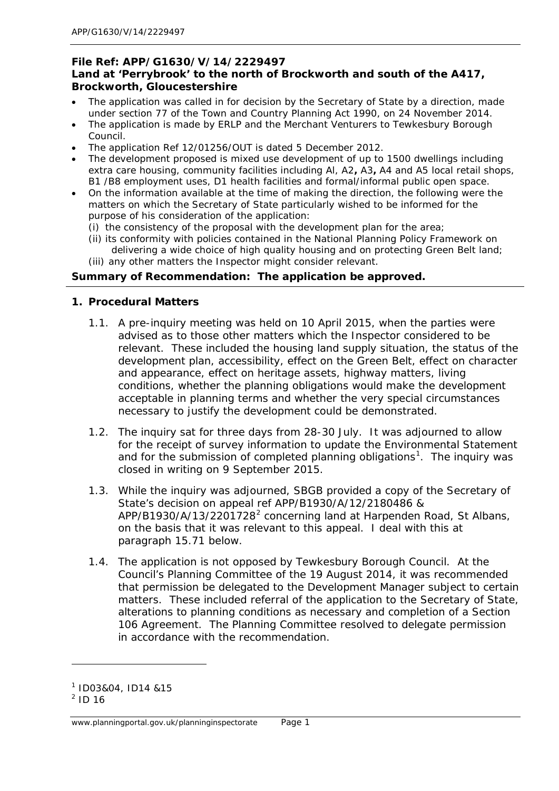## **File Ref: APP/G1630/V/14/2229497 Land at 'Perrybrook' to the north of Brockworth and south of the A417, Brockworth, Gloucestershire**

- The application was called in for decision by the Secretary of State by a direction, made under section 77 of the Town and Country Planning Act 1990, on 24 November 2014.
- The application is made by ERLP and the Merchant Venturers to Tewkesbury Borough Council.
- The application Ref 12/01256/OUT is dated 5 December 2012.
- The development proposed is mixed use development of up to 1500 dwellings including extra care housing, community facilities including Al, A2**,** A3**,** A4 and A5 local retail shops, B1 /B8 employment uses, D1 health facilities and formal/informal public open space.
- On the information available at the time of making the direction, the following were the matters on which the Secretary of State particularly wished to be informed for the purpose of his consideration of the application:
	- (i) the consistency of the proposal with the development plan for the area;
	- (ii) its conformity with policies contained in the National Planning Policy Framework on delivering a wide choice of high quality housing and on protecting Green Belt land;
	- (iii) any other matters the Inspector might consider relevant.

## **Summary of Recommendation: The application be approved.**

#### <span id="page-14-0"></span>**1. Procedural Matters**

- 1.1. A pre-inquiry meeting was held on 10 April 2015, when the parties were advised as to those other matters which the Inspector considered to be relevant. These included the housing land supply situation, the status of the development plan, accessibility, effect on the Green Belt, effect on character and appearance, effect on heritage assets, highway matters, living conditions, whether the planning obligations would make the development acceptable in planning terms and whether the very special circumstances necessary to justify the development could be demonstrated.
- 1.2. The inquiry sat for three days from 28-30 July. It was adjourned to allow for the receipt of survey information to update the Environmental Statement and for the submission of completed planning obligations<sup>[1](#page-14-1)</sup>. The inquiry was closed in writing on 9 September 2015.
- 1.3. While the inquiry was adjourned, SBGB provided a copy of the Secretary of State's decision on appeal ref APP/B1930/A/12/2180486 & APP/B1930/A/13/[2](#page-14-2)201728<sup>2</sup> concerning land at Harpenden Road, St Albans, on the basis that it was relevant to this appeal. I deal with this at paragraph 15.71 below.
- 1.4. The application is not opposed by Tewkesbury Borough Council. At the Council's Planning Committee of the 19 August 2014, it was recommended that permission be delegated to the Development Manager subject to certain matters. These included referral of the application to the Secretary of State, alterations to planning conditions as necessary and completion of a Section 106 Agreement. The Planning Committee resolved to delegate permission in accordance with the recommendation.

l

www.planningportal.gov.uk/planninginspectorate Page 1

<span id="page-14-1"></span><sup>1</sup> ID03&04, ID14 &15

<span id="page-14-2"></span> $^{2}$  ID 16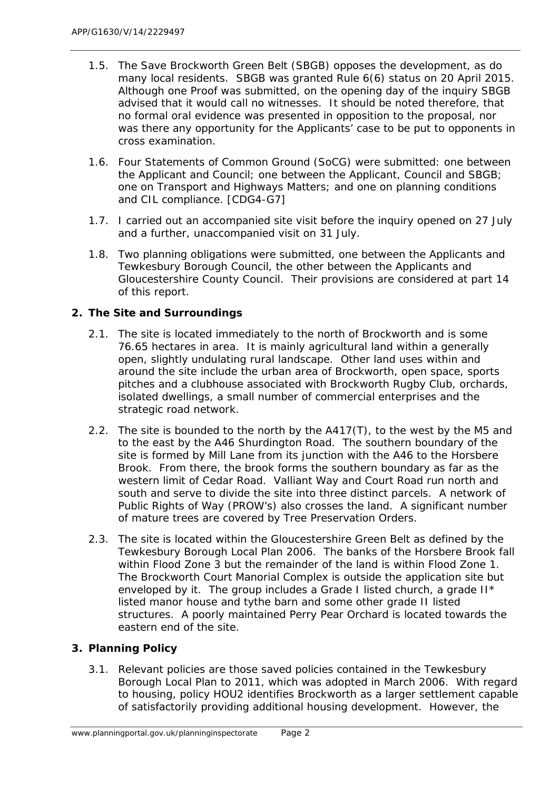- 1.5. The Save Brockworth Green Belt (SBGB) opposes the development, as do many local residents. SBGB was granted Rule 6(6) status on 20 April 2015. Although one Proof was submitted, on the opening day of the inquiry SBGB advised that it would call no witnesses. It should be noted therefore, that no formal oral evidence was presented in opposition to the proposal, nor was there any opportunity for the Applicants' case to be put to opponents in cross examination.
- 1.6. Four Statements of Common Ground (SoCG) were submitted: one between the Applicant and Council; one between the Applicant, Council and SBGB; one on Transport and Highways Matters; and one on planning conditions and CIL compliance. [CDG4-G7]
- 1.7. I carried out an accompanied site visit before the inquiry opened on 27 July and a further, unaccompanied visit on 31 July.
- 1.8. Two planning obligations were submitted, one between the Applicants and Tewkesbury Borough Council, the other between the Applicants and Gloucestershire County Council. Their provisions are considered at part 14 of this report.

# <span id="page-15-0"></span>**2. The Site and Surroundings**

- 2.1. The site is located immediately to the north of Brockworth and is some 76.65 hectares in area. It is mainly agricultural land within a generally open, slightly undulating rural landscape. Other land uses within and around the site include the urban area of Brockworth, open space, sports pitches and a clubhouse associated with Brockworth Rugby Club, orchards, isolated dwellings, a small number of commercial enterprises and the strategic road network.
- 2.2. The site is bounded to the north by the A417(T), to the west by the M5 and to the east by the A46 Shurdington Road. The southern boundary of the site is formed by Mill Lane from its junction with the A46 to the Horsbere Brook. From there, the brook forms the southern boundary as far as the western limit of Cedar Road. Valliant Way and Court Road run north and south and serve to divide the site into three distinct parcels. A network of Public Rights of Way (PROW's) also crosses the land. A significant number of mature trees are covered by Tree Preservation Orders.
- 2.3. The site is located within the Gloucestershire Green Belt as defined by the Tewkesbury Borough Local Plan 2006. The banks of the Horsbere Brook fall within Flood Zone 3 but the remainder of the land is within Flood Zone 1. The Brockworth Court Manorial Complex is outside the application site but enveloped by it. The group includes a Grade I listed church, a grade II\* listed manor house and tythe barn and some other grade II listed structures. A poorly maintained Perry Pear Orchard is located towards the eastern end of the site.

# <span id="page-15-1"></span>**3. Planning Policy**

3.1. Relevant policies are those saved policies contained in the Tewkesbury Borough Local Plan to 2011, which was adopted in March 2006. With regard to housing, policy HOU2 identifies Brockworth as a larger settlement capable of satisfactorily providing additional housing development. However, the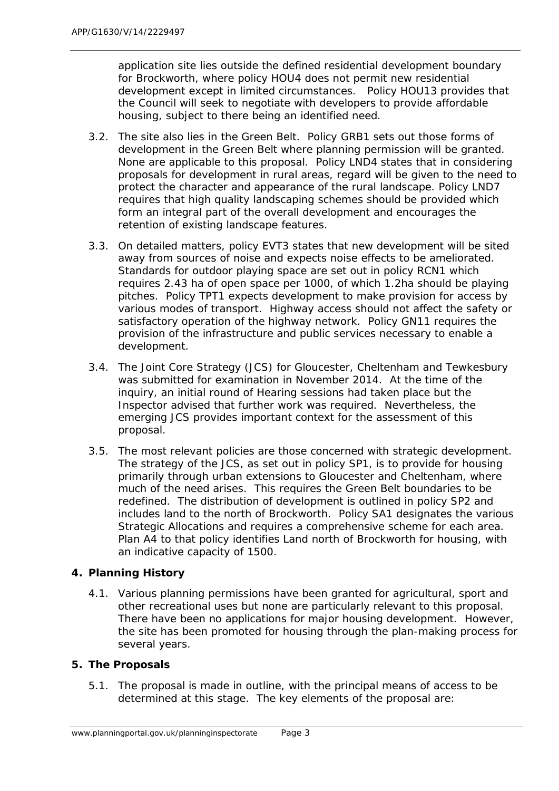application site lies outside the defined residential development boundary for Brockworth, where policy HOU4 does not permit new residential development except in limited circumstances. Policy HOU13 provides that the Council will seek to negotiate with developers to provide affordable housing, subject to there being an identified need.

- 3.2. The site also lies in the Green Belt. Policy GRB1 sets out those forms of development in the Green Belt where planning permission will be granted. None are applicable to this proposal. Policy LND4 states that in considering proposals for development in rural areas, regard will be given to the need to protect the character and appearance of the rural landscape. Policy LND7 requires that high quality landscaping schemes should be provided which form an integral part of the overall development and encourages the retention of existing landscape features.
- 3.3. On detailed matters, policy EVT3 states that new development will be sited away from sources of noise and expects noise effects to be ameliorated. Standards for outdoor playing space are set out in policy RCN1 which requires 2.43 ha of open space per 1000, of which 1.2ha should be playing pitches. Policy TPT1 expects development to make provision for access by various modes of transport. Highway access should not affect the safety or satisfactory operation of the highway network. Policy GN11 requires the provision of the infrastructure and public services necessary to enable a development.
- 3.4. The Joint Core Strategy (JCS) for Gloucester, Cheltenham and Tewkesbury was submitted for examination in November 2014. At the time of the inquiry, an initial round of Hearing sessions had taken place but the Inspector advised that further work was required. Nevertheless, the emerging JCS provides important context for the assessment of this proposal.
- 3.5. The most relevant policies are those concerned with strategic development. The strategy of the JCS, as set out in policy SP1, is to provide for housing primarily through urban extensions to Gloucester and Cheltenham, where much of the need arises. This requires the Green Belt boundaries to be redefined. The distribution of development is outlined in policy SP2 and includes land to the north of Brockworth. Policy SA1 designates the various Strategic Allocations and requires a comprehensive scheme for each area. Plan A4 to that policy identifies Land north of Brockworth for housing, with an indicative capacity of 1500.

# <span id="page-16-0"></span>**4. Planning History**

4.1. Various planning permissions have been granted for agricultural, sport and other recreational uses but none are particularly relevant to this proposal. There have been no applications for major housing development. However, the site has been promoted for housing through the plan-making process for several years.

# <span id="page-16-1"></span>**5. The Proposals**

5.1. The proposal is made in outline, with the principal means of access to be determined at this stage. The key elements of the proposal are: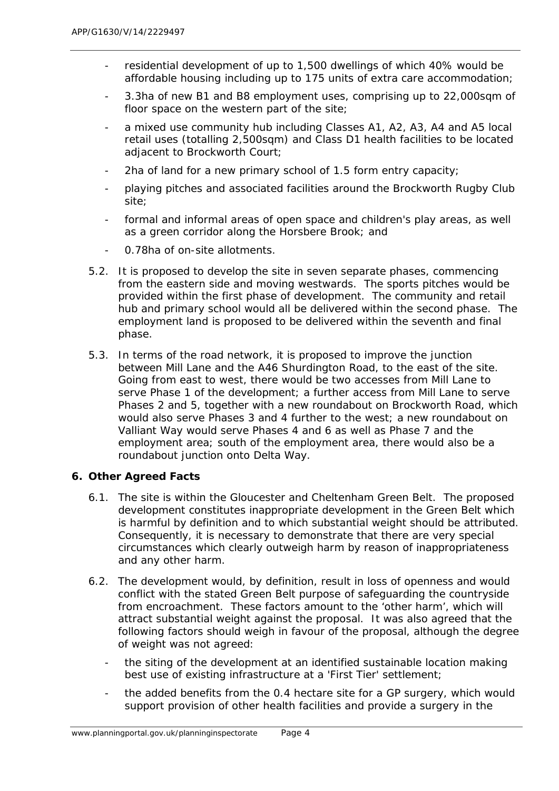- residential development of up to 1,500 dwellings of which 40% would be affordable housing including up to 175 units of extra care accommodation;
- 3.3ha of new B1 and B8 employment uses, comprising up to 22,000sqm of floor space on the western part of the site;
- a mixed use community hub including Classes A1, A2, A3, A4 and A5 local retail uses (totalling 2,500sqm) and Class D1 health facilities to be located adiacent to Brockworth Court;
- 2ha of land for a new primary school of 1.5 form entry capacity;
- playing pitches and associated facilities around the Brockworth Rugby Club site;
- formal and informal areas of open space and children's play areas, as well as a green corridor along the Horsbere Brook; and
- 0.78ha of on-site allotments.
- 5.2. It is proposed to develop the site in seven separate phases, commencing from the eastern side and moving westwards. The sports pitches would be provided within the first phase of development. The community and retail hub and primary school would all be delivered within the second phase. The employment land is proposed to be delivered within the seventh and final phase.
- 5.3. In terms of the road network, it is proposed to improve the junction between Mill Lane and the A46 Shurdington Road, to the east of the site. Going from east to west, there would be two accesses from Mill Lane to serve Phase 1 of the development; a further access from Mill Lane to serve Phases 2 and 5, together with a new roundabout on Brockworth Road, which would also serve Phases 3 and 4 further to the west; a new roundabout on Valliant Way would serve Phases 4 and 6 as well as Phase 7 and the employment area; south of the employment area, there would also be a roundabout junction onto Delta Way.

# <span id="page-17-0"></span>**6. Other Agreed Facts**

- 6.1. The site is within the Gloucester and Cheltenham Green Belt. The proposed development constitutes inappropriate development in the Green Belt which is harmful by definition and to which substantial weight should be attributed. Consequently, it is necessary to demonstrate that there are very special circumstances which clearly outweigh harm by reason of inappropriateness and any other harm.
- 6.2. The development would, by definition, result in loss of openness and would conflict with the stated Green Belt purpose of safeguarding the countryside from encroachment. These factors amount to the 'other harm', which will attract substantial weight against the proposal. It was also agreed that the following factors should weigh in favour of the proposal, although the degree of weight was not agreed:
	- the siting of the development at an identified sustainable location making best use of existing infrastructure at a 'First Tier' settlement;
	- the added benefits from the 0.4 hectare site for a GP surgery, which would support provision of other health facilities and provide a surgery in the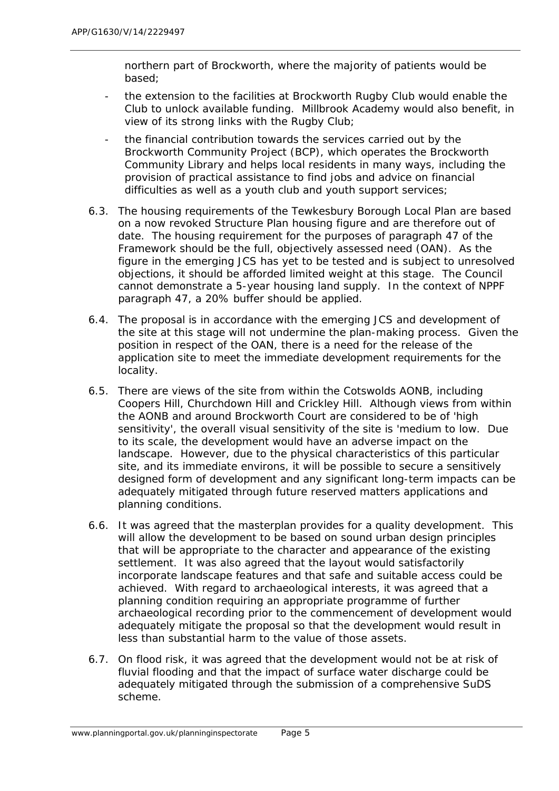northern part of Brockworth, where the majority of patients would be based;

- the extension to the facilities at Brockworth Rugby Club would enable the Club to unlock available funding. Millbrook Academy would also benefit, in view of its strong links with the Rugby Club;
- the financial contribution towards the services carried out by the Brockworth Community Project (BCP), which operates the Brockworth Community Library and helps local residents in many ways, including the provision of practical assistance to find jobs and advice on financial difficulties as well as a youth club and youth support services;
- 6.3. The housing requirements of the Tewkesbury Borough Local Plan are based on a now revoked Structure Plan housing figure and are therefore out of date. The housing requirement for the purposes of paragraph 47 of the Framework should be the full, objectively assessed need (OAN). As the figure in the emerging JCS has yet to be tested and is subject to unresolved objections, it should be afforded limited weight at this stage. The Council cannot demonstrate a 5-year housing land supply. In the context of NPPF paragraph 47, a 20% buffer should be applied.
- 6.4. The proposal is in accordance with the emerging JCS and development of the site at this stage will not undermine the plan-making process. Given the position in respect of the OAN, there is a need for the release of the application site to meet the immediate development requirements for the locality.
- 6.5. There are views of the site from within the Cotswolds AONB, including Coopers Hill, Churchdown Hill and Crickley Hill. Although views from within the AONB and around Brockworth Court are considered to be of 'high sensitivity', the overall visual sensitivity of the site is 'medium to low. Due to its scale, the development would have an adverse impact on the landscape. However, due to the physical characteristics of this particular site, and its immediate environs, it will be possible to secure a sensitively designed form of development and any significant long-term impacts can be adequately mitigated through future reserved matters applications and planning conditions.
- 6.6. It was agreed that the masterplan provides for a quality development. This will allow the development to be based on sound urban design principles that will be appropriate to the character and appearance of the existing settlement. It was also agreed that the layout would satisfactorily incorporate landscape features and that safe and suitable access could be achieved. With regard to archaeological interests, it was agreed that a planning condition requiring an appropriate programme of further archaeological recording prior to the commencement of development would adequately mitigate the proposal so that the development would result in less than substantial harm to the value of those assets.
- 6.7. On flood risk, it was agreed that the development would not be at risk of fluvial flooding and that the impact of surface water discharge could be adequately mitigated through the submission of a comprehensive SuDS scheme.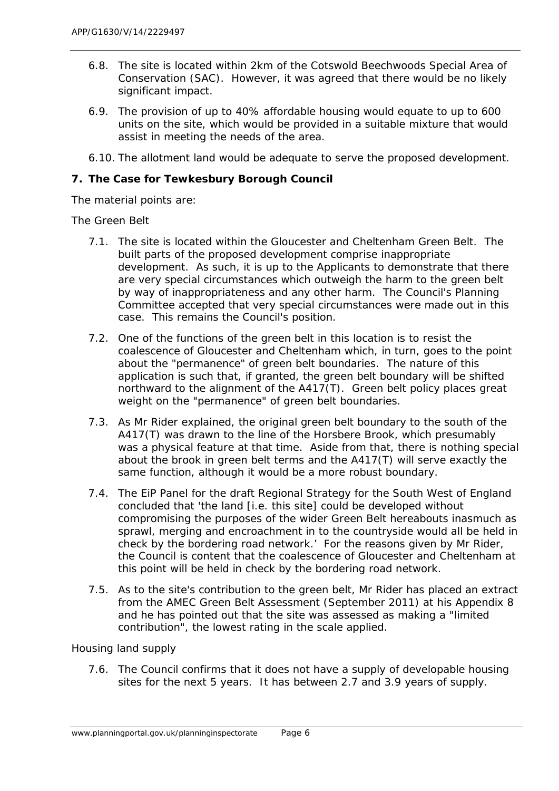- 6.8. The site is located within 2km of the Cotswold Beechwoods Special Area of Conservation (SAC). However, it was agreed that there would be no likely significant impact.
- 6.9. The provision of up to 40% affordable housing would equate to up to 600 units on the site, which would be provided in a suitable mixture that would assist in meeting the needs of the area.
- 6.10. The allotment land would be adequate to serve the proposed development.

# <span id="page-19-0"></span>**7. The Case for Tewkesbury Borough Council**

The material points are:

## *The Green Belt*

- 7.1. The site is located within the Gloucester and Cheltenham Green Belt. The built parts of the proposed development comprise inappropriate development. As such, it is up to the Applicants to demonstrate that there are very special circumstances which outweigh the harm to the green belt by way of inappropriateness and any other harm. The Council's Planning Committee accepted that very special circumstances were made out in this case. This remains the Council's position.
- 7.2. One of the functions of the green belt in this location is to resist the coalescence of Gloucester and Cheltenham which, in turn, goes to the point about the "permanence" of green belt boundaries. The nature of this application is such that, if granted, the green belt boundary will be shifted northward to the alignment of the A417(T). Green belt policy places great weight on the "permanence" of green belt boundaries.
- 7.3. As Mr Rider explained, the original green belt boundary to the south of the A417(T) was drawn to the line of the Horsbere Brook, which presumably was a physical feature at that time. Aside from that, there is nothing special about the brook in green belt terms and the A417(T) will serve exactly the same function, although it would be a more robust boundary.
- 7.4. The EiP Panel for the draft Regional Strategy for the South West of England concluded that 'the land [i.e. this site] could be developed without compromising the purposes of the wider Green Belt hereabouts inasmuch as sprawl, merging and encroachment in to the countryside would all be held in check by the bordering road network.' For the reasons given by Mr Rider, the Council is content that the coalescence of Gloucester and Cheltenham at this point will be held in check by the bordering road network.
- 7.5. As to the site's contribution to the green belt, Mr Rider has placed an extract from the AMEC Green Belt Assessment (September 2011) at his Appendix 8 and he has pointed out that the site was assessed as making a "limited contribution", the lowest rating in the scale applied.

# *Housing land supply*

7.6. The Council confirms that it does not have a supply of developable housing sites for the next 5 years. It has between 2.7 and 3.9 years of supply.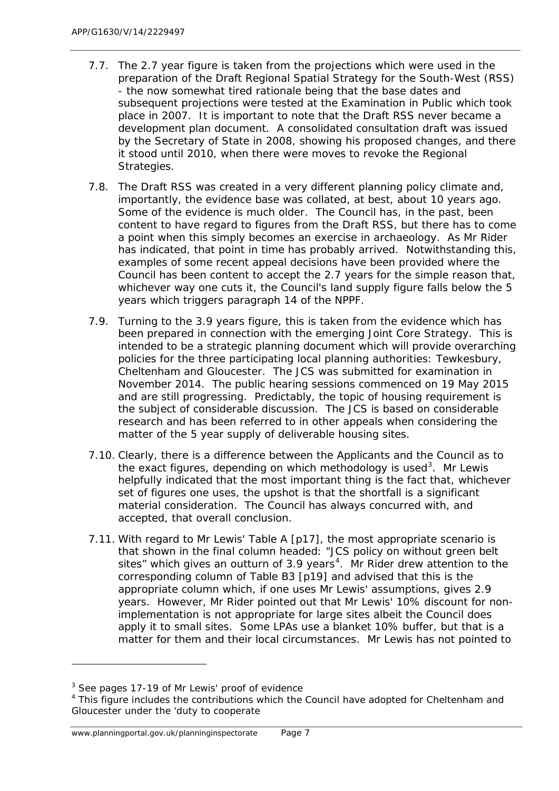- 7.7. The 2.7 year figure is taken from the projections which were used in the preparation of the Draft Regional Spatial Strategy for the South-West (RSS) - the now somewhat tired rationale being that the base dates and subsequent projections were tested at the Examination in Public which took place in 2007. It is important to note that the Draft RSS never became a development plan document. A consolidated consultation draft was issued by the Secretary of State in 2008, showing his proposed changes, and there it stood until 2010, when there were moves to revoke the Regional Strategies.
- 7.8. The Draft RSS was created in a very different planning policy climate and, importantly, the evidence base was collated, at best, about 10 years ago. Some of the evidence is much older. The Council has, in the past, been content to have regard to figures from the Draft RSS, but there has to come a point when this simply becomes an exercise in archaeology. As Mr Rider has indicated, that point in time has probably arrived. Notwithstanding this, examples of some recent appeal decisions have been provided where the Council has been content to accept the 2.7 years for the simple reason that, whichever way one cuts it, the Council's land supply figure falls below the 5 years which triggers paragraph 14 of the NPPF.
- 7.9. Turning to the 3.9 years figure, this is taken from the evidence which has been prepared in connection with the emerging Joint Core Strategy. This is intended to be a strategic planning document which will provide overarching policies for the three participating local planning authorities: Tewkesbury, Cheltenham and Gloucester. The JCS was submitted for examination in November 2014. The public hearing sessions commenced on 19 May 2015 and are still progressing. Predictably, the topic of housing requirement is the subject of considerable discussion. The JCS is based on considerable research and has been referred to in other appeals when considering the matter of the 5 year supply of deliverable housing sites.
- 7.10. Clearly, there is a difference between the Applicants and the Council as to the exact figures, depending on which methodology is used<sup>[3](#page-20-0)</sup>. Mr Lewis helpfully indicated that the most important thing is the fact that, whichever set of figures one uses, the upshot is that the shortfall is a significant material consideration. The Council has always concurred with, and accepted, that overall conclusion.
- 7.11. With regard to Mr Lewis' Table A [p17], the most appropriate scenario is that shown in the final column headed: "JCS policy on without green belt sites" which gives an outturn of 3.9 years<sup>[4](#page-20-1)</sup>. Mr Rider drew attention to the corresponding column of Table B3 [p19] and advised that this is the appropriate column which, if one uses Mr Lewis' assumptions, gives 2.9 years. However, Mr Rider pointed out that Mr Lewis' 10% discount for nonimplementation is not appropriate for large sites albeit the Council does apply it to small sites. Some LPAs use a blanket 10% buffer, but that is a matter for them and their local circumstances. Mr Lewis has not pointed to

<span id="page-20-0"></span><sup>&</sup>lt;sup>3</sup> See pages 17-19 of Mr Lewis' proof of evidence

<span id="page-20-1"></span><sup>&</sup>lt;sup>4</sup> This figure includes the contributions which the Council have adopted for Cheltenham and Gloucester under the 'duty to cooperate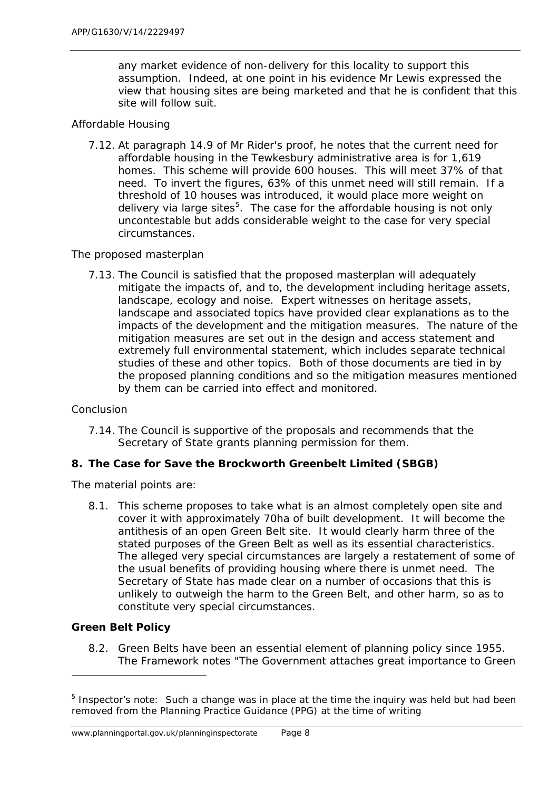any market evidence of non-delivery for this locality to support this assumption. Indeed, at one point in his evidence Mr Lewis expressed the view that housing sites are being marketed and that he is confident that this site will follow suit.

## *Affordable Housing*

7.12. At paragraph 14.9 of Mr Rider's proof, he notes that the current need for affordable housing in the Tewkesbury administrative area is for 1,619 homes. This scheme will provide 600 houses. This will meet 37% of that need. To invert the figures, 63% of this unmet need will still remain. If a threshold of 10 houses was introduced, it would place more weight on delivery via large sites<sup>[5](#page-21-1)</sup>. The case for the affordable housing is not only uncontestable but adds considerable weight to the case for very special circumstances.

## *The proposed masterplan*

7.13. The Council is satisfied that the proposed masterplan will adequately mitigate the impacts of, and to, the development including heritage assets, landscape, ecology and noise. Expert witnesses on heritage assets, landscape and associated topics have provided clear explanations as to the impacts of the development and the mitigation measures. The nature of the mitigation measures are set out in the design and access statement and extremely full environmental statement, which includes separate technical studies of these and other topics. Both of those documents are tied in by the proposed planning conditions and so the mitigation measures mentioned by them can be carried into effect and monitored.

#### *Conclusion*

7.14. The Council is supportive of the proposals and recommends that the Secretary of State grants planning permission for them.

#### <span id="page-21-0"></span>**8. The Case for Save the Brockworth Greenbelt Limited (SBGB)**

The material points are:

8.1. This scheme proposes to take what is an almost completely open site and cover it with approximately 70ha of built development. It will become the antithesis of an open Green Belt site. It would clearly harm three of the stated purposes of the Green Belt as well as its essential characteristics. The alleged very special circumstances are largely a restatement of some of the usual benefits of providing housing where there is unmet need. The Secretary of State has made clear on a number of occasions that this is unlikely to outweigh the harm to the Green Belt, and other harm, so as to constitute very special circumstances.

# *Green Belt Policy*

1

8.2. Green Belts have been an essential element of planning policy since 1955. The Framework notes "The Government attaches great importance to Green

<span id="page-21-1"></span> $5$  Inspector's note: Such a change was in place at the time the inquiry was held but had been removed from the Planning Practice Guidance (PPG) at the time of writing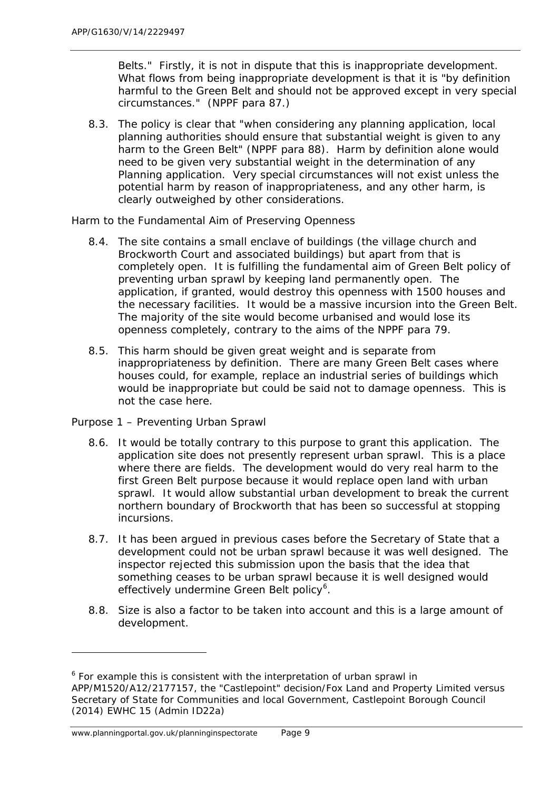Belts." Firstly, it is not in dispute that this is inappropriate development. What flows from being inappropriate development is that it is "by definition harmful to the Green Belt and should not be approved except in very special circumstances." (NPPF para 87.)

8.3. The policy is clear that "when considering any planning application, local planning authorities should ensure that substantial weight is given to any harm to the Green Belt" (NPPF para 88). Harm by definition alone would need to be given very substantial weight in the determination of any Planning application. Very special circumstances will not exist unless the potential harm by reason of inappropriateness, and any other harm, is clearly outweighed by other considerations.

## *Harm to the Fundamental Aim of Preserving Openness*

- 8.4. The site contains a small enclave of buildings (the village church and Brockworth Court and associated buildings) but apart from that is completely open. It is fulfilling the fundamental aim of Green Belt policy of preventing urban sprawl by keeping land permanently open. The application, if granted, would destroy this openness with 1500 houses and the necessary facilities. It would be a massive incursion into the Green Belt. The majority of the site would become urbanised and would lose its openness completely, contrary to the aims of the NPPF para 79.
- 8.5. This harm should be given great weight and is separate from inappropriateness by definition. There are many Green Belt cases where houses could, for example, replace an industrial series of buildings which would be inappropriate but could be said not to damage openness. This is not the case here.

#### *Purpose 1 – Preventing Urban Sprawl*

- 8.6. It would be totally contrary to this purpose to grant this application. The application site does not presently represent urban sprawl. This is a place where there are fields. The development would do very real harm to the first Green Belt purpose because it would replace open land with urban sprawl. It would allow substantial urban development to break the current northern boundary of Brockworth that has been so successful at stopping incursions.
- 8.7. It has been argued in previous cases before the Secretary of State that a development could not be urban sprawl because it was well designed. The inspector rejected this submission upon the basis that the idea that something ceases to be urban sprawl because it is well designed would effectively undermine Green Belt policy<sup>[6](#page-22-0)</sup>.
- 8.8. Size is also a factor to be taken into account and this is a large amount of development.

1

<span id="page-22-0"></span> $6$  For example this is consistent with the interpretation of urban sprawl in APP/M1520/A12/2177157, the "Castlepoint" decision/Fox Land and Property Limited versus Secretary of State for Communities and local Government, Castlepoint Borough Council (2014) EWHC 15 (Admin ID22a)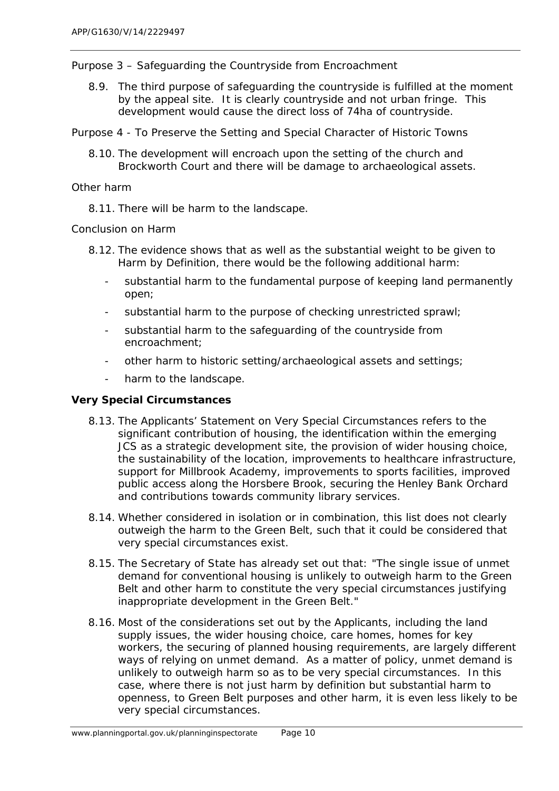#### *Purpose 3 – Safeguarding the Countryside from Encroachment*

8.9. The third purpose of safeguarding the countryside is fulfilled at the moment by the appeal site. It is clearly countryside and not urban fringe. This development would cause the direct loss of 74ha of countryside.

*Purpose 4 - To Preserve the Setting and Special Character of Historic Towns*

8.10. The development will encroach upon the setting of the church and Brockworth Court and there will be damage to archaeological assets.

#### *Other harm*

8.11. There will be harm to the landscape.

#### *Conclusion on Harm*

- 8.12. The evidence shows that as well as the substantial weight to be given to Harm by Definition, there would be the following additional harm:
	- substantial harm to the fundamental purpose of keeping land permanently open;
	- substantial harm to the purpose of checking unrestricted sprawl;
	- substantial harm to the safeguarding of the countryside from encroachment;
	- other harm to historic setting/archaeological assets and settings;
	- harm to the landscape.

## *Very Special Circumstances*

- 8.13. The Applicants' Statement on Very Special Circumstances refers to the significant contribution of housing, the identification within the emerging JCS as a strategic development site, the provision of wider housing choice, the sustainability of the location, improvements to healthcare infrastructure, support for Millbrook Academy, improvements to sports facilities, improved public access along the Horsbere Brook, securing the Henley Bank Orchard and contributions towards community library services.
- 8.14. Whether considered in isolation or in combination, this list does not clearly outweigh the harm to the Green Belt, such that it could be considered that very special circumstances exist.
- 8.15. The Secretary of State has already set out that: "The single issue of unmet demand for conventional housing is unlikely to outweigh harm to the Green Belt and other harm to constitute the very special circumstances justifying inappropriate development in the Green Belt."
- 8.16. Most of the considerations set out by the Applicants, including the land supply issues, the wider housing choice, care homes, homes for key workers, the securing of planned housing requirements, are largely different ways of relying on unmet demand. As a matter of policy, unmet demand is unlikely to outweigh harm so as to be very special circumstances. In this case, where there is not just harm by definition but substantial harm to openness, to Green Belt purposes and other harm, it is even less likely to be very special circumstances.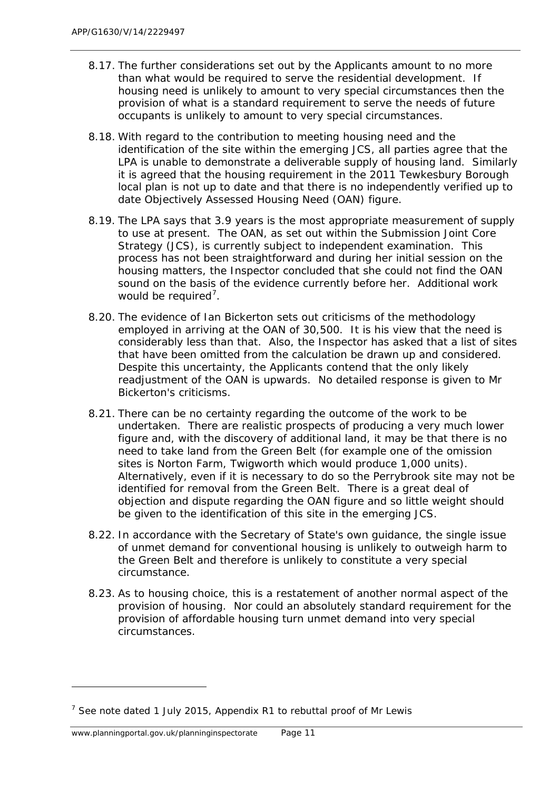- 8.17. The further considerations set out by the Applicants amount to no more than what would be required to serve the residential development. If housing need is unlikely to amount to very special circumstances then the provision of what is a standard requirement to serve the needs of future occupants is unlikely to amount to very special circumstances.
- 8.18. With regard to the contribution to meeting housing need and the identification of the site within the emerging JCS, all parties agree that the LPA is unable to demonstrate a deliverable supply of housing land. Similarly it is agreed that the housing requirement in the 2011 Tewkesbury Borough local plan is not up to date and that there is no independently verified up to date Objectively Assessed Housing Need (OAN) figure.
- 8.19. The LPA says that 3.9 years is the most appropriate measurement of supply to use at present. The OAN, as set out within the Submission Joint Core Strategy (JCS), is currently subject to independent examination. This process has not been straightforward and during her initial session on the housing matters, the Inspector concluded that she could not find the OAN sound on the basis of the evidence currently before her. Additional work would be required<sup>[7](#page-24-0)</sup>.
- 8.20. The evidence of Ian Bickerton sets out criticisms of the methodology employed in arriving at the OAN of 30,500. It is his view that the need is considerably less than that. Also, the Inspector has asked that a list of sites that have been omitted from the calculation be drawn up and considered. Despite this uncertainty, the Applicants contend that the only likely readjustment of the OAN is upwards. No detailed response is given to Mr Bickerton's criticisms.
- 8.21. There can be no certainty regarding the outcome of the work to be undertaken. There are realistic prospects of producing a very much lower figure and, with the discovery of additional land, it may be that there is no need to take land from the Green Belt (for example one of the omission sites is Norton Farm, Twigworth which would produce 1,000 units). Alternatively, even if it is necessary to do so the Perrybrook site may not be identified for removal from the Green Belt. There is a great deal of objection and dispute regarding the OAN figure and so little weight should be given to the identification of this site in the emerging JCS.
- 8.22. In accordance with the Secretary of State's own guidance, the single issue of unmet demand for conventional housing is unlikely to outweigh harm to the Green Belt and therefore is unlikely to constitute a very special circumstance.
- 8.23. As to housing choice, this is a restatement of another normal aspect of the provision of housing. Nor could an absolutely standard requirement for the provision of affordable housing turn unmet demand into very special circumstances.

<span id="page-24-0"></span> $<sup>7</sup>$  See note dated 1 July 2015, Appendix R1 to rebuttal proof of Mr Lewis</sup>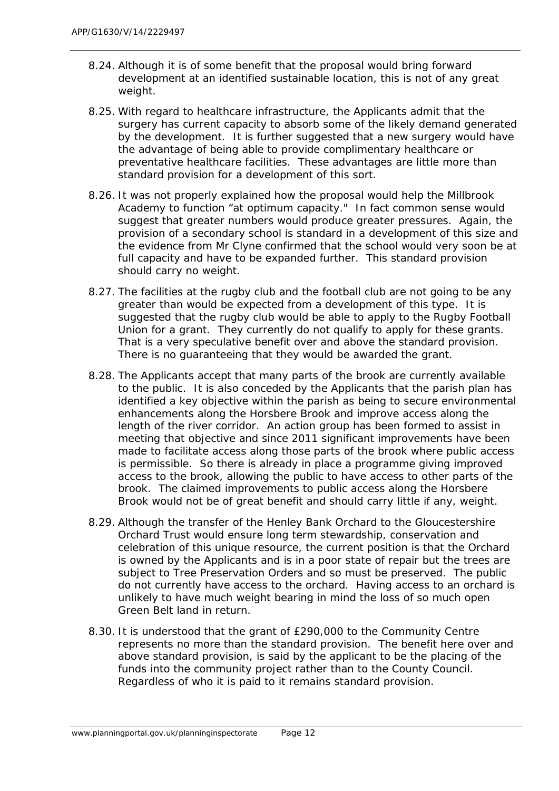- 8.24. Although it is of some benefit that the proposal would bring forward development at an identified sustainable location, this is not of any great weight.
- 8.25. With regard to healthcare infrastructure, the Applicants admit that the surgery has current capacity to absorb some of the likely demand generated by the development. It is further suggested that a new surgery would have the advantage of being able to provide complimentary healthcare or preventative healthcare facilities. These advantages are little more than standard provision for a development of this sort.
- 8.26. It was not properly explained how the proposal would help the Millbrook Academy to function "at optimum capacity." In fact common sense would suggest that greater numbers would produce greater pressures. Again, the provision of a secondary school is standard in a development of this size and the evidence from Mr Clyne confirmed that the school would very soon be at full capacity and have to be expanded further. This standard provision should carry no weight.
- 8.27. The facilities at the rugby club and the football club are not going to be any greater than would be expected from a development of this type. It is suggested that the rugby club would be able to apply to the Rugby Football Union for a grant. They currently do not qualify to apply for these grants. That is a very speculative benefit over and above the standard provision. There is no guaranteeing that they would be awarded the grant.
- 8.28. The Applicants accept that many parts of the brook are currently available to the public. It is also conceded by the Applicants that the parish plan has identified a key objective within the parish as being to secure environmental enhancements along the Horsbere Brook and improve access along the length of the river corridor. An action group has been formed to assist in meeting that objective and since 2011 significant improvements have been made to facilitate access along those parts of the brook where public access is permissible. So there is already in place a programme giving improved access to the brook, allowing the public to have access to other parts of the brook. The claimed improvements to public access along the Horsbere Brook would not be of great benefit and should carry little if any, weight.
- 8.29. Although the transfer of the Henley Bank Orchard to the Gloucestershire Orchard Trust would ensure long term stewardship, conservation and celebration of this unique resource, the current position is that the Orchard is owned by the Applicants and is in a poor state of repair but the trees are subject to Tree Preservation Orders and so must be preserved. The public do not currently have access to the orchard. Having access to an orchard is unlikely to have much weight bearing in mind the loss of so much open Green Belt land in return.
- 8.30. It is understood that the grant of £290,000 to the Community Centre represents no more than the standard provision. The benefit here over and above standard provision, is said by the applicant to be the placing of the funds into the community project rather than to the County Council. Regardless of who it is paid to it remains standard provision.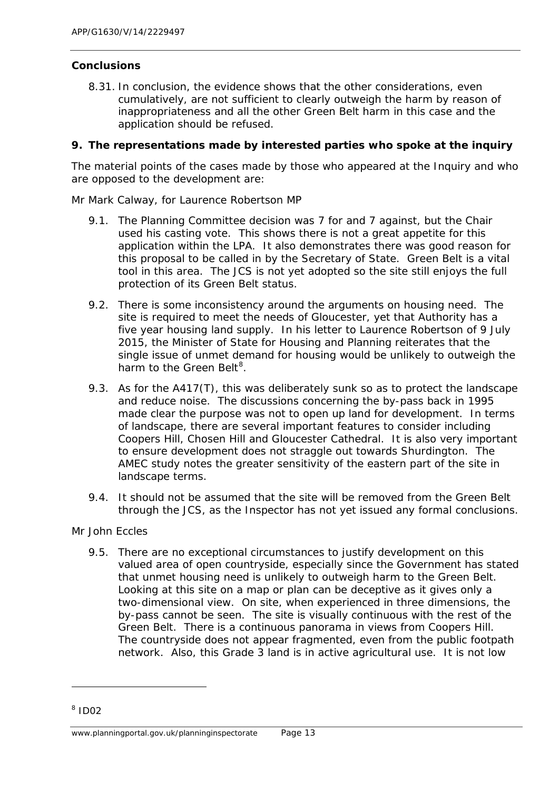# *Conclusions*

8.31. In conclusion, the evidence shows that the other considerations, even cumulatively, are not sufficient to clearly outweigh the harm by reason of inappropriateness and all the other Green Belt harm in this case and the application should be refused.

## <span id="page-26-0"></span>**9. The representations made by interested parties who spoke at the inquiry**

The material points of the cases made by those who appeared at the Inquiry and who are opposed to the development are:

## *Mr Mark Calway, for Laurence Robertson MP*

- 9.1. The Planning Committee decision was 7 for and 7 against, but the Chair used his casting vote. This shows there is not a great appetite for this application within the LPA. It also demonstrates there was good reason for this proposal to be called in by the Secretary of State. Green Belt is a vital tool in this area. The JCS is not yet adopted so the site still enjoys the full protection of its Green Belt status.
- 9.2. There is some inconsistency around the arguments on housing need. The site is required to meet the needs of Gloucester, yet that Authority has a five year housing land supply. In his letter to Laurence Robertson of 9 July 2015, the Minister of State for Housing and Planning reiterates that the single issue of unmet demand for housing would be unlikely to outweigh the harm to the Green Belt<sup>[8](#page-26-1)</sup>.
- 9.3. As for the A417(T), this was deliberately sunk so as to protect the landscape and reduce noise. The discussions concerning the by-pass back in 1995 made clear the purpose was not to open up land for development. In terms of landscape, there are several important features to consider including Coopers Hill, Chosen Hill and Gloucester Cathedral. It is also very important to ensure development does not straggle out towards Shurdington. The AMEC study notes the greater sensitivity of the eastern part of the site in landscape terms.
- 9.4. It should not be assumed that the site will be removed from the Green Belt through the JCS, as the Inspector has not yet issued any formal conclusions.

# *Mr John Eccles*

9.5. There are no exceptional circumstances to justify development on this valued area of open countryside, especially since the Government has stated that unmet housing need is unlikely to outweigh harm to the Green Belt. Looking at this site on a map or plan can be deceptive as it gives only a two-dimensional view. On site, when experienced in three dimensions, the by-pass cannot be seen. The site is visually continuous with the rest of the Green Belt. There is a continuous panorama in views from Coopers Hill. The countryside does not appear fragmented, even from the public footpath network. Also, this Grade 3 land is in active agricultural use. It is not low

<span id="page-26-1"></span> $8$  ID02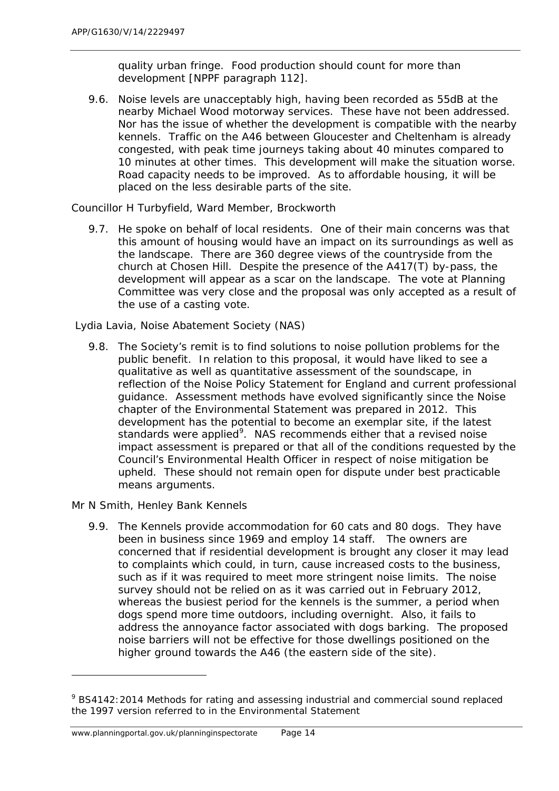quality urban fringe. Food production should count for more than development [NPPF paragraph 112].

9.6. Noise levels are unacceptably high, having been recorded as 55dB at the nearby Michael Wood motorway services. These have not been addressed. Nor has the issue of whether the development is compatible with the nearby kennels. Traffic on the A46 between Gloucester and Cheltenham is already congested, with peak time journeys taking about 40 minutes compared to 10 minutes at other times. This development will make the situation worse. Road capacity needs to be improved. As to affordable housing, it will be placed on the less desirable parts of the site.

## *Councillor H Turbyfield, Ward Member, Brockworth*

9.7. He spoke on behalf of local residents. One of their main concerns was that this amount of housing would have an impact on its surroundings as well as the landscape. There are 360 degree views of the countryside from the church at Chosen Hill. Despite the presence of the A417(T) by-pass, the development will appear as a scar on the landscape. The vote at Planning Committee was very close and the proposal was only accepted as a result of the use of a casting vote.

## *Lydia Lavia, Noise Abatement Society (NAS)*

9.8. The Society's remit is to find solutions to noise pollution problems for the public benefit. In relation to this proposal, it would have liked to see a qualitative as well as quantitative assessment of the soundscape, in reflection of the Noise Policy Statement for England and current professional guidance. Assessment methods have evolved significantly since the Noise chapter of the Environmental Statement was prepared in 2012. This development has the potential to become an exemplar site, if the latest standards were applied<sup>[9](#page-27-0)</sup>. NAS recommends either that a revised noise impact assessment is prepared or that all of the conditions requested by the Council's Environmental Health Officer in respect of noise mitigation be upheld. These should not remain open for dispute under best practicable means arguments.

#### *Mr N Smith, Henley Bank Kennels*

1

9.9. The Kennels provide accommodation for 60 cats and 80 dogs. They have been in business since 1969 and employ 14 staff. The owners are concerned that if residential development is brought any closer it may lead to complaints which could, in turn, cause increased costs to the business, such as if it was required to meet more stringent noise limits. The noise survey should not be relied on as it was carried out in February 2012, whereas the busiest period for the kennels is the summer, a period when dogs spend more time outdoors, including overnight. Also, it fails to address the annoyance factor associated with dogs barking. The proposed noise barriers will not be effective for those dwellings positioned on the higher ground towards the A46 (the eastern side of the site).

<span id="page-27-0"></span><sup>&</sup>lt;sup>9</sup> BS4142:2014 Methods for rating and assessing industrial and commercial sound replaced the 1997 version referred to in the Environmental Statement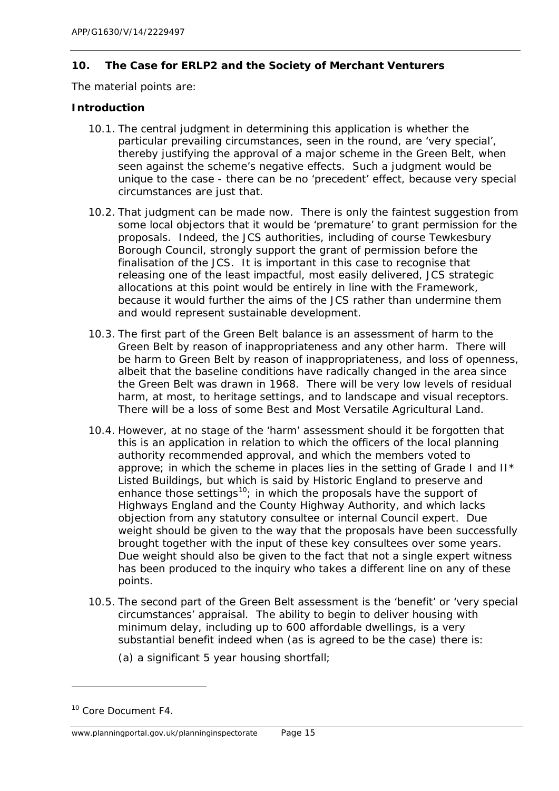## <span id="page-28-0"></span>**10. The Case for ERLP2 and the Society of Merchant Venturers**

The material points are:

## *Introduction*

- 10.1. The central judgment in determining this application is whether the particular prevailing circumstances, seen in the round, are 'very special', thereby justifying the approval of a major scheme in the Green Belt, when seen against the scheme's negative effects. Such a judgment would be unique to the case - there can be no 'precedent' effect, because very special circumstances are just that.
- 10.2. That judgment can be made now. There is only the faintest suggestion from some local objectors that it would be 'premature' to grant permission for the proposals. Indeed, the JCS authorities, including of course Tewkesbury Borough Council, strongly support the grant of permission before the finalisation of the JCS. It is important in this case to recognise that releasing one of the least impactful, most easily delivered, JCS strategic allocations at this point would be entirely in line with the Framework, because it would further the aims of the JCS rather than undermine them and would represent sustainable development.
- 10.3. The first part of the Green Belt balance is an assessment of harm to the Green Belt by reason of inappropriateness and any other harm. There will be harm to Green Belt by reason of inappropriateness, and loss of openness, albeit that the baseline conditions have radically changed in the area since the Green Belt was drawn in 1968. There will be very low levels of residual harm, at most, to heritage settings, and to landscape and visual receptors. There will be a loss of some Best and Most Versatile Agricultural Land.
- 10.4. However, at no stage of the 'harm' assessment should it be forgotten that this is an application in relation to which the officers of the local planning authority recommended approval, and which the members voted to approve; in which the scheme in places lies in the setting of Grade I and II\* Listed Buildings, but which is said by Historic England to preserve and enhance those settings<sup>[10](#page-28-1)</sup>; in which the proposals have the support of Highways England and the County Highway Authority, and which lacks objection from any statutory consultee or internal Council expert. Due weight should be given to the way that the proposals have been successfully brought together with the input of these key consultees over some years. Due weight should also be given to the fact that not a single expert witness has been produced to the inquiry who takes a different line on any of these points.
- 10.5. The second part of the Green Belt assessment is the 'benefit' or 'very special circumstances' appraisal. The ability to begin to deliver housing with minimum delay, including up to 600 affordable dwellings, is a very substantial benefit indeed when (as is agreed to be the case) there is:
	- (a) a significant 5 year housing shortfall;

<span id="page-28-1"></span><sup>&</sup>lt;sup>10</sup> Core Document F4.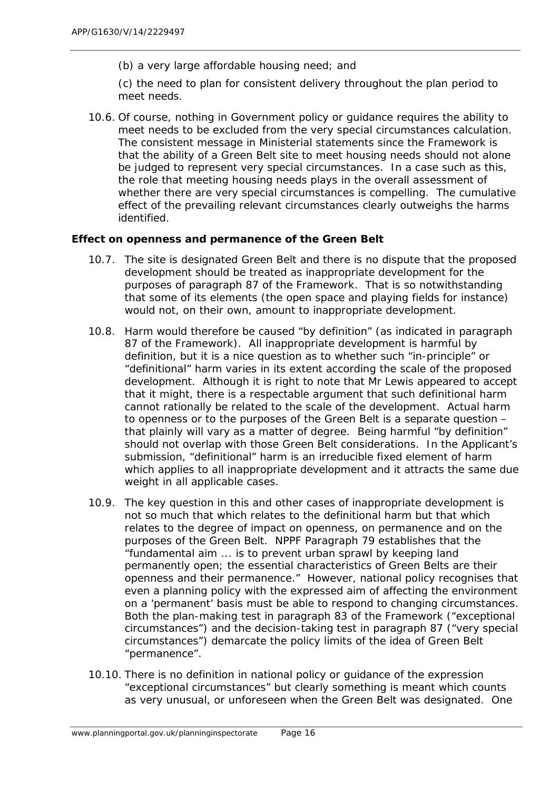(b) a very large affordable housing need; and

(c) the need to plan for consistent delivery throughout the plan period to meet needs.

10.6. Of course, nothing in Government policy or guidance requires the ability to meet needs to be excluded from the very special circumstances calculation. The consistent message in Ministerial statements since the Framework is that the ability of a Green Belt site to meet housing needs should not alone be judged to represent very special circumstances. In a case such as this, the role that meeting housing needs plays in the overall assessment of whether there are very special circumstances is compelling. The cumulative effect of the prevailing relevant circumstances clearly outweighs the harms identified.

#### *Effect on openness and permanence of the Green Belt*

- 10.7. The site is designated Green Belt and there is no dispute that the proposed development should be treated as inappropriate development for the purposes of paragraph 87 of the Framework. That is so notwithstanding that some of its elements (the open space and playing fields for instance) would not, on their own, amount to inappropriate development.
- 10.8. Harm would therefore be caused "by definition" (as indicated in paragraph 87 of the Framework). All inappropriate development is harmful by definition, but it is a nice question as to whether such "in-principle" or "definitional" harm varies in its extent according the scale of the proposed development. Although it is right to note that Mr Lewis appeared to accept that it might, there is a respectable argument that such definitional harm cannot rationally be related to the scale of the development. Actual harm to openness or to the purposes of the Green Belt is a separate question – that plainly will vary as a matter of degree. Being harmful "by definition" should not overlap with those Green Belt considerations. In the Applicant's submission, "definitional" harm is an irreducible fixed element of harm which applies to all inappropriate development and it attracts the same due weight in all applicable cases.
- 10.9. The key question in this and other cases of inappropriate development is not so much that which relates to the definitional harm but that which relates to the degree of impact on openness, on permanence and on the purposes of the Green Belt. NPPF Paragraph 79 establishes that the "fundamental aim ... is to prevent urban sprawl by keeping land permanently open; the essential characteristics of Green Belts are their openness and their permanence." However, national policy recognises that even a planning policy with the expressed aim of affecting the environment on a 'permanent' basis must be able to respond to changing circumstances. Both the plan-making test in paragraph 83 of the Framework ("exceptional circumstances") and the decision-taking test in paragraph 87 ("very special circumstances") demarcate the policy limits of the idea of Green Belt "permanence".
- 10.10. There is no definition in national policy or guidance of the expression "exceptional circumstances" but clearly something is meant which counts as very unusual, or unforeseen when the Green Belt was designated. One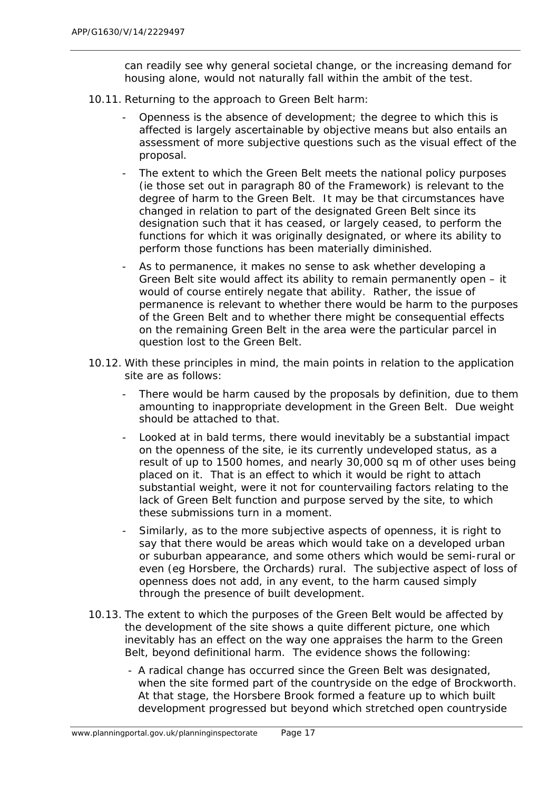can readily see why general societal change, or the increasing demand for housing alone, would not naturally fall within the ambit of the test.

- 10.11. Returning to the approach to Green Belt harm:
	- Openness is the absence of development; the degree to which this is affected is largely ascertainable by objective means but also entails an assessment of more subjective questions such as the visual effect of the proposal.
	- The extent to which the Green Belt meets the national policy purposes (ie those set out in paragraph 80 of the Framework) is relevant to the degree of harm to the Green Belt. It may be that circumstances have changed in relation to part of the designated Green Belt since its designation such that it has ceased, or largely ceased, to perform the functions for which it was originally designated, or where its ability to perform those functions has been materially diminished.
	- As to permanence, it makes no sense to ask whether developing a Green Belt site would affect its ability to remain permanently open – it would of course entirely negate that ability. Rather, the issue of permanence is relevant to whether there would be harm to the purposes of the Green Belt and to whether there might be consequential effects on the remaining Green Belt in the area were the particular parcel in question lost to the Green Belt.
- 10.12. With these principles in mind, the main points in relation to the application site are as follows:
	- There would be harm caused by the proposals by definition, due to them amounting to inappropriate development in the Green Belt. Due weight should be attached to that.
	- Looked at in bald terms, there would inevitably be a substantial impact on the openness of the site, ie its currently undeveloped status, as a result of up to 1500 homes, and nearly 30,000 sq m of other uses being placed on it. That is an effect to which it would be right to attach substantial weight, were it not for countervailing factors relating to the lack of Green Belt function and purpose served by the site, to which these submissions turn in a moment.
	- Similarly, as to the more subjective aspects of openness, it is right to say that there would be areas which would take on a developed urban or suburban appearance, and some others which would be semi-rural or even (eg Horsbere, the Orchards) rural. The subjective aspect of loss of openness does not add, in any event, to the harm caused simply through the presence of built development.
- 10.13. The extent to which the purposes of the Green Belt would be affected by the development of the site shows a quite different picture, one which inevitably has an effect on the way one appraises the harm to the Green Belt, beyond definitional harm. The evidence shows the following:
	- A radical change has occurred since the Green Belt was designated, when the site formed part of the countryside on the edge of Brockworth. At that stage, the Horsbere Brook formed a feature up to which built development progressed but beyond which stretched open countryside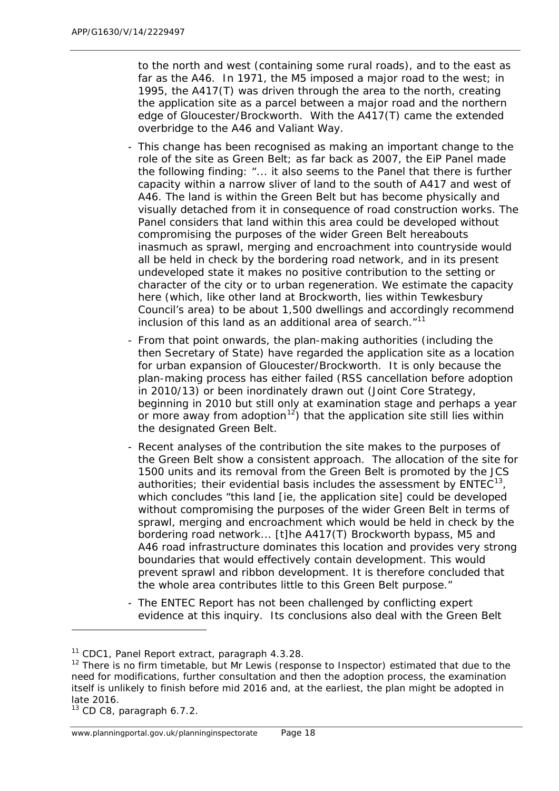to the north and west (containing some rural roads), and to the east as far as the A46. In 1971, the M5 imposed a major road to the west; in 1995, the A417(T) was driven through the area to the north, creating the application site as a parcel between a major road and the northern edge of Gloucester/Brockworth. With the A417(T) came the extended overbridge to the A46 and Valiant Way.

- This change has been recognised as making an important change to the role of the site as Green Belt; as far back as 2007, the EiP Panel made the following finding: *"... it also seems to the Panel that there is further capacity within a narrow sliver of land to the south of A417 and west of A46. The land is within the Green Belt but has become physically and visually detached from it in consequence of road construction works. The Panel considers that land within this area could be developed without compromising the purposes of the wider Green Belt hereabouts inasmuch as sprawl, merging and encroachment into countryside would all be held in check by the bordering road network, and in its present undeveloped state it makes no positive contribution to the setting or character of the city or to urban regeneration. We estimate the capacity here (which, like other land at Brockworth, lies within Tewkesbury Council's area) to be about 1,500 dwellings and accordingly recommend inclusion of this land as an additional area of search."*[11](#page-31-0)
- From that point onwards, the plan-making authorities (including the then Secretary of State) have regarded the application site as a location for urban expansion of Gloucester/Brockworth. It is only because the plan-making process has either failed (RSS cancellation before adoption in 2010/13) or been inordinately drawn out (Joint Core Strategy, beginning in 2010 but still only at examination stage and perhaps a year or more away from adoption<sup>12</sup>) that the application site still lies within the designated Green Belt.
- Recent analyses of the contribution the site makes to the purposes of the Green Belt show a consistent approach. The allocation of the site for 1500 units and its removal from the Green Belt is promoted by the JCS authorities; their evidential basis includes the assessment by  $EMTEC<sup>13</sup>$ , which concludes "*this land [ie, the application site] could be developed without compromising the purposes of the wider Green Belt in terms of sprawl, merging and encroachment which would be held in check by the bordering road network... [t]he A417(T) Brockworth bypass, M5 and A46 road infrastructure dominates this location and provides very strong boundaries that would effectively contain development. This would prevent sprawl and ribbon development. It is therefore concluded that the whole area contributes little to this Green Belt purpose.*"
- The ENTEC Report has not been challenged by conflicting expert evidence at this inquiry. Its conclusions also deal with the Green Belt

<span id="page-31-2"></span> $13$  CD C8, paragraph 6.7.2.

<span id="page-31-0"></span><sup>&</sup>lt;sup>11</sup> CDC1, Panel Report extract, paragraph 4.3.28.

<span id="page-31-1"></span> $12$  There is no firm timetable, but Mr Lewis (response to Inspector) estimated that due to the need for modifications, further consultation and then the adoption process, the examination itself is unlikely to finish before mid 2016 and, at the earliest, the plan might be adopted in late 2016.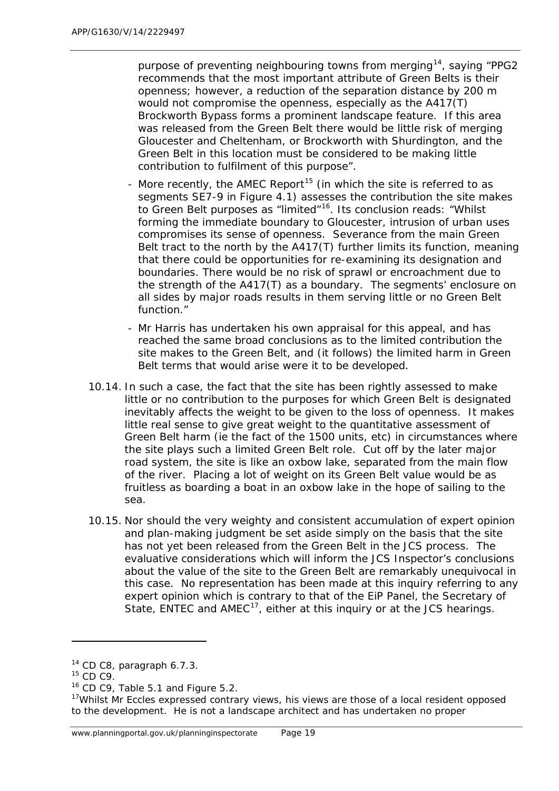purpose of preventing neighbouring towns from merging[14,](#page-32-0) saying "*PPG2 recommends that the most important attribute of Green Belts is their openness; however, a reduction of the separation distance by 200 m would not compromise the openness, especially as the A417(T) Brockworth Bypass forms a prominent landscape feature. If this area was released from the Green Belt there would be little risk of merging Gloucester and Cheltenham, or Brockworth with Shurdington, and the Green Belt in this location must be considered to be making little contribution to fulfilment of this purpose*".

- More recently, the AMEC Report<sup>[15](#page-32-1)</sup> (in which the site is referred to as segments SE7-9 in Figure 4.1) assesses the contribution the site makes to Green Belt purposes as "limited"[16.](#page-32-2) Its conclusion reads: "*Whilst forming the immediate boundary to Gloucester, intrusion of urban uses compromises its sense of openness. Severance from the main Green Belt tract to the north by the A417(T) further limits its function, meaning that there could be opportunities for re-examining its designation and boundaries. There would be no risk of sprawl or encroachment due to the strength of the A417(T) as a boundary. The segments' enclosure on all sides by major roads results in them serving little or no Green Belt function*."
- Mr Harris has undertaken his own appraisal for this appeal, and has reached the same broad conclusions as to the limited contribution the site makes to the Green Belt, and (it follows) the limited harm in Green Belt terms that would arise were it to be developed.
- 10.14. In such a case, the fact that the site has been rightly assessed to make little or no contribution to the purposes for which Green Belt is designated inevitably affects the weight to be given to the loss of openness. It makes little real sense to give great weight to the quantitative assessment of Green Belt harm (ie the fact of the 1500 units, etc) in circumstances where the site plays such a limited Green Belt role. Cut off by the later major road system, the site is like an oxbow lake, separated from the main flow of the river. Placing a lot of weight on its Green Belt value would be as fruitless as boarding a boat in an oxbow lake in the hope of sailing to the sea.
- 10.15. Nor should the very weighty and consistent accumulation of expert opinion and plan-making judgment be set aside simply on the basis that the site has not yet been released from the Green Belt in the JCS process. The evaluative considerations which will inform the JCS Inspector's conclusions about the value of the site to the Green Belt are remarkably unequivocal in this case. No representation has been made at this inquiry referring to any expert opinion which is contrary to that of the EiP Panel, the Secretary of State, ENTEC and  $AMEC^{17}$ , either at this inquiry or at the JCS hearings.

1

<span id="page-32-0"></span><sup>&</sup>lt;sup>14</sup> CD C8, paragraph 6.7.3.

<span id="page-32-1"></span><sup>15</sup> CD C9.

<span id="page-32-2"></span><sup>&</sup>lt;sup>16</sup> CD C9, Table 5.1 and Figure 5.2.

<span id="page-32-3"></span><sup>&</sup>lt;sup>17</sup>Whilst Mr Eccles expressed contrary views, his views are those of a local resident opposed to the development. He is not a landscape architect and has undertaken no proper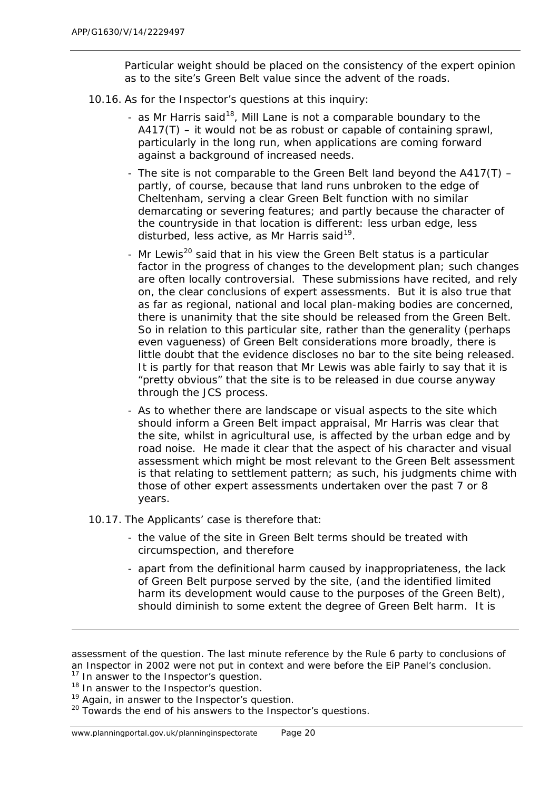Particular weight should be placed on the consistency of the expert opinion as to the site's Green Belt value since the advent of the roads.

- 10.16. As for the Inspector's questions at this inquiry:
	- as Mr Harris said<sup>18</sup>, Mill Lane is not a comparable boundary to the  $A417(T)$  – it would not be as robust or capable of containing sprawl, particularly in the long run, when applications are coming forward against a background of increased needs.
	- The site is not comparable to the Green Belt land beyond the A417(T) partly, of course, because that land runs unbroken to the edge of Cheltenham, serving a clear Green Belt function with no similar demarcating or severing features; and partly because the character of the countryside in that location is different: less urban edge, less disturbed, less active, as Mr Harris said $^{19}$  $^{19}$  $^{19}$ .
	- Mr Lewis<sup>[20](#page-33-2)</sup> said that in his view the Green Belt status is a particular factor in the progress of changes to the development plan; such changes are often locally controversial. These submissions have recited, and rely on, the clear conclusions of expert assessments. But it is also true that as far as regional, national and local plan-making bodies are concerned, there is unanimity that the site should be released from the Green Belt. So in relation to this particular site, rather than the generality (perhaps even vagueness) of Green Belt considerations more broadly, there is little doubt that the evidence discloses no bar to the site being released. It is partly for that reason that Mr Lewis was able fairly to say that it is "pretty obvious" that the site is to be released in due course anyway through the JCS process.
	- As to whether there are landscape or visual aspects to the site which should inform a Green Belt impact appraisal, Mr Harris was clear that the site, whilst in agricultural use, is affected by the urban edge and by road noise. He made it clear that the aspect of his character and visual assessment which might be most relevant to the Green Belt assessment is that relating to settlement pattern; as such, his judgments chime with those of other expert assessments undertaken over the past 7 or 8 years.
- 10.17. The Applicants' case is therefore that:
	- the value of the site in Green Belt terms should be treated with circumspection, and therefore
	- apart from the definitional harm caused by inappropriateness, the lack of Green Belt purpose served by the site, (and the identified limited harm its development would cause to the purposes of the Green Belt), should diminish to some extent the degree of Green Belt harm. It is

assessment of the question. The last minute reference by the Rule 6 party to conclusions of an Inspector in 2002 were not put in context and were before the EiP Panel's conclusion.

 $17$  In answer to the Inspector's question.

<span id="page-33-0"></span><sup>&</sup>lt;sup>18</sup> In answer to the Inspector's question.

<span id="page-33-1"></span><sup>&</sup>lt;sup>19</sup> Again, in answer to the Inspector's question.

<span id="page-33-2"></span> $20$  Towards the end of his answers to the Inspector's questions.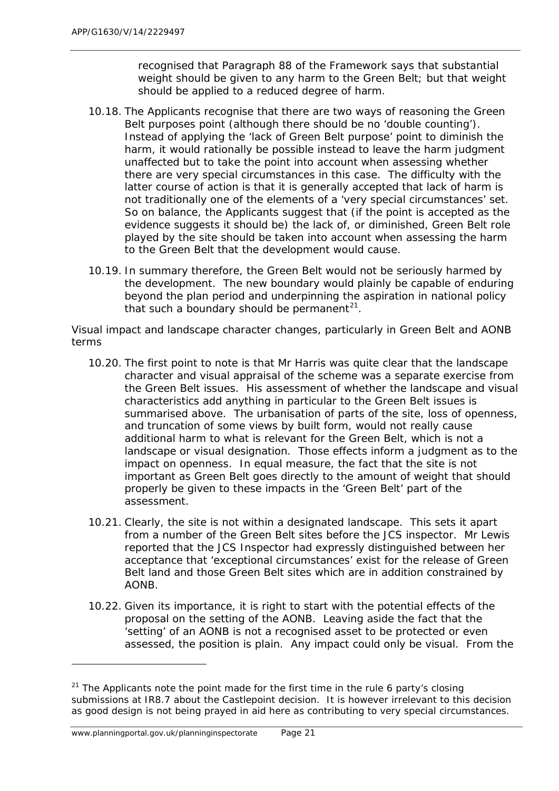recognised that Paragraph 88 of the Framework says that substantial weight should be given to *any* harm to the Green Belt; but that weight should be applied to a reduced degree of harm.

- 10.18. The Applicants recognise that there are two ways of reasoning the Green Belt purposes point (although there should be no 'double counting'). Instead of applying the 'lack of Green Belt purpose' point to diminish the *harm*, it would rationally be possible instead to leave the harm judgment unaffected but to take the point into account when assessing whether there are very special circumstances in this case. The difficulty with the latter course of action is that it is generally accepted that lack of harm is not traditionally one of the elements of a 'very special circumstances' set. So on balance, the Applicants suggest that (if the point is accepted as the evidence suggests it should be) the lack of, or diminished, Green Belt role played by the site should be taken into account when assessing the harm to the Green Belt that the development would cause.
- 10.19. In summary therefore, the Green Belt would not be seriously harmed by the development. The new boundary would plainly be capable of enduring beyond the plan period and underpinning the aspiration in national policy that such a boundary should be permanent<sup>21</sup>.

## *Visual impact and landscape character changes, particularly in Green Belt and AONB terms*

- 10.20. The first point to note is that Mr Harris was quite clear that the landscape character and visual appraisal of the scheme was a separate exercise from the Green Belt issues. His assessment of whether the landscape and visual characteristics add anything in particular to the Green Belt issues is summarised above. The urbanisation of parts of the site, loss of openness, and truncation of some views by built form, would not really cause additional harm to what is relevant for the Green Belt, which is not a landscape or visual designation. Those effects inform a judgment as to the impact on openness. In equal measure, the fact that the site is not important *as Green Belt* goes directly to the amount of weight that should properly be given to these impacts in the 'Green Belt' part of the assessment.
- 10.21. Clearly, the site is not within a designated landscape. This sets it apart from a number of the Green Belt sites before the JCS inspector. Mr Lewis reported that the JCS Inspector had expressly distinguished between her acceptance that 'exceptional circumstances' exist for the release of Green Belt land and those Green Belt sites which are in addition constrained by AONB.
- 10.22. Given its importance, it is right to start with the potential effects of the proposal on the setting of the AONB. Leaving aside the fact that the 'setting' of an AONB is not a recognised asset to be protected or even assessed, the position is plain. Any impact could only be visual. From the

<span id="page-34-0"></span> $21$  The Applicants note the point made for the first time in the rule 6 party's closing submissions at IR8.7 about the *Castlepoint* decision. It is however irrelevant to this decision as good design is not being prayed in aid here as contributing to very special circumstances.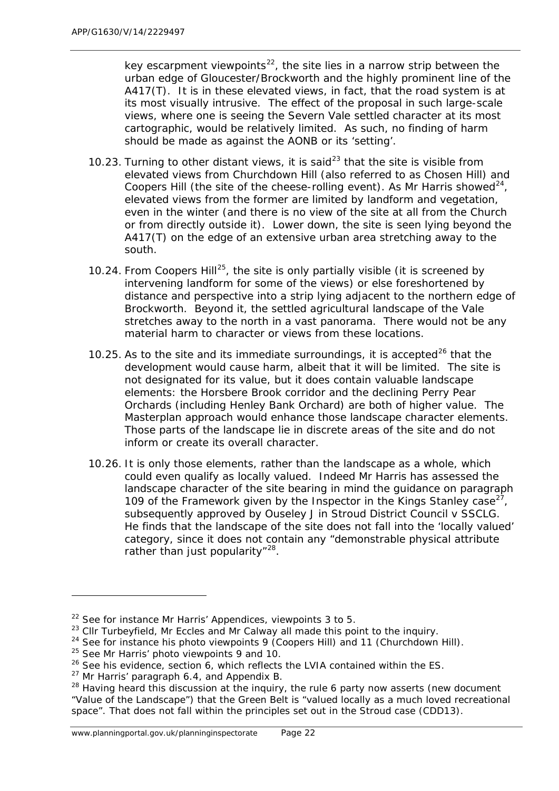key escarpment viewpoints<sup>22</sup>, the site lies in a narrow strip between the urban edge of Gloucester/Brockworth and the highly prominent line of the A417(T). It is in these elevated views, in fact, that the road system is at its most visually intrusive. The effect of the proposal in such large-scale views, where one is seeing the Severn Vale settled character at its most cartographic, would be relatively limited. As such, no finding of harm should be made as against the AONB or its 'setting'.

- 10.[23](#page-35-1). Turning to other distant views, it is said<sup>23</sup> that the site is visible from elevated views from Churchdown Hill (also referred to as Chosen Hill) and Coopers Hill (the site of the cheese-rolling event). As Mr Harris showed<sup>[24](#page-35-2)</sup>, elevated views from the former are limited by landform and vegetation, even in the winter (and there is no view of the site at all from the Church or from directly outside it). Lower down, the site is seen lying beyond the A417(T) on the edge of an extensive urban area stretching away to the south.
- 10.24. From Coopers Hill<sup>25</sup>, the site is only partially visible (it is screened by intervening landform for some of the views) or else foreshortened by distance and perspective into a strip lying adjacent to the northern edge of Brockworth. Beyond it, the settled agricultural landscape of the Vale stretches away to the north in a vast panorama. There would not be any material harm to character or views from these locations.
- 10.25. As to the site and its immediate surroundings, it is accepted<sup>[26](#page-35-4)</sup> that the development would cause harm, albeit that it will be limited. The site is not designated for its value, but it does contain valuable landscape elements: the Horsbere Brook corridor and the declining Perry Pear Orchards (including Henley Bank Orchard) are both of higher value. The Masterplan approach would enhance those landscape character elements. Those parts of the landscape lie in discrete areas of the site and do not inform or create its overall character.
- 10.26. It is only those elements, rather than the landscape as a whole, which could even qualify as locally valued. Indeed Mr Harris has assessed the landscape character of the site bearing in mind the guidance on paragraph 109 of the Framework given by the Inspector in the Kings Stanley case<sup>[27](#page-35-5)</sup>, subsequently approved by Ouseley J in *Stroud District Council v SSCLG.* He finds that the landscape of the site does not fall into the 'locally valued' category, since it does not contain any "demonstrable physical attribute rather than just popularity"<sup>28</sup>.

1

<span id="page-35-0"></span> $22$  See for instance Mr Harris' Appendices, viewpoints 3 to 5.

<span id="page-35-1"></span><sup>&</sup>lt;sup>23</sup> Cllr Turbeyfield, Mr Eccles and Mr Calway all made this point to the inquiry.

<span id="page-35-2"></span> $24$  See for instance his photo viewpoints 9 (Coopers Hill) and 11 (Churchdown Hill).

<span id="page-35-3"></span><sup>&</sup>lt;sup>25</sup> See Mr Harris' photo viewpoints 9 and 10.

<span id="page-35-4"></span> $26$  See his evidence, section 6, which reflects the LVIA contained within the ES.

<span id="page-35-5"></span><sup>&</sup>lt;sup>27</sup> Mr Harris' paragraph 6.4, and Appendix B.

<span id="page-35-6"></span> $28$  Having heard this discussion at the inquiry, the rule 6 party now asserts (new document "Value of the Landscape") that the Green Belt is "valued locally as a much loved recreational space". That does not fall within the principles set out in the Stroud case (CDD13).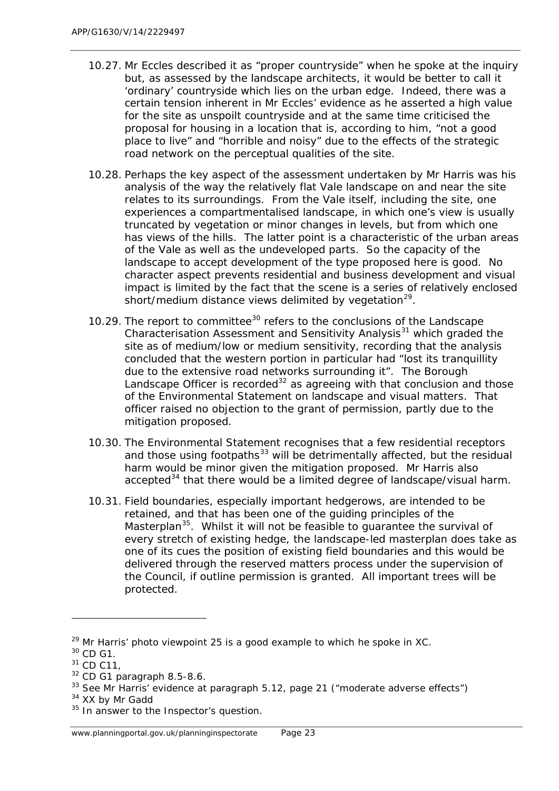- 10.27. Mr Eccles described it as "proper countryside" when he spoke at the inquiry but, as assessed by the landscape architects, it would be better to call it 'ordinary' countryside which lies on the urban edge. Indeed, there was a certain tension inherent in Mr Eccles' evidence as he asserted a high value for the site as unspoilt countryside and at the same time criticised the proposal for housing in a location that is, according to him, "not a good place to live" and "horrible and noisy" due to the effects of the strategic road network on the perceptual qualities of the site.
- 10.28. Perhaps the key aspect of the assessment undertaken by Mr Harris was his analysis of the way the relatively flat Vale landscape on and near the site relates to its surroundings. From the Vale itself, including the site, one experiences a compartmentalised landscape, in which one's view is usually truncated by vegetation or minor changes in levels, but from which one has views of the hills. The latter point is a characteristic of the urban areas of the Vale as well as the undeveloped parts. So the capacity of the landscape to accept development of the type proposed here is good. No character aspect prevents residential and business development and visual impact is limited by the fact that the scene is a series of relatively enclosed short/medium distance views delimited by vegetation $^{29}$  $^{29}$  $^{29}$ .
- 10.29. The report to committee<sup>[30](#page-36-1)</sup> refers to the conclusions of the *Landscape Characterisation Assessment and Sensitivity Analysis[31](#page-36-2)* which graded the site as of medium/low or medium sensitivity, recording that the analysis concluded that the western portion in particular had "lost its tranquillity due to the extensive road networks surrounding it". The Borough Landscape Officer is recorded<sup>[32](#page-36-3)</sup> as agreeing with that conclusion and those of the Environmental Statement on landscape and visual matters. That officer raised no objection to the grant of permission, partly due to the mitigation proposed.
- 10.30. The Environmental Statement recognises that a few residential receptors and those using footpaths $33$  will be detrimentally affected, but the residual harm would be minor given the mitigation proposed. Mr Harris also  $b^3$  accepted<sup>[34](#page-36-5)</sup> that there would be a limited degree of landscape/visual harm.
- 10.31. Field boundaries, especially important hedgerows, are intended to be retained, and that has been one of the guiding principles of the Masterplan<sup>35</sup>. Whilst it will not be feasible to quarantee the survival of every stretch of existing hedge, the landscape-led masterplan does take as one of its cues the position of existing field boundaries and this would be delivered through the reserved matters process under the supervision of the Council, if outline permission is granted. All important trees will be protected.

1

<span id="page-36-5"></span><sup>34</sup> XX by Mr Gadd

<span id="page-36-0"></span> $29$  Mr Harris' photo viewpoint 25 is a good example to which he spoke in XC.

<span id="page-36-1"></span> $30$  CD G1.

<span id="page-36-2"></span> $31$  CD C11,

<span id="page-36-3"></span><sup>32</sup> CD G1 paragraph 8.5-8.6.

<span id="page-36-4"></span><sup>&</sup>lt;sup>33</sup> See Mr Harris' evidence at paragraph 5.12, page 21 ("moderate adverse effects")

<span id="page-36-6"></span><sup>&</sup>lt;sup>35</sup> In answer to the Inspector's question.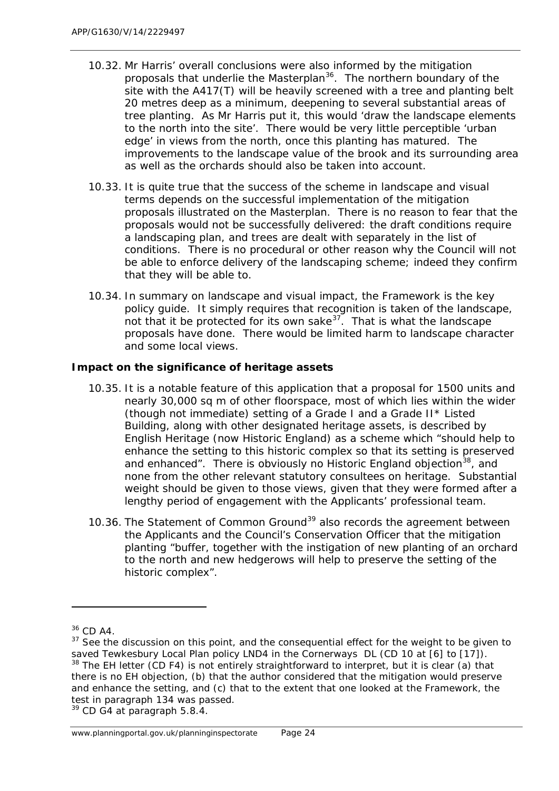- 10.32. Mr Harris' overall conclusions were also informed by the mitigation proposals that underlie the Masterplan<sup>36</sup>. The northern boundary of the site with the A417(T) will be heavily screened with a tree and planting belt 20 metres deep as a minimum, deepening to several substantial areas of tree planting. As Mr Harris put it, this would 'draw the landscape elements to the north into the site'. There would be very little perceptible 'urban edge' in views from the north, once this planting has matured. The improvements to the landscape value of the brook and its surrounding area as well as the orchards should also be taken into account.
- 10.33. It is quite true that the success of the scheme in landscape and visual terms depends on the successful implementation of the mitigation proposals illustrated on the Masterplan. There is no reason to fear that the proposals would not be successfully delivered: the draft conditions require a landscaping plan, and trees are dealt with separately in the list of conditions. There is no procedural or other reason why the Council will not be able to enforce delivery of the landscaping scheme; indeed they confirm that they will be able to.
- 10.34. In summary on landscape and visual impact, the Framework is the key policy guide. It simply requires that recognition is taken of the landscape, not that it be protected for its own sake<sup>[37](#page-37-1)</sup>. That is what the landscape proposals have done. There would be limited harm to landscape character and some local views.

## *Impact on the significance of heritage assets*

- 10.35. It is a notable feature of this application that a proposal for 1500 units and nearly 30,000 sq m of other floorspace, most of which lies within the wider (though not immediate) setting of a Grade I and a Grade II\* Listed Building, along with other designated heritage assets, is described by English Heritage (now Historic England) as a scheme which *"should help to enhance the setting to this historic complex so that its setting is preserved*  and enhanced". There is obviously no Historic England objection<sup>38</sup>, and none from the other relevant statutory consultees on heritage. Substantial weight should be given to those views, given that they were formed after a lengthy period of engagement with the Applicants' professional team.
- 10.36. The Statement of Common Ground<sup>[39](#page-37-3)</sup> also records the agreement between the Applicants and the Council's Conservation Officer that the mitigation planting *"buffer, together with the instigation of new planting of an orchard to the north and new hedgerows will help to preserve the setting of the historic complex"*.

l

<span id="page-37-3"></span><sup>39</sup> CD G4 at paragraph 5.8.4.

<span id="page-37-0"></span><sup>36</sup> CD A4.

<span id="page-37-2"></span><span id="page-37-1"></span> $37$  See the discussion on this point, and the consequential effect for the weight to be given to saved Tewkesbury Local Plan policy LND4 in the *Cornerways* DL (CD 10 at [6] to [17]). <sup>38</sup> The EH letter (CD F4) is not entirely straightforward to interpret, but it is clear (a) that there is no EH objection, (b) that the author considered that the mitigation would preserve and enhance the setting, and (c) that to the extent that one looked at the Framework, the test in paragraph 134 was passed.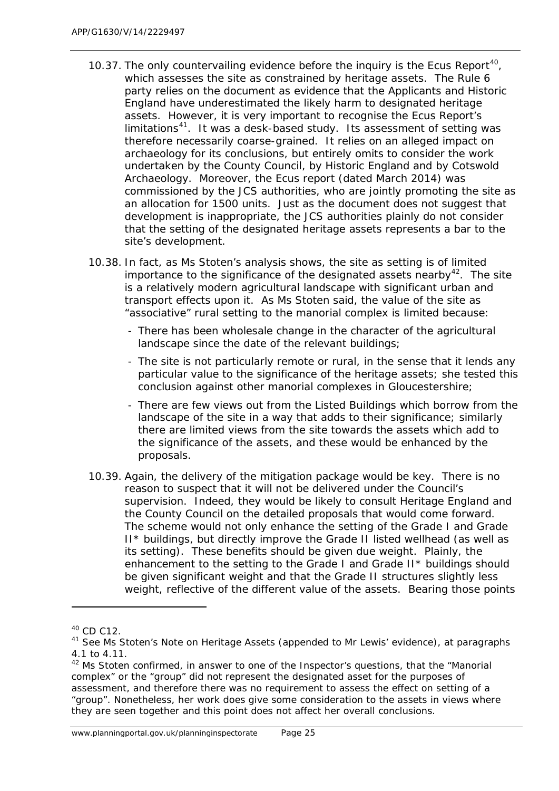- 10.37. The only countervailing evidence before the inquiry is the Ecus Report<sup>40</sup>, which assesses the site as constrained by heritage assets. The Rule 6 party relies on the document as evidence that the Applicants and Historic England have underestimated the likely harm to designated heritage assets. However, it is very important to recognise the Ecus Report's limitations<sup>41</sup>. It was a desk-based study. Its assessment of setting was therefore necessarily coarse-grained. It relies on an alleged impact on archaeology for its conclusions, but entirely omits to consider the work undertaken by the County Council, by Historic England and by Cotswold Archaeology. Moreover, the Ecus report (dated March 2014) was commissioned by the JCS authorities, who are jointly promoting the site as an allocation for 1500 units. Just as the document does not suggest that development is inappropriate, the JCS authorities plainly do not consider that the setting of the designated heritage assets represents a bar to the site's development.
- 10.38. In fact, as Ms Stoten's analysis shows, the site as *setting* is of limited importance to the significance of the designated assets nearby<sup>42</sup>. The site is a relatively modern agricultural landscape with significant urban and transport effects upon it. As Ms Stoten said, the value of the site as "associative" rural setting to the manorial complex is limited because:
	- There has been wholesale change in the character of the agricultural landscape since the date of the relevant buildings;
	- The site is not particularly remote or rural, in the sense that it lends any particular value to the significance of the heritage assets; she tested this conclusion against other manorial complexes in Gloucestershire;
	- There are few views out from the Listed Buildings which borrow from the landscape of the site in a way that adds to their significance; similarly there are limited views from the site towards the assets which add to the significance of the assets, and these would be enhanced by the proposals.
- 10.39. Again, the delivery of the mitigation package would be key. There is no reason to suspect that it will not be delivered under the Council's supervision. Indeed, they would be likely to consult Heritage England and the County Council on the detailed proposals that would come forward. The scheme would not only enhance the setting of the Grade I and Grade II\* buildings, but directly improve the Grade II listed wellhead (as well as its setting). These benefits should be given due weight. Plainly, the enhancement to the setting to the Grade I and Grade II\* buildings should be given significant weight and that the Grade II structures slightly less weight, reflective of the different value of the assets. Bearing those points

<span id="page-38-0"></span><sup>40</sup> CD C12.

<span id="page-38-1"></span><sup>&</sup>lt;sup>41</sup> See Ms Stoten's Note on Heritage Assets (appended to Mr Lewis' evidence), at paragraphs 4.1 to 4.11.

<span id="page-38-2"></span> $42$  Ms Stoten confirmed, in answer to one of the Inspector's questions, that the "Manorial complex" or the "group" did not represent the designated asset for the purposes of assessment, and therefore there was no requirement to assess the effect on setting of a "group". Nonetheless, her work does give some consideration to the assets in views where they are seen together and this point does not affect her overall conclusions.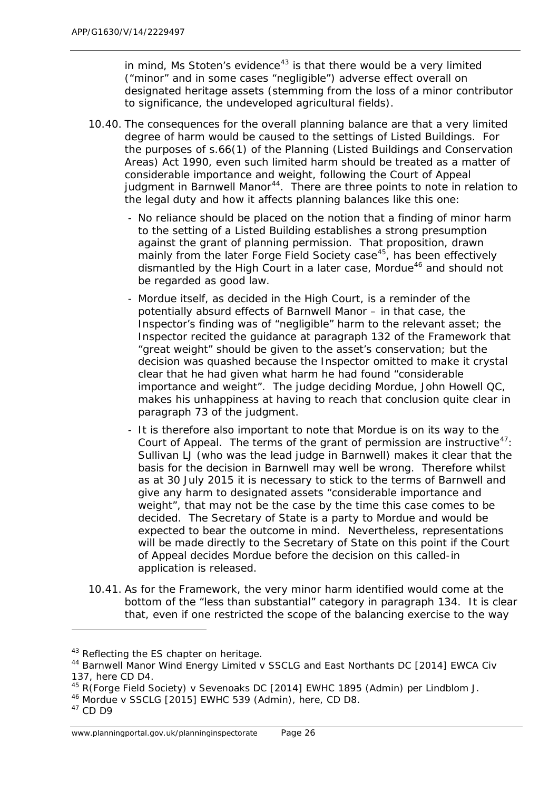in mind, Ms Stoten's evidence<sup>[43](#page-39-0)</sup> is that there would be a very limited ("minor" and in some cases "negligible") adverse effect overall on designated heritage assets (stemming from the loss of a minor contributor to significance, the undeveloped agricultural fields).

- 10.40. The consequences for the overall planning balance are that a very limited degree of harm would be caused to the settings of Listed Buildings. For the purposes of s.66(1) of the Planning (Listed Buildings and Conservation Areas) Act 1990, even such limited harm should be treated as a matter of considerable importance and weight, following the Court of Appeal judgment in *Barnwell Manor[44](#page-39-1)*. There are three points to note in relation to the legal duty and how it affects planning balances like this one:
	- No reliance should be placed on the notion that a finding of minor harm to the setting of a Listed Building establishes a strong presumption against the grant of planning permission. That proposition, drawn mainly from the later *Forge Field Society* case<sup>[45](#page-39-2)</sup>, has been effectively dismantled by the High Court in a later case, *Mordue[46](#page-39-3)* and should not be regarded as good law.
	- *Mordue* itself, as decided in the High Court, is a reminder of the potentially absurd effects of *Barnwell Manor* – in that case, the Inspector's finding was of "negligible" harm to the relevant asset; the Inspector recited the guidance at paragraph 132 of the Framework that "great weight" should be given to the asset's conservation; but the decision was quashed because the Inspector omitted to make it crystal clear that he had given what harm he had found "considerable importance and weight". The judge deciding *Mordue*, John Howell QC, makes his unhappiness at having to reach that conclusion quite clear in paragraph 73 of the judgment.
	- It is therefore also important to note that *Mordue* is on its way to the Court of Appeal. The terms of the grant of permission are instructive $47$ : Sullivan LJ (who was the lead judge in *Barnwell*) makes it clear that the basis for the decision in *Barnwell* may well be wrong. Therefore whilst as at 30 July 2015 it is necessary to stick to the terms of *Barnwell* and give any harm to designated assets "considerable importance and weight", that may not be the case by the time this case comes to be decided. The Secretary of State is a party to *Mordue* and would be expected to bear the outcome in mind. Nevertheless, representations will be made directly to the Secretary of State on this point if the Court of Appeal decides *Mordue* before the decision on this called-in application is released.
- 10.41. As for the Framework, the very minor harm identified would come at the bottom of the "less than substantial" category in paragraph 134. It is clear that, even if one restricted the scope of the balancing exercise to the way

<span id="page-39-0"></span><sup>&</sup>lt;sup>43</sup> Reflecting the ES chapter on heritage.

<span id="page-39-1"></span><sup>44</sup> *Barnwell Manor Wind Energy Limited v SSCLG and East Northants DC* [2014] EWCA Civ 137, here CD D4.

<span id="page-39-2"></span><sup>45</sup> *R(Forge Field Society) v Sevenoaks DC* [2014] EWHC 1895 (Admin) per Lindblom J.

<span id="page-39-3"></span><sup>46</sup> *Mordue v SSCLG* [2015] EWHC 539 (Admin), here, CD D8.

<span id="page-39-4"></span><sup>47</sup> CD D9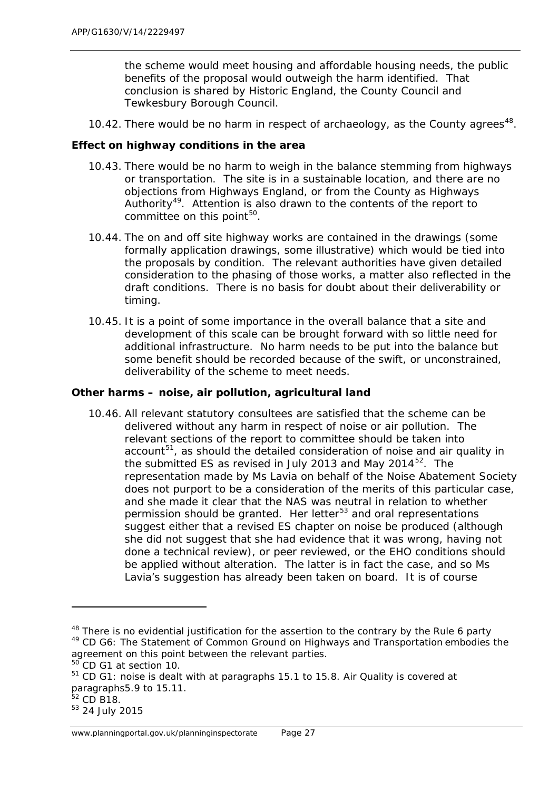the scheme would meet housing and affordable housing needs, the public benefits of the proposal would outweigh the harm identified. That conclusion is shared by Historic England, the County Council and Tewkesbury Borough Council.

10.42. There would be no harm in respect of archaeology, as the County agrees<sup>48</sup>.

## *Effect on highway conditions in the area*

- 10.43. There would be no harm to weigh in the balance stemming from highways or transportation. The site is in a sustainable location, and there are no objections from Highways England, or from the County as Highways Authority<sup>[49](#page-40-1)</sup>. Attention is also drawn to the contents of the report to committee on this point $50$ .
- 10.44. The on and off site highway works are contained in the drawings (some formally application drawings, some illustrative) which would be tied into the proposals by condition. The relevant authorities have given detailed consideration to the phasing of those works, a matter also reflected in the draft conditions. There is no basis for doubt about their deliverability or timing.
- 10.45. It is a point of some importance in the overall balance that a site and development of this scale can be brought forward with so little need for additional infrastructure. No harm needs to be put into the balance but some benefit should be recorded because of the swift, or unconstrained, deliverability of the scheme to meet needs.

## *Other harms – noise, air pollution, agricultural land*

10.46. All relevant statutory consultees are satisfied that the scheme can be delivered without any harm in respect of noise or air pollution. The relevant sections of the report to committee should be taken into  $account<sup>51</sup>$  $account<sup>51</sup>$  $account<sup>51</sup>$ , as should the detailed consideration of noise and air quality in the submitted ES as revised in July 2013 and May 2014 $^{52}$  $^{52}$  $^{52}$ . The representation made by Ms Lavia on behalf of the Noise Abatement Society does not purport to be a consideration of the merits of this particular case, and she made it clear that the NAS was neutral in relation to whether permission should be granted. Her letter<sup>[53](#page-40-5)</sup> and oral representations suggest either that a revised ES chapter on noise be produced (although she did not suggest that she had evidence that it was wrong, having not done a technical review), or peer reviewed, or the EHO conditions should be applied without alteration. The latter is in fact the case, and so Ms Lavia's suggestion has already been taken on board. It is of course

<span id="page-40-1"></span><span id="page-40-0"></span> $48$  There is no evidential justification for the assertion to the contrary by the Rule 6 party <sup>49</sup> CD G6: The Statement of Common Ground on Highways and Transportation embodies the agreement on this point between the relevant parties.

<span id="page-40-2"></span> $50$  CD G1 at section 10.

<span id="page-40-3"></span><sup>51</sup> CD G1: noise is dealt with at paragraphs 15.1 to 15.8. Air Quality is covered at paragraphs5.9 to 15.11.

<span id="page-40-4"></span> $52$  CD B18.

<span id="page-40-5"></span><sup>53</sup> 24 July 2015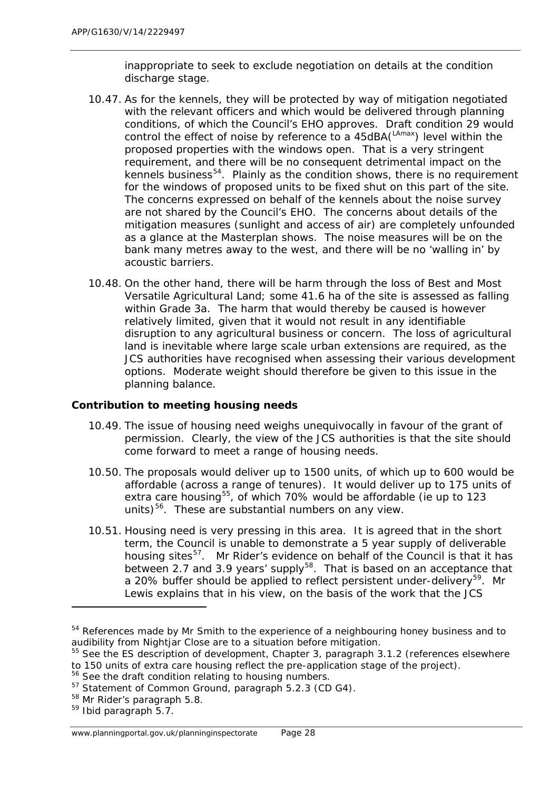inappropriate to seek to exclude negotiation on details at the condition discharge stage.

- 10.47. As for the kennels, they will be protected by way of mitigation negotiated with the relevant officers and which would be delivered through planning conditions, of which the Council's EHO approves. Draft condition 29 would control the effect of noise by reference to a  $45$ dBA( $\text{LAmax}$ ) level within the proposed properties *with the windows open*. That is a very stringent requirement, and there will be no consequent detrimental impact on the kennels business<sup>54</sup>. Plainly as the condition shows, there is no requirement for the windows of proposed units to be fixed shut on this part of the site. The concerns expressed on behalf of the kennels about the noise survey are not shared by the Council's EHO. The concerns about details of the mitigation measures (sunlight and access of air) are completely unfounded as a glance at the Masterplan shows. The noise measures will be on the bank many metres away to the west, and there will be no 'walling in' by acoustic barriers.
- 10.48. On the other hand, there will be harm through the loss of Best and Most Versatile Agricultural Land; some 41.6 ha of the site is assessed as falling within Grade 3a. The harm that would thereby be caused is however relatively limited, given that it would not result in any identifiable disruption to any agricultural business or concern. The loss of agricultural land is inevitable where large scale urban extensions are required, as the JCS authorities have recognised when assessing their various development options. Moderate weight should therefore be given to this issue in the planning balance.

#### *Contribution to meeting housing needs*

- 10.49. The issue of housing need weighs unequivocally in favour of the grant of permission. Clearly, the view of the JCS authorities is that the site should come forward to meet a range of housing needs.
- 10.50. The proposals would deliver up to 1500 units, of which up to 600 would be affordable (across a range of tenures). It would deliver up to 175 units of extra care housing<sup>[55](#page-41-1)</sup>, of which 70% would be affordable (ie up to 123 units) $56$ . These are substantial numbers on any view.
- 10.51. Housing need is very pressing in this area. It is agreed that in the short term, the Council is unable to demonstrate a 5 year supply of deliverable housing sites<sup>57</sup>. Mr Rider's evidence on behalf of the Council is that it has between 2.7 and 3.9 years' supply<sup>58</sup>. That is based on an acceptance that a 20% buffer should be applied to reflect persistent under-delivery<sup>59</sup>. Mr Lewis explains that in his view, on the basis of the work that the JCS

<span id="page-41-0"></span><sup>&</sup>lt;sup>54</sup> References made by Mr Smith to the experience of a neighbouring honey business and to audibility from Nightjar Close are to a situation before mitigation.

<span id="page-41-1"></span><sup>&</sup>lt;sup>55</sup> See the ES description of development, Chapter 3, paragraph 3.1.2 (references elsewhere to 150 units of extra care housing reflect the pre-application stage of the project).

<span id="page-41-2"></span><sup>&</sup>lt;sup>56</sup> See the draft condition relating to housing numbers.

<span id="page-41-3"></span><sup>57</sup> Statement of Common Ground, paragraph 5.2.3 (CD G4).

<span id="page-41-4"></span><sup>&</sup>lt;sup>58</sup> Mr Rider's paragraph 5.8.

<span id="page-41-5"></span><sup>59</sup> Ibid paragraph 5.7.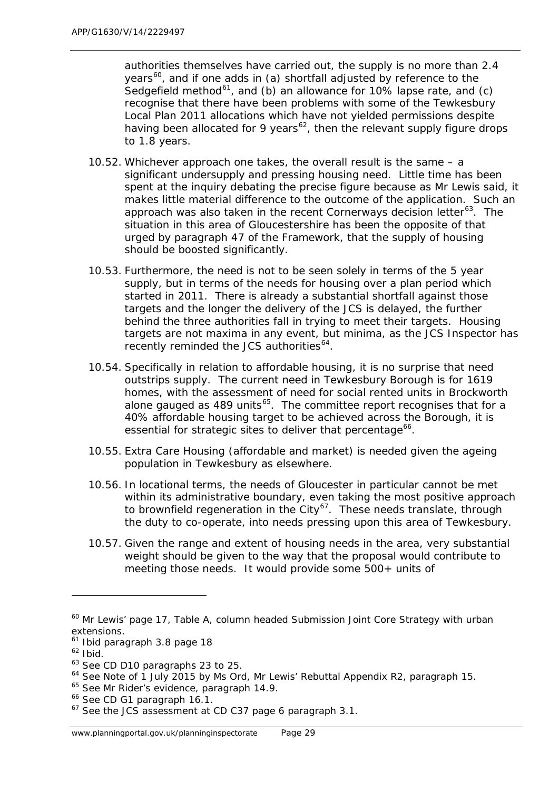authorities themselves have carried out, the supply is no more than 2.4 years<sup>[60](#page-42-0)</sup>, and if one adds in (a) shortfall adjusted by reference to the Sedgefield method<sup>61</sup>, and (b) an allowance for 10% lapse rate, and (c) recognise that there have been problems with some of the Tewkesbury Local Plan 2011 allocations which have not yielded permissions despite having been allocated for 9 years<sup>[62](#page-42-2)</sup>, then the relevant supply figure drops to 1.8 years.

- 10.52. Whichever approach one takes, the overall result is the same a significant undersupply and pressing housing need. Little time has been spent at the inquiry debating the precise figure because as Mr Lewis said, it makes little material difference to the outcome of the application. Such an approach was also taken in the recent *Cornerways* decision letter<sup>[63](#page-42-3)</sup>. The situation in this area of Gloucestershire has been the opposite of that urged by paragraph 47 of the Framework, that the supply of housing should be boosted significantly.
- 10.53. Furthermore, the need is not to be seen solely in terms of the 5 year supply, but in terms of the needs for housing over a plan period which started in 2011. There is already a substantial shortfall against those targets and the longer the delivery of the JCS is delayed, the further behind the three authorities fall in trying to meet their targets. Housing targets are not maxima in any event, but minima, as the JCS Inspector has recently reminded the JCS authorities<sup>[64](#page-42-4)</sup>.
- 10.54. Specifically in relation to affordable housing, it is no surprise that need outstrips supply. The current need in Tewkesbury Borough is for 1619 homes, with the assessment of need for social rented units in Brockworth alone gauged as  $489$  units<sup>[65](#page-42-5)</sup>. The committee report recognises that for a 40% affordable housing target to be achieved across the Borough, it is essential for strategic sites to deliver that percentage<sup>[66](#page-42-6)</sup>.
- 10.55. Extra Care Housing (affordable and market) is needed given the ageing population in Tewkesbury as elsewhere.
- 10.56. In locational terms, the needs of Gloucester in particular cannot be met within its administrative boundary, even taking the most positive approach to brownfield regeneration in the City<sup>67</sup>. These needs translate, through the duty to co-operate, into needs pressing upon this area of Tewkesbury.
- 10.57. Given the range and extent of housing needs in the area, very substantial weight should be given to the way that the proposal would contribute to meeting those needs. It would provide some 500+ units of

1

<span id="page-42-0"></span><sup>60</sup> Mr Lewis' page 17, Table A, column headed *Submission Joint Core Strategy with urban extensions.*

<span id="page-42-1"></span><sup>61</sup> Ibid paragraph 3.8 page 18

<span id="page-42-2"></span> $62$  Ibid.

<span id="page-42-3"></span><sup>63</sup> See CD D10 paragraphs 23 to 25.

<span id="page-42-4"></span><sup>&</sup>lt;sup>64</sup> See Note of 1 July 2015 by Ms Ord, Mr Lewis' Rebuttal Appendix R2, paragraph 15.

<span id="page-42-5"></span><sup>&</sup>lt;sup>65</sup> See Mr Rider's evidence, paragraph 14.9.

<span id="page-42-6"></span><sup>66</sup> See CD G1 paragraph 16.1.

<span id="page-42-7"></span><sup>&</sup>lt;sup>67</sup> See the JCS assessment at CD C37 page 6 paragraph 3.1.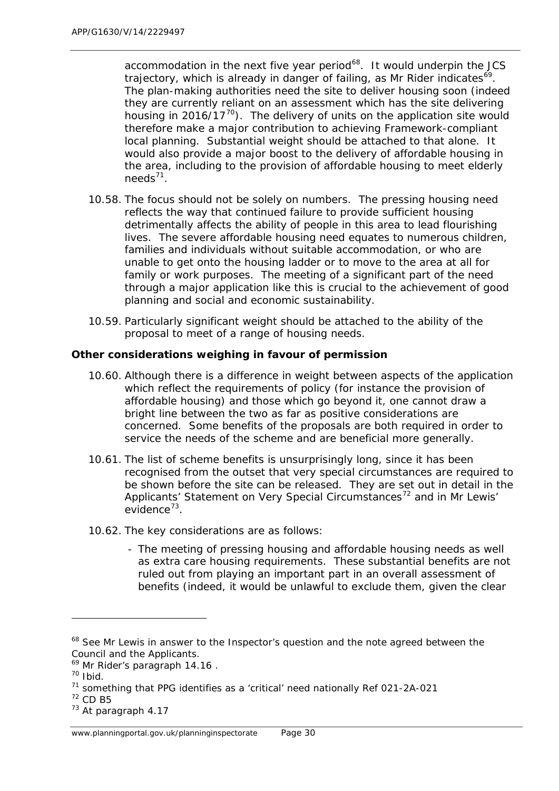accommodation in the next five year period<sup>68</sup>. It would underpin the JCS trajectory, which is already in danger of failing, as Mr Rider indicates<sup>[69](#page-43-1)</sup>. The plan-making authorities need the site to deliver housing soon (indeed they are currently reliant on an assessment which has the site delivering housing in 2016/17 $^{70}$  $^{70}$  $^{70}$ ). The delivery of units on the application site would therefore make a major contribution to achieving Framework-compliant local planning. Substantial weight should be attached to that alone. It would also provide a major boost to the delivery of affordable housing in the area, including to the provision of affordable housing to meet elderly needs $^{71}$ .

- 10.58. The focus should not be solely on numbers. The pressing housing need reflects the way that continued failure to provide sufficient housing detrimentally affects the ability of people in this area to lead flourishing lives. The severe affordable housing need equates to numerous children, families and individuals without suitable accommodation, or who are unable to get onto the housing ladder or to move to the area at all for family or work purposes. The meeting of a significant part of the need through a major application like this is crucial to the achievement of good planning and social and economic sustainability.
- 10.59. Particularly significant weight should be attached to the ability of the proposal to meet of a range of housing needs.

# *Other considerations weighing in favour of permission*

- 10.60. Although there is a difference in weight between aspects of the application which reflect the requirements of policy (for instance the provision of affordable housing) and those which go beyond it, one cannot draw a bright line between the two as far as positive considerations are concerned. Some benefits of the proposals are both required in order to service the needs of the scheme *and* are beneficial more generally.
- 10.61. The list of scheme benefits is unsurprisingly long, since it has been recognised from the outset that very special circumstances are required to be shown before the site can be released. They are set out in detail in the Applicants' *Statement on Very Special Circumstances[72](#page-43-4)* and in Mr Lewis' evidence<sup> $73$ </sup>.
- 10.62. The key considerations are as follows:
	- The meeting of pressing housing and affordable housing needs as well as extra care housing requirements. These substantial benefits are not ruled out from playing an important part in an overall assessment of benefits (indeed, it would be unlawful to exclude them, given the clear

1

<span id="page-43-0"></span><sup>&</sup>lt;sup>68</sup> See Mr Lewis in answer to the Inspector's question and the note agreed between the Council and the Applicants.

<span id="page-43-1"></span><sup>&</sup>lt;sup>69</sup> Mr Rider's paragraph 14.16.

<span id="page-43-2"></span> $70$  Ibid.

<span id="page-43-3"></span><sup>71</sup> something that PPG identifies as a 'critical' need nationally Ref 021-2A-021

<span id="page-43-4"></span><sup>72</sup> CD B5

<span id="page-43-5"></span><sup>73</sup> At paragraph 4.17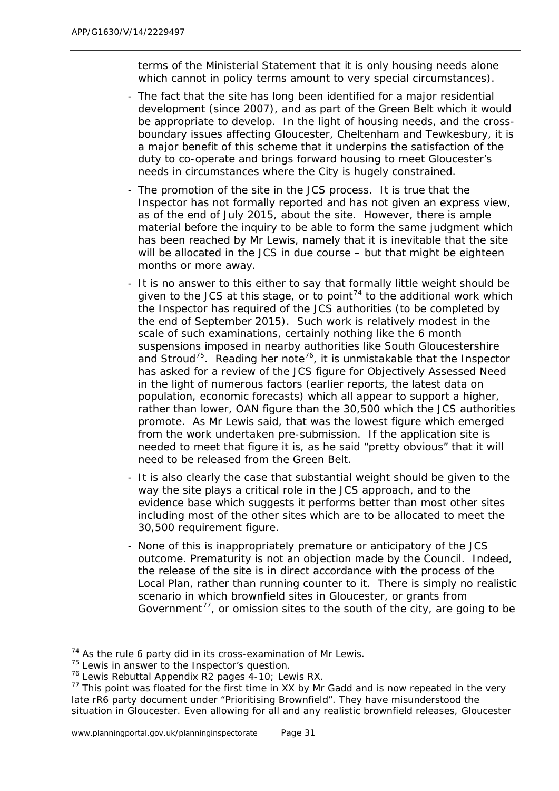terms of the Ministerial Statement that it is only housing needs *alone* which cannot in policy terms amount to very special circumstances).

- The fact that the site has long been identified for a major residential development (since 2007), and as part of the Green Belt which it would be appropriate to develop. In the light of housing needs, and the crossboundary issues affecting Gloucester, Cheltenham and Tewkesbury, it is a major benefit of this scheme that it underpins the satisfaction of the duty to co-operate and brings forward housing to meet Gloucester's needs in circumstances where the City is hugely constrained.
- The promotion of the site in the JCS process. It is true that the Inspector has not formally reported and has not given an express view, as of the end of July 2015, about the site. However, there is ample material before the inquiry to be able to form the same judgment which has been reached by Mr Lewis, namely that it is inevitable that the site will be allocated in the JCS in due course – but that might be eighteen months or more away.
- It is no answer to this either to say that formally little weight should be given to the JCS at this stage, or to point<sup>[74](#page-44-0)</sup> to the additional work which the Inspector has required of the JCS authorities (to be completed by the end of September 2015). Such work is relatively modest in the scale of such examinations, certainly nothing like the 6 month suspensions imposed in nearby authorities like South Gloucestershire and Stroud<sup>75</sup>. Reading her note<sup>76</sup>, it is unmistakable that the Inspector has asked for a review of the JCS figure for Objectively Assessed Need in the light of numerous factors (earlier reports, the latest data on population, economic forecasts) which *all* appear to support a higher, rather than lower, OAN figure than the 30,500 which the JCS authorities promote. As Mr Lewis said, that was the lowest figure which emerged from the work undertaken pre-submission. If the application site is needed to meet that figure it is, as he said "pretty obvious" that it will need to be released from the Green Belt.
- It is also clearly the case that substantial weight should be given to the way the site plays a critical role in the JCS approach, and to the evidence base which suggests it performs better than most other sites including most of the other sites which are to be allocated to meet the 30,500 requirement figure.
- None of this is inappropriately premature or anticipatory of the JCS outcome. Prematurity is not an objection made by the Council. Indeed, the release of the site is in direct accordance with the process of the Local Plan, rather than running counter to it. There is simply no realistic scenario in which brownfield sites in Gloucester, or grants from Government $^{77}$  $^{77}$  $^{77}$ , or omission sites to the south of the city, are going to be

 $74$  As the rule 6 party did in its cross-examination of Mr Lewis.

<span id="page-44-1"></span><span id="page-44-0"></span> $75$  Lewis in answer to the Inspector's question.

<span id="page-44-2"></span><sup>76</sup> Lewis Rebuttal Appendix R2 pages 4-10; Lewis RX.

<span id="page-44-3"></span> $77$  This point was floated for the first time in XX by Mr Gadd and is now repeated in the very late rR6 party document under "Prioritising Brownfield". They have misunderstood the situation in Gloucester. Even allowing for all and any realistic brownfield releases, Gloucester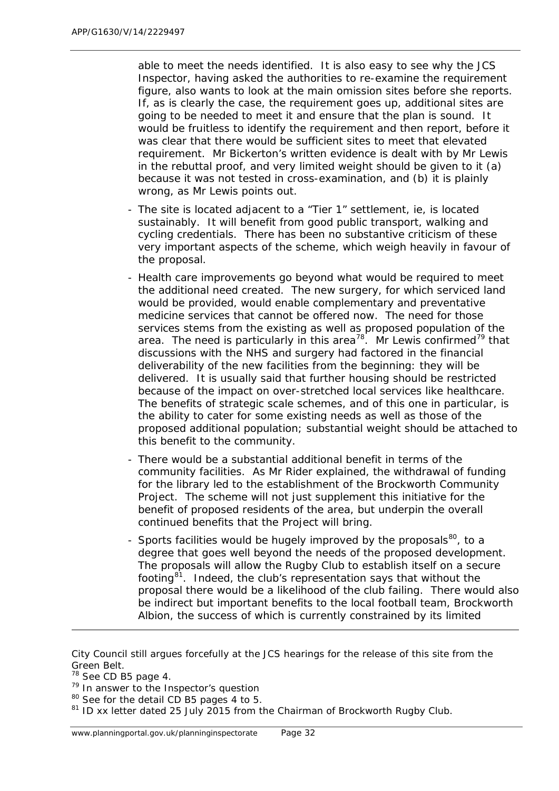able to meet the needs identified. It is also easy to see why the JCS Inspector, having asked the authorities to re-examine the requirement figure, also wants to look at the main omission sites before she reports. If, as is clearly the case, the requirement goes up, additional sites are going to be needed to meet it and ensure that the plan is sound. It would be fruitless to identify the requirement and then report, before it was clear that there would be sufficient sites to meet that elevated requirement. Mr Bickerton's written evidence is dealt with by Mr Lewis in the rebuttal proof, and very limited weight should be given to it (a) because it was not tested in cross-examination, and (b) it is plainly wrong, as Mr Lewis points out.

- The site is located adjacent to a "Tier 1" settlement, ie, is located sustainably. It will benefit from good public transport, walking and cycling credentials. There has been no substantive criticism of these very important aspects of the scheme, which weigh heavily in favour of the proposal.
- Health care improvements go beyond what would be required to meet the additional need created. The new surgery, for which serviced land would be provided, would enable complementary and preventative medicine services that cannot be offered now. The need for those services stems from the existing as well as proposed population of the area. The need is particularly in this area<sup>[78](#page-45-0)</sup>. Mr Lewis confirmed<sup>[79](#page-45-1)</sup> that discussions with the NHS and surgery had factored in the financial deliverability of the new facilities from the beginning: they will be delivered. It is usually said that further housing should be restricted because of the impact on over-stretched local services like healthcare. The benefits of strategic scale schemes, and of this one in particular, is the ability to cater for some existing needs as well as those of the proposed additional population; substantial weight should be attached to this benefit to the community.
- There would be a substantial additional benefit in terms of the community facilities. As Mr Rider explained, the withdrawal of funding for the library led to the establishment of the Brockworth Community Project. The scheme will not just supplement this initiative for the benefit of proposed residents of the area, but underpin the overall continued benefits that the Project will bring.
- Sports facilities would be hugely improved by the proposals<sup>80</sup>, to a degree that goes well beyond the needs of the proposed development. The proposals will allow the Rugby Club to establish itself on a secure footing<sup>81</sup>. Indeed, the club's representation says that without the proposal there would be a likelihood of the club failing. There would also be indirect but important benefits to the local football team, Brockworth Albion, the success of which is currently constrained by its limited

l

<span id="page-45-2"></span><sup>80</sup> See for the detail CD B5 pages 4 to 5.

City Council still argues forcefully at the JCS hearings for the release of this site from the Green Belt.

<span id="page-45-0"></span><sup>&</sup>lt;sup>78</sup> See CD B5 page 4.

<span id="page-45-1"></span><sup>79</sup> In answer to the Inspector's question

<span id="page-45-3"></span><sup>&</sup>lt;sup>81</sup> ID xx letter dated 25 July 2015 from the Chairman of Brockworth Rugby Club.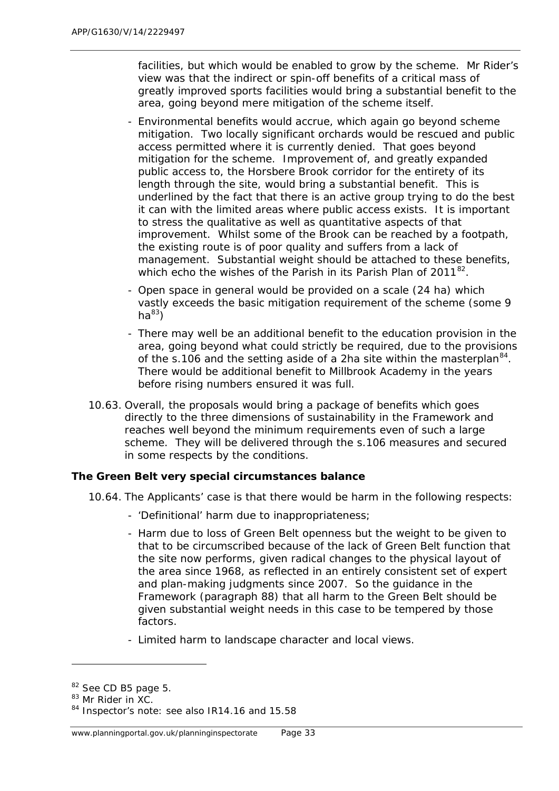facilities, but which would be enabled to grow by the scheme. Mr Rider's view was that the indirect or spin-off benefits of a critical mass of greatly improved sports facilities would bring a substantial benefit to the area, going beyond mere mitigation of the scheme itself.

- Environmental benefits would accrue, which again go beyond scheme mitigation. Two locally significant orchards would be rescued and public access permitted where it is currently denied. That goes beyond mitigation for the scheme. Improvement of, and greatly expanded public access to, the Horsbere Brook corridor for the entirety of its length through the site, would bring a substantial benefit. This is underlined by the fact that there is an active group trying to do the best it can with the limited areas where public access exists. It is important to stress the qualitative as well as quantitative aspects of that improvement. Whilst some of the Brook can be reached by a footpath, the existing route is of poor quality and suffers from a lack of management. Substantial weight should be attached to these benefits, which echo the wishes of the Parish in its Parish Plan of  $2011^{82}$ .
- Open space in general would be provided on a scale (24 ha) which vastly exceeds the basic mitigation requirement of the scheme (some 9  $ha^{83}$  $ha^{83}$  $ha^{83}$
- There may well be an additional benefit to the education provision in the area, going beyond what could strictly be required, due to the provisions of the s.106 and the setting aside of a 2ha site within the masterplan  $84$ . There would be additional benefit to Millbrook Academy in the years before rising numbers ensured it was full.
- 10.63. Overall, the proposals would bring a package of benefits which goes directly to the three dimensions of sustainability in the Framework and reaches well beyond the minimum requirements even of such a large scheme. They will be delivered through the s.106 measures and secured in some respects by the conditions.

#### *The Green Belt very special circumstances balance*

- 10.64. The Applicants' case is that there would be harm in the following respects:
	- 'Definitional' harm due to inappropriateness;
	- Harm due to loss of Green Belt openness but the weight to be given to that to be circumscribed because of the lack of Green Belt function that the site now performs, given radical changes to the physical layout of the area since 1968, as reflected in an entirely consistent set of expert and plan-making judgments since 2007. So the guidance in the Framework (paragraph 88) that all harm to the Green Belt should be given substantial weight needs in this case to be tempered by those factors.
	- Limited harm to landscape character and local views.

<span id="page-46-0"></span><sup>&</sup>lt;sup>82</sup> See CD B5 page 5.

<span id="page-46-1"></span><sup>83</sup> Mr Rider in XC.

<span id="page-46-2"></span><sup>84</sup> Inspector's note: see also IR14.16 and 15.58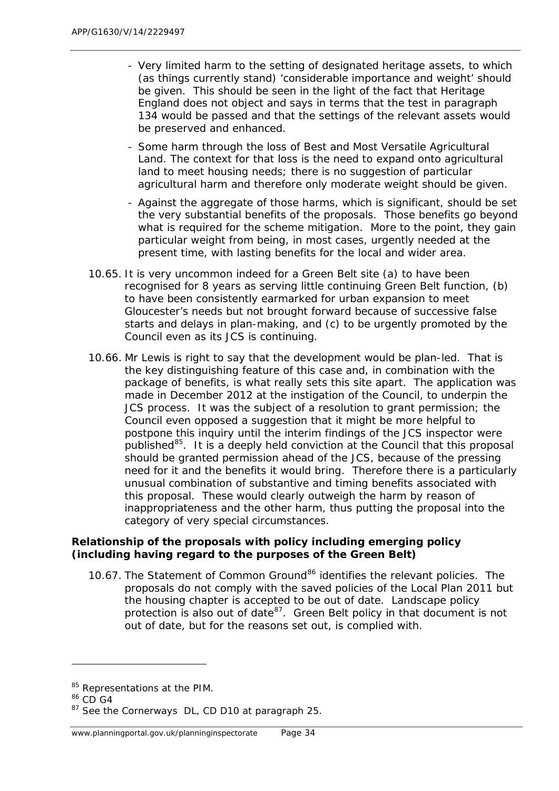- Very limited harm to the setting of designated heritage assets, to which (as things currently stand) 'considerable importance and weight' should be given. This should be seen in the light of the fact that Heritage England does not object and says in terms that the test in paragraph 134 would be passed and that the settings of the relevant assets would be preserved and enhanced.
- Some harm through the loss of Best and Most Versatile Agricultural Land. The context for that loss is the need to expand onto agricultural land to meet housing needs; there is no suggestion of particular agricultural harm and therefore only moderate weight should be given.
- Against the aggregate of those harms, which is significant, should be set the very substantial benefits of the proposals. Those benefits go beyond what is required for the scheme mitigation. More to the point, they gain particular weight from being, in most cases, urgently needed at the present time, with lasting benefits for the local and wider area.
- 10.65. It is very uncommon indeed for a Green Belt site (a) to have been recognised for 8 years as serving little continuing Green Belt function, (b) to have been consistently earmarked for urban expansion to meet Gloucester's needs but not brought forward because of successive false starts and delays in plan-making, and (c) to be urgently promoted by the Council even as its JCS is continuing.
- 10.66. Mr Lewis is right to say that the development would be plan-led. That is the key distinguishing feature of this case and, in combination with the package of benefits, is what really sets this site apart. The application was made in December 2012 at the instigation of the Council, to underpin the JCS process. It was the subject of a resolution to grant permission; the Council even opposed a suggestion that it might be more helpful to postpone this inquiry until the interim findings of the JCS inspector were published $^{85}$  $^{85}$  $^{85}$ . It is a deeply held conviction at the Council that this proposal should be granted permission ahead of the JCS, because of the pressing need for it and the benefits it would bring. Therefore there is a particularly unusual combination of substantive and timing benefits associated with this proposal. These would clearly outweigh the harm by reason of inappropriateness and the other harm, thus putting the proposal into the category of very special circumstances.

#### *Relationship of the proposals with policy including emerging policy (including having regard to the purposes of the Green Belt)*

10.67. The Statement of Common Ground<sup>[86](#page-47-1)</sup> identifies the relevant policies. The proposals do not comply with the saved policies of the Local Plan 2011 but the housing chapter is accepted to be out of date. Landscape policy protection is also out of date  $87$ . Green Belt policy in that document is not out of date, but for the reasons set out, is complied with.

<span id="page-47-0"></span><sup>85</sup> Representations at the PIM.

<span id="page-47-1"></span><sup>86</sup> CD G4

<span id="page-47-2"></span><sup>87</sup> See the *Cornerways* DL, CD D10 at paragraph 25.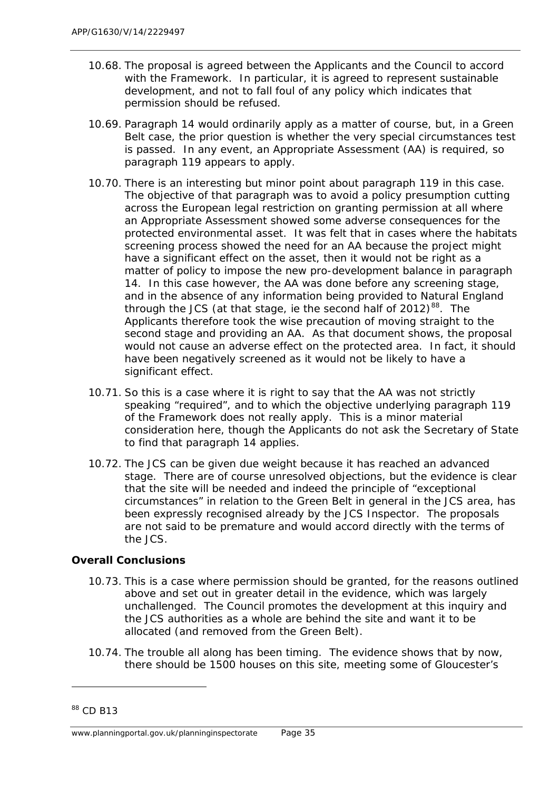- 10.68. The proposal is agreed between the Applicants and the Council to accord with the Framework. In particular, it is agreed to represent sustainable development, and not to fall foul of any policy which indicates that permission should be refused.
- 10.69. Paragraph 14 would ordinarily apply as a matter of course, but, in a Green Belt case, the prior question is whether the very special circumstances test is passed. In any event, an Appropriate Assessment (AA) is required, so paragraph 119 appears to apply.
- 10.70. There is an interesting but minor point about paragraph 119 in this case. The objective of that paragraph was to avoid a policy presumption cutting across the European legal restriction on granting permission at all where an Appropriate Assessment showed some adverse consequences for the protected environmental asset. It was felt that in cases where the habitats screening process showed the need for an AA because the project might have a significant effect on the asset, then it would not be right as a matter of policy to impose the new pro-development balance in paragraph 14. In this case however, the AA was done before any screening stage, and in the absence of any information being provided to Natural England through the JCS (at that stage, ie the second half of  $2012$ )<sup>[88](#page-48-0)</sup>. The Applicants therefore took the wise precaution of moving straight to the second stage and providing an AA. As that document shows, the proposal would not cause an adverse effect on the protected area. In fact, it should have been negatively screened as it would not be likely to have a significant effect.
- 10.71. So this is a case where it is right to say that the AA was not strictly speaking "required", and to which the objective underlying paragraph 119 of the Framework does not really apply. This is a minor material consideration here, though the Applicants do not ask the Secretary of State to find that paragraph 14 applies.
- 10.72. The JCS can be given due weight because it has reached an advanced stage. There are of course unresolved objections, but the evidence is clear that the site will be needed and indeed the principle of "exceptional circumstances" in relation to the Green Belt in general in the JCS area, has been expressly recognised already by the JCS Inspector. The proposals are not said to be premature and would accord directly with the terms of the JCS.

#### *Overall Conclusions*

- 10.73. This is a case where permission should be granted, for the reasons outlined above and set out in greater detail in the evidence, which was largely unchallenged. The Council promotes the development at this inquiry and the JCS authorities as a whole are behind the site and want it to be allocated (and removed from the Green Belt).
- 10.74. The trouble all along has been timing. The evidence shows that by now, there should be 1500 houses on this site, meeting some of Gloucester's

<span id="page-48-0"></span><sup>&</sup>lt;sup>88</sup> CD B13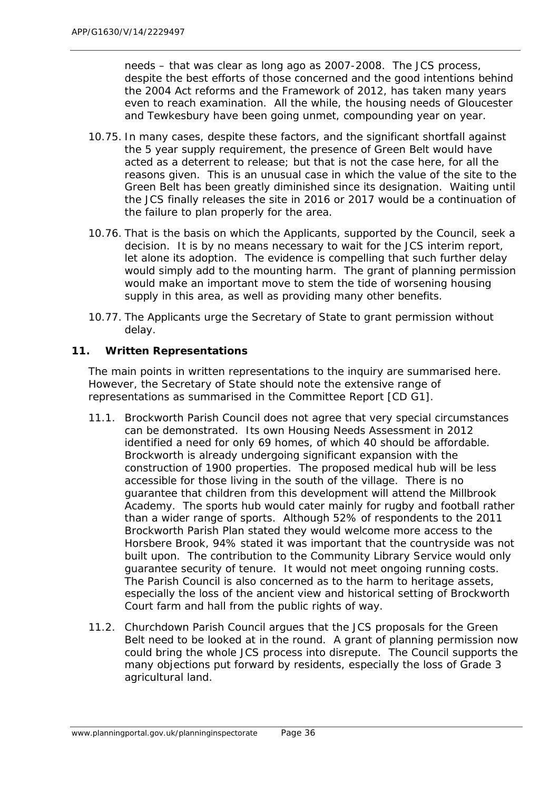needs – that was clear as long ago as 2007-2008. The JCS process, despite the best efforts of those concerned and the good intentions behind the 2004 Act reforms and the Framework of 2012, has taken many years even to reach examination. All the while, the housing needs of Gloucester and Tewkesbury have been going unmet, compounding year on year.

- 10.75. In many cases, despite these factors, and the significant shortfall against the 5 year supply requirement, the presence of Green Belt would have acted as a deterrent to release; but that is not the case here, for all the reasons given. This is an unusual case in which the value of the site to the Green Belt has been greatly diminished since its designation. Waiting until the JCS finally releases the site in 2016 or 2017 would be a continuation of the failure to plan properly for the area.
- 10.76. That is the basis on which the Applicants, supported by the Council, seek a decision. It is by no means necessary to wait for the JCS interim report, let alone its adoption. The evidence is compelling that such further delay would simply add to the mounting harm. The grant of planning permission would make an important move to stem the tide of worsening housing supply in this area, as well as providing many other benefits.
- 10.77. The Applicants urge the Secretary of State to grant permission without delay.

## **11. Written Representations**

The main points in written representations to the inquiry are summarised here. However, the Secretary of State should note the extensive range of representations as summarised in the Committee Report [CD G1].

- 11.1. Brockworth Parish Council does not agree that very special circumstances can be demonstrated. Its own Housing Needs Assessment in 2012 identified a need for only 69 homes, of which 40 should be affordable. Brockworth is already undergoing significant expansion with the construction of 1900 properties. The proposed medical hub will be less accessible for those living in the south of the village. There is no guarantee that children from this development will attend the Millbrook Academy. The sports hub would cater mainly for rugby and football rather than a wider range of sports. Although 52% of respondents to the 2011 Brockworth Parish Plan stated they would welcome more access to the Horsbere Brook, 94% stated it was important that the countryside was not built upon. The contribution to the Community Library Service would only guarantee security of tenure. It would not meet ongoing running costs. The Parish Council is also concerned as to the harm to heritage assets, especially the loss of the ancient view and historical setting of Brockworth Court farm and hall from the public rights of way.
- 11.2. Churchdown Parish Council argues that the JCS proposals for the Green Belt need to be looked at in the round. A grant of planning permission now could bring the whole JCS process into disrepute. The Council supports the many objections put forward by residents, especially the loss of Grade 3 agricultural land.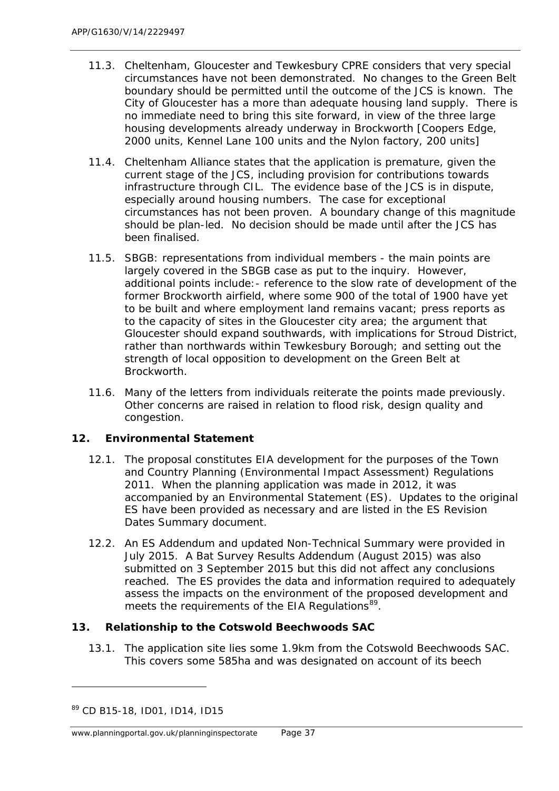- 11.3. Cheltenham, Gloucester and Tewkesbury CPRE considers that very special circumstances have not been demonstrated. No changes to the Green Belt boundary should be permitted until the outcome of the JCS is known. The City of Gloucester has a more than adequate housing land supply. There is no immediate need to bring this site forward, in view of the three large housing developments already underway in Brockworth [Coopers Edge, 2000 units, Kennel Lane 100 units and the Nylon factory, 200 units]
- 11.4. Cheltenham Alliance states that the application is premature, given the current stage of the JCS, including provision for contributions towards infrastructure through CIL. The evidence base of the JCS is in dispute, especially around housing numbers. The case for exceptional circumstances has not been proven. A boundary change of this magnitude should be plan-led. No decision should be made until after the JCS has been finalised.
- 11.5. SBGB: representations from individual members the main points are largely covered in the SBGB case as put to the inquiry. However, additional points include:- reference to the slow rate of development of the former Brockworth airfield, where some 900 of the total of 1900 have yet to be built and where employment land remains vacant; press reports as to the capacity of sites in the Gloucester city area; the argument that Gloucester should expand southwards, with implications for Stroud District, rather than northwards within Tewkesbury Borough; and setting out the strength of local opposition to development on the Green Belt at Brockworth.
- 11.6. Many of the letters from individuals reiterate the points made previously. Other concerns are raised in relation to flood risk, design quality and congestion.

# **12. Environmental Statement**

- 12.1. The proposal constitutes EIA development for the purposes of the Town and Country Planning (Environmental Impact Assessment) Regulations 2011. When the planning application was made in 2012, it was accompanied by an Environmental Statement (ES). Updates to the original ES have been provided as necessary and are listed in the ES Revision Dates Summary document.
- 12.2. An ES Addendum and updated Non-Technical Summary were provided in July 2015. A Bat Survey Results Addendum (August 2015) was also submitted on 3 September 2015 but this did not affect any conclusions reached. The ES provides the data and information required to adequately assess the impacts on the environment of the proposed development and meets the requirements of the EIA Regulations<sup>89</sup>.

## **13. Relationship to the Cotswold Beechwoods SAC**

13.1. The application site lies some 1.9km from the Cotswold Beechwoods SAC. This covers some 585ha and was designated on account of its beech

<span id="page-50-0"></span><sup>89</sup> CD B15-18, ID01, ID14, ID15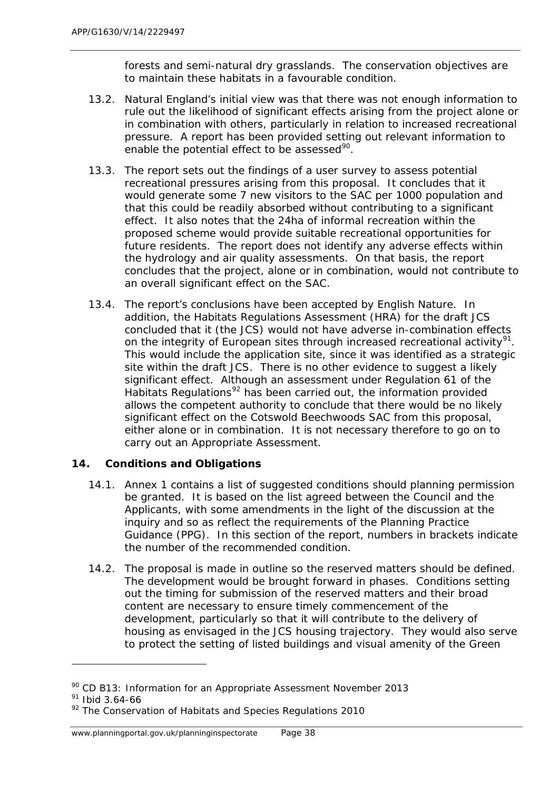forests and semi-natural dry grasslands. The conservation objectives are to maintain these habitats in a favourable condition.

- 13.2. Natural England's initial view was that there was not enough information to rule out the likelihood of significant effects arising from the project alone or in combination with others, particularly in relation to increased recreational pressure. A report has been provided setting out relevant information to enable the potential effect to be assessed $90$ .
- 13.3. The report sets out the findings of a user survey to assess potential recreational pressures arising from this proposal. It concludes that it would generate some 7 new visitors to the SAC per 1000 population and that this could be readily absorbed without contributing to a significant effect. It also notes that the 24ha of informal recreation within the proposed scheme would provide suitable recreational opportunities for future residents. The report does not identify any adverse effects within the hydrology and air quality assessments. On that basis, the report concludes that the project, alone or in combination, would not contribute to an overall significant effect on the SAC.
- 13.4. The report's conclusions have been accepted by English Nature. In addition, the Habitats Regulations Assessment (HRA) for the draft JCS concluded that it (the JCS) would not have adverse in-combination effects on the integrity of European sites through increased recreational activity<sup>91</sup>. This would include the application site, since it was identified as a strategic site within the draft JCS. There is no other evidence to suggest a likely significant effect. Although an assessment under Regulation 61 of the Habitats Regulations<sup>[92](#page-51-2)</sup> has been carried out, the information provided allows the competent authority to conclude that there would be no likely significant effect on the Cotswold Beechwoods SAC from this proposal, either alone or in combination. It is not necessary therefore to go on to carry out an Appropriate Assessment.

## **14. Conditions and Obligations**

- 14.1. Annex 1 contains a list of suggested conditions should planning permission be granted. It is based on the list agreed between the Council and the Applicants, with some amendments in the light of the discussion at the inquiry and so as reflect the requirements of the Planning Practice Guidance (PPG). In this section of the report, numbers in brackets indicate the number of the recommended condition.
- 14.2. The proposal is made in outline so the reserved matters should be defined. The development would be brought forward in phases. Conditions setting out the timing for submission of the reserved matters and their broad content are necessary to ensure timely commencement of the development, particularly so that it will contribute to the delivery of housing as envisaged in the JCS housing trajectory. They would also serve to protect the setting of listed buildings and visual amenity of the Green

<span id="page-51-0"></span><sup>&</sup>lt;sup>90</sup> CD B13: Information for an Appropriate Assessment November 2013

<span id="page-51-1"></span><sup>91</sup> Ibid 3.64-66

<span id="page-51-2"></span> $92$  The Conservation of Habitats and Species Regulations 2010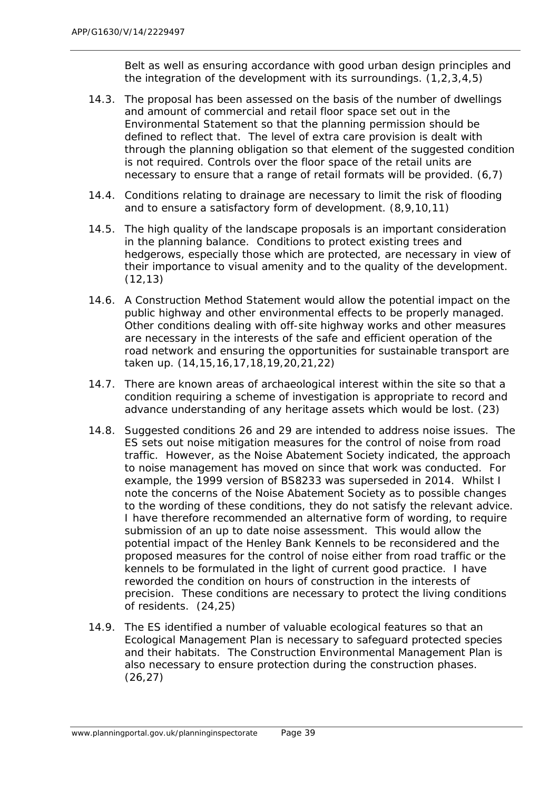Belt as well as ensuring accordance with good urban design principles and the integration of the development with its surroundings.  $(1,2,3,4,5)$ 

- 14.3. The proposal has been assessed on the basis of the number of dwellings and amount of commercial and retail floor space set out in the Environmental Statement so that the planning permission should be defined to reflect that. The level of extra care provision is dealt with through the planning obligation so that element of the suggested condition is not required. Controls over the floor space of the retail units are necessary to ensure that a range of retail formats will be provided. (6,7)
- 14.4. Conditions relating to drainage are necessary to limit the risk of flooding and to ensure a satisfactory form of development. (8,9,10,11)
- 14.5. The high quality of the landscape proposals is an important consideration in the planning balance. Conditions to protect existing trees and hedgerows, especially those which are protected, are necessary in view of their importance to visual amenity and to the quality of the development. (12,13)
- 14.6. A Construction Method Statement would allow the potential impact on the public highway and other environmental effects to be properly managed. Other conditions dealing with off-site highway works and other measures are necessary in the interests of the safe and efficient operation of the road network and ensuring the opportunities for sustainable transport are taken up. (14,15,16,17,18,19,20,21,22)
- 14.7. There are known areas of archaeological interest within the site so that a condition requiring a scheme of investigation is appropriate to record and advance understanding of any heritage assets which would be lost. (23)
- 14.8. Suggested conditions 26 and 29 are intended to address noise issues. The ES sets out noise mitigation measures for the control of noise from road traffic. However, as the Noise Abatement Society indicated, the approach to noise management has moved on since that work was conducted. For example, the 1999 version of BS8233 was superseded in 2014. Whilst I note the concerns of the Noise Abatement Society as to possible changes to the wording of these conditions, they do not satisfy the relevant advice. I have therefore recommended an alternative form of wording, to require submission of an up to date noise assessment. This would allow the potential impact of the Henley Bank Kennels to be reconsidered and the proposed measures for the control of noise either from road traffic or the kennels to be formulated in the light of current good practice. I have reworded the condition on hours of construction in the interests of precision. These conditions are necessary to protect the living conditions of residents. (24,25)
- 14.9. The ES identified a number of valuable ecological features so that an Ecological Management Plan is necessary to safeguard protected species and their habitats. The Construction Environmental Management Plan is also necessary to ensure protection during the construction phases. (26,27)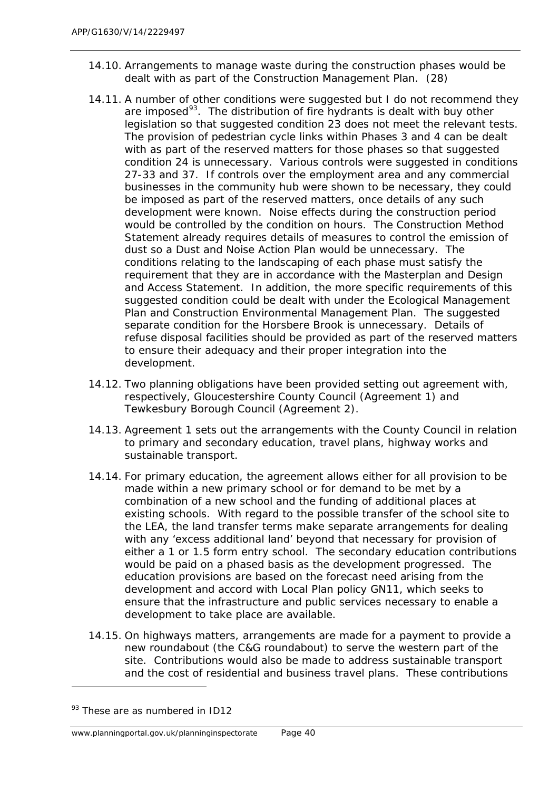- 14.10. Arrangements to manage waste during the construction phases would be dealt with as part of the Construction Management Plan. (28)
- 14.11. A number of other conditions were suggested but I do not recommend they are imposed<sup>[93](#page-53-0)</sup>. The distribution of fire hydrants is dealt with buy other legislation so that suggested condition 23 does not meet the relevant tests. The provision of pedestrian cycle links within Phases 3 and 4 can be dealt with as part of the reserved matters for those phases so that suggested condition 24 is unnecessary. Various controls were suggested in conditions 27-33 and 37. If controls over the employment area and any commercial businesses in the community hub were shown to be necessary, they could be imposed as part of the reserved matters, once details of any such development were known. Noise effects during the construction period would be controlled by the condition on hours. The Construction Method Statement already requires details of measures to control the emission of dust so a Dust and Noise Action Plan would be unnecessary. The conditions relating to the landscaping of each phase must satisfy the requirement that they are in accordance with the Masterplan and Design and Access Statement. In addition, the more specific requirements of this suggested condition could be dealt with under the Ecological Management Plan and Construction Environmental Management Plan. The suggested separate condition for the Horsbere Brook is unnecessary. Details of refuse disposal facilities should be provided as part of the reserved matters to ensure their adequacy and their proper integration into the development.
- 14.12. Two planning obligations have been provided setting out agreement with, respectively, Gloucestershire County Council (Agreement 1) and Tewkesbury Borough Council (Agreement 2).
- 14.13. Agreement 1 sets out the arrangements with the County Council in relation to primary and secondary education, travel plans, highway works and sustainable transport.
- 14.14. For primary education, the agreement allows either for all provision to be made within a new primary school or for demand to be met by a combination of a new school and the funding of additional places at existing schools. With regard to the possible transfer of the school site to the LEA, the land transfer terms make separate arrangements for dealing with any 'excess additional land' beyond that necessary for provision of either a 1 or 1.5 form entry school. The secondary education contributions would be paid on a phased basis as the development progressed. The education provisions are based on the forecast need arising from the development and accord with Local Plan policy GN11, which seeks to ensure that the infrastructure and public services necessary to enable a development to take place are available.
- 14.15. On highways matters, arrangements are made for a payment to provide a new roundabout (the C&G roundabout) to serve the western part of the site. Contributions would also be made to address sustainable transport and the cost of residential and business travel plans. These contributions

<span id="page-53-0"></span> $93$  These are as numbered in ID12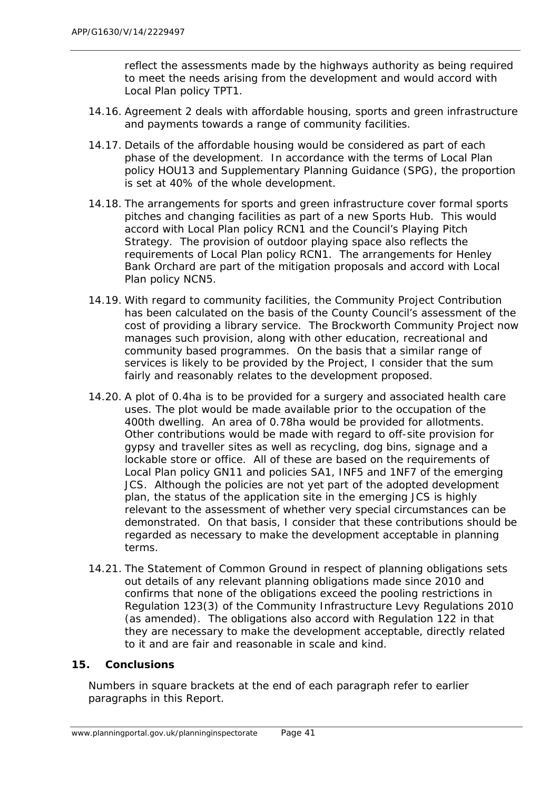reflect the assessments made by the highways authority as being required to meet the needs arising from the development and would accord with Local Plan policy TPT1.

- 14.16. Agreement 2 deals with affordable housing, sports and green infrastructure and payments towards a range of community facilities.
- 14.17. Details of the affordable housing would be considered as part of each phase of the development. In accordance with the terms of Local Plan policy HOU13 and Supplementary Planning Guidance (SPG), the proportion is set at 40% of the whole development.
- 14.18. The arrangements for sports and green infrastructure cover formal sports pitches and changing facilities as part of a new Sports Hub. This would accord with Local Plan policy RCN1 and the Council's Playing Pitch Strategy. The provision of outdoor playing space also reflects the requirements of Local Plan policy RCN1. The arrangements for Henley Bank Orchard are part of the mitigation proposals and accord with Local Plan policy NCN5.
- 14.19. With regard to community facilities, the Community Project Contribution has been calculated on the basis of the County Council's assessment of the cost of providing a library service. The Brockworth Community Project now manages such provision, along with other education, recreational and community based programmes. On the basis that a similar range of services is likely to be provided by the Project, I consider that the sum fairly and reasonably relates to the development proposed.
- 14.20. A plot of 0.4ha is to be provided for a surgery and associated health care uses. The plot would be made available prior to the occupation of the 400th dwelling. An area of 0.78ha would be provided for allotments. Other contributions would be made with regard to off-site provision for gypsy and traveller sites as well as recycling, dog bins, signage and a lockable store or office. All of these are based on the requirements of Local Plan policy GN11 and policies SA1, INF5 and 1NF7 of the emerging JCS. Although the policies are not yet part of the adopted development plan, the status of the application site in the emerging JCS is highly relevant to the assessment of whether very special circumstances can be demonstrated. On that basis, I consider that these contributions should be regarded as necessary to make the development acceptable in planning terms.
- 14.21. The Statement of Common Ground in respect of planning obligations sets out details of any relevant planning obligations made since 2010 and confirms that none of the obligations exceed the pooling restrictions in Regulation 123(3) of the Community Infrastructure Levy Regulations 2010 (as amended). The obligations also accord with Regulation 122 in that they are necessary to make the development acceptable, directly related to it and are fair and reasonable in scale and kind.

#### **15. Conclusions**

*Numbers in square brackets at the end of each paragraph refer to earlier paragraphs in this Report.*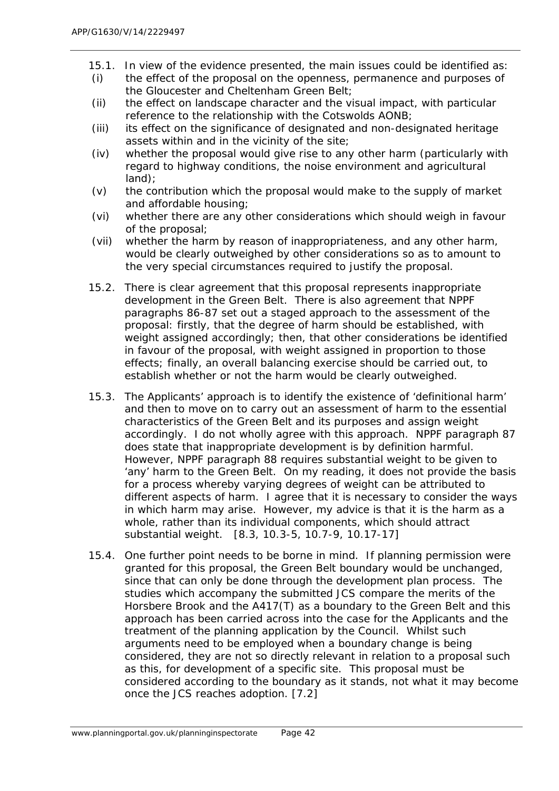- 15.1. In view of the evidence presented, the main issues could be identified as:
- (i) the effect of the proposal on the openness, permanence and purposes of the Gloucester and Cheltenham Green Belt;
- (ii) the effect on landscape character and the visual impact, with particular reference to the relationship with the Cotswolds AONB;
- (iii) its effect on the significance of designated and non-designated heritage assets within and in the vicinity of the site;
- (iv) whether the proposal would give rise to any other harm (particularly with regard to highway conditions, the noise environment and agricultural land);
- $(v)$  the contribution which the proposal would make to the supply of market and affordable housing;
- (vi) whether there are any other considerations which should weigh in favour of the proposal;
- (vii) whether the harm by reason of inappropriateness, and any other harm, would be clearly outweighed by other considerations so as to amount to the very special circumstances required to justify the proposal.
- 15.2. There is clear agreement that this proposal represents inappropriate development in the Green Belt. There is also agreement that NPPF paragraphs 86-87 set out a staged approach to the assessment of the proposal: firstly, that the degree of harm should be established, with weight assigned accordingly; then, that other considerations be identified in favour of the proposal, with weight assigned in proportion to those effects; finally, an overall balancing exercise should be carried out, to establish whether or not the harm would be clearly outweighed.
- 15.3. The Applicants' approach is to identify the existence of 'definitional harm' and then to move on to carry out an assessment of harm to the essential characteristics of the Green Belt and its purposes and assign weight accordingly. I do not wholly agree with this approach. NPPF paragraph 87 does state that inappropriate development is by definition harmful. However, NPPF paragraph 88 requires substantial weight to be given to 'any' harm to the Green Belt. On my reading, it does not provide the basis for a process whereby varying degrees of weight can be attributed to different aspects of harm. I agree that it is necessary to consider the ways in which harm may arise. However, my advice is that it is the harm as a whole, rather than its individual components, which should attract substantial weight. [8.3, 10.3-5, 10.7-9, 10.17-17]
- 15.4. One further point needs to be borne in mind. If planning permission were granted for this proposal, the Green Belt boundary would be unchanged, since that can only be done through the development plan process. The studies which accompany the submitted JCS compare the merits of the Horsbere Brook and the A417(T) as a boundary to the Green Belt and this approach has been carried across into the case for the Applicants and the treatment of the planning application by the Council. Whilst such arguments need to be employed when a boundary change is being considered, they are not so directly relevant in relation to a proposal such as this, for development of a specific site. This proposal must be considered according to the boundary as it stands, not what it may become once the JCS reaches adoption. [7.2]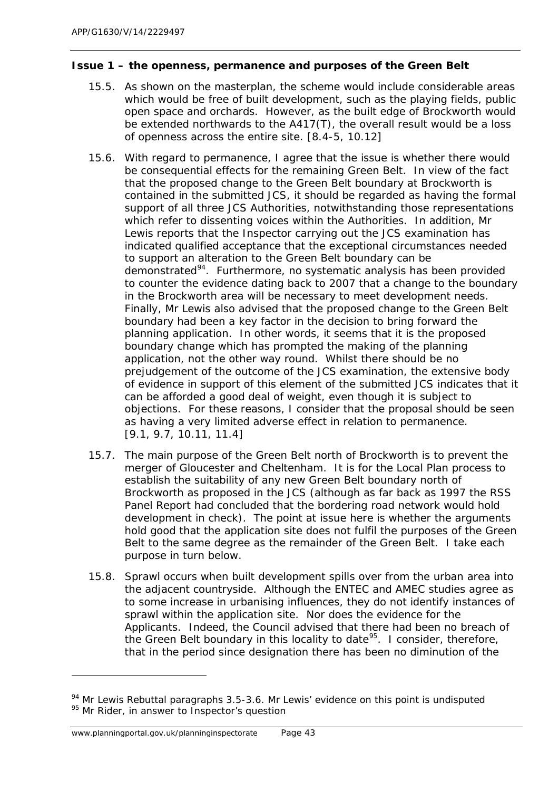## *Issue 1 – the openness, permanence and purposes of the Green Belt*

- 15.5. As shown on the masterplan, the scheme would include considerable areas which would be free of built development, such as the playing fields, public open space and orchards. However, as the built edge of Brockworth would be extended northwards to the A417(T), the overall result would be a loss of openness across the entire site. [8.4-5, 10.12]
- 15.6. With regard to permanence, I agree that the issue is whether there would be consequential effects for the remaining Green Belt. In view of the fact that the proposed change to the Green Belt boundary at Brockworth is contained in the submitted JCS, it should be regarded as having the formal support of all three JCS Authorities, notwithstanding those representations which refer to dissenting voices within the Authorities. In addition, Mr Lewis reports that the Inspector carrying out the JCS examination has indicated qualified acceptance that the exceptional circumstances needed to support an alteration to the Green Belt boundary can be demonstrated<sup>[94](#page-56-0)</sup>. Furthermore, no systematic analysis has been provided to counter the evidence dating back to 2007 that a change to the boundary in the Brockworth area will be necessary to meet development needs. Finally, Mr Lewis also advised that the proposed change to the Green Belt boundary had been a key factor in the decision to bring forward the planning application. In other words, it seems that it is the proposed boundary change which has prompted the making of the planning application, not the other way round. Whilst there should be no prejudgement of the outcome of the JCS examination, the extensive body of evidence in support of this element of the submitted JCS indicates that it can be afforded a good deal of weight, even though it is subject to objections. For these reasons, I consider that the proposal should be seen as having a very limited adverse effect in relation to permanence. [9.1, 9.7, 10.11, 11.4]
- 15.7. The main purpose of the Green Belt north of Brockworth is to prevent the merger of Gloucester and Cheltenham. It is for the Local Plan process to establish the suitability of any new Green Belt boundary north of Brockworth as proposed in the JCS (although as far back as 1997 the RSS Panel Report had concluded that the bordering road network would hold development in check). The point at issue here is whether the arguments hold good that the application site does not fulfil the purposes of the Green Belt to the same degree as the remainder of the Green Belt. I take each purpose in turn below.
- 15.8. Sprawl occurs when built development spills over from the urban area into the adjacent countryside. Although the ENTEC and AMEC studies agree as to some increase in urbanising influences, they do not identify instances of sprawl within the application site. Nor does the evidence for the Applicants. Indeed, the Council advised that there had been no breach of the Green Belt boundary in this locality to date<sup>[95](#page-56-1)</sup>. I consider, therefore, that in the period since designation there has been no diminution of the

1

<span id="page-56-1"></span><span id="page-56-0"></span><sup>&</sup>lt;sup>94</sup> Mr Lewis Rebuttal paragraphs 3.5-3.6. Mr Lewis' evidence on this point is undisputed <sup>95</sup> Mr Rider, in answer to Inspector's question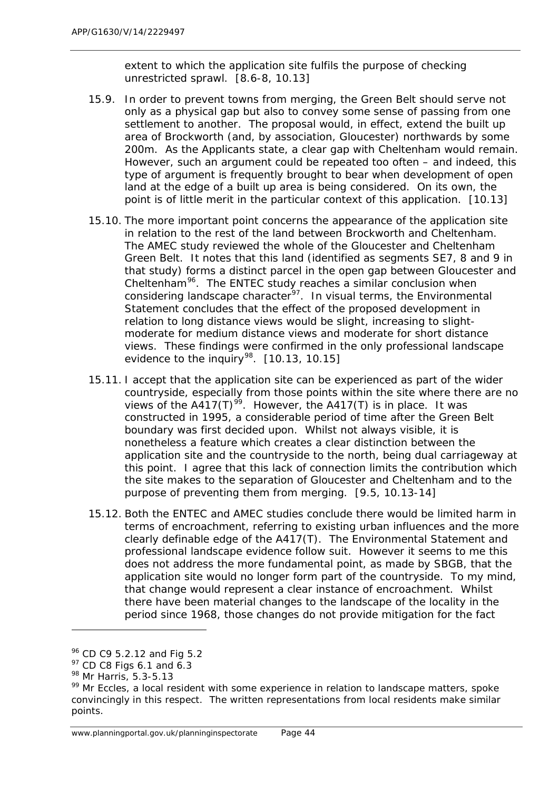extent to which the application site fulfils the purpose of checking unrestricted sprawl. [8.6-8, 10.13]

- 15.9. In order to prevent towns from merging, the Green Belt should serve not only as a physical gap but also to convey some sense of passing from one settlement to another. The proposal would, in effect, extend the built up area of Brockworth (and, by association, Gloucester) northwards by some 200m. As the Applicants state, a clear gap with Cheltenham would remain. However, such an argument could be repeated too often – and indeed, this type of argument is frequently brought to bear when development of open land at the edge of a built up area is being considered. On its own, the point is of little merit in the particular context of this application. [10.13]
- 15.10. The more important point concerns the appearance of the application site in relation to the rest of the land between Brockworth and Cheltenham. The AMEC study reviewed the whole of the Gloucester and Cheltenham Green Belt. It notes that this land (identified as segments SE7, 8 and 9 in that study) forms a distinct parcel in the open gap between Gloucester and Cheltenham<sup>96</sup>. The ENTEC study reaches a similar conclusion when considering landscape character<sup>97</sup>. In visual terms, the Environmental Statement concludes that the effect of the proposed development in relation to long distance views would be slight, increasing to slightmoderate for medium distance views and moderate for short distance views. These findings were confirmed in the only professional landscape evidence to the inquiry<sup>98</sup>.  $[10.13, 10.15]$
- 15.11. I accept that the application site can be experienced as part of the wider countryside, especially from those points within the site where there are no views of the A417(T)<sup>[99](#page-57-3)</sup>. However, the A417(T) is in place. It was constructed in 1995, a considerable period of time after the Green Belt boundary was first decided upon. Whilst not always visible, it is nonetheless a feature which creates a clear distinction between the application site and the countryside to the north, being dual carriageway at this point. I agree that this lack of connection limits the contribution which the site makes to the separation of Gloucester and Cheltenham and to the purpose of preventing them from merging. [9.5, 10.13-14]
- 15.12. Both the ENTEC and AMEC studies conclude there would be limited harm in terms of encroachment, referring to existing urban influences and the more clearly definable edge of the A417(T). The Environmental Statement and professional landscape evidence follow suit. However it seems to me this does not address the more fundamental point, as made by SBGB, that the application site would no longer form part of the countryside. To my mind, that change would represent a clear instance of encroachment. Whilst there have been material changes to the landscape of the locality in the period since 1968, those changes do not provide mitigation for the fact

<sup>96</sup> CD C9 5.2.12 and Fig 5.2

<span id="page-57-1"></span><span id="page-57-0"></span> $97$  CD C8 Figs 6.1 and 6.3

<span id="page-57-2"></span><sup>98</sup> Mr Harris, 5.3-5.13

<span id="page-57-3"></span><sup>&</sup>lt;sup>99</sup> Mr Eccles, a local resident with some experience in relation to landscape matters, spoke convincingly in this respect. The written representations from local residents make similar points.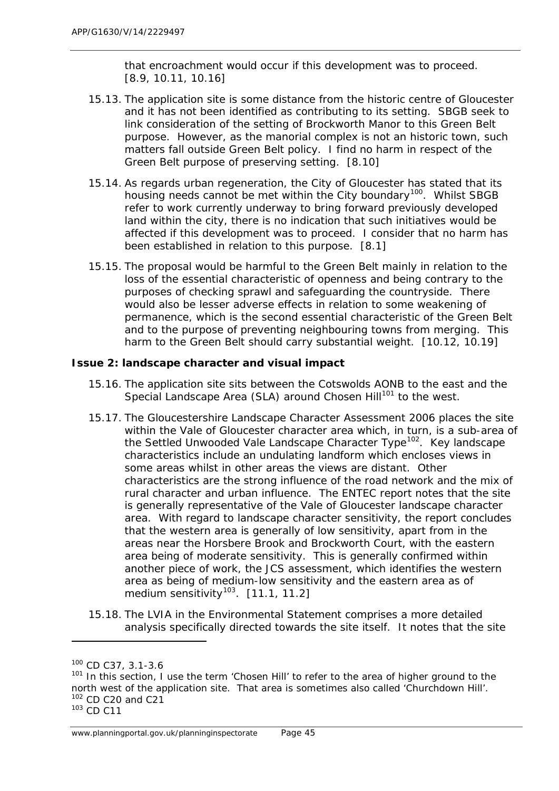that encroachment would occur if this development was to proceed. [8.9, 10.11, 10.16]

- 15.13. The application site is some distance from the historic centre of Gloucester and it has not been identified as contributing to its setting. SBGB seek to link consideration of the setting of Brockworth Manor to this Green Belt purpose. However, as the manorial complex is not an historic town, such matters fall outside Green Belt policy. I find no harm in respect of the Green Belt purpose of preserving setting. [8.10]
- 15.14. As regards urban regeneration, the City of Gloucester has stated that its housing needs cannot be met within the City boundary<sup>[100](#page-58-0)</sup>. Whilst SBGB refer to work currently underway to bring forward previously developed land within the city, there is no indication that such initiatives would be affected if this development was to proceed. I consider that no harm has been established in relation to this purpose. [8.1]
- 15.15. The proposal would be harmful to the Green Belt mainly in relation to the loss of the essential characteristic of openness and being contrary to the purposes of checking sprawl and safeguarding the countryside. There would also be lesser adverse effects in relation to some weakening of permanence, which is the second essential characteristic of the Green Belt and to the purpose of preventing neighbouring towns from merging. This harm to the Green Belt should carry substantial weight. [10.12, 10.19]

## *Issue 2: landscape character and visual impact*

- 15.16. The application site sits between the Cotswolds AONB to the east and the Special Landscape Area (SLA) around Chosen Hill<sup>[101](#page-58-1)</sup> to the west.
- 15.17. The Gloucestershire Landscape Character Assessment 2006 places the site within the Vale of Gloucester character area which, in turn, is a sub-area of the Settled Unwooded Vale Landscape Character Type[102.](#page-58-2) Key landscape characteristics include an undulating landform which encloses views in some areas whilst in other areas the views are distant. Other characteristics are the strong influence of the road network and the mix of rural character and urban influence. The ENTEC report notes that the site is generally representative of the Vale of Gloucester landscape character area. With regard to landscape character sensitivity, the report concludes that the western area is generally of low sensitivity, apart from in the areas near the Horsbere Brook and Brockworth Court, with the eastern area being of moderate sensitivity. This is generally confirmed within another piece of work, the JCS assessment, which identifies the western area as being of medium-low sensitivity and the eastern area as of medium sensitivity<sup>[103](#page-58-3)</sup>.  $[11.1, 11.2]$
- 15.18. The LVIA in the Environmental Statement comprises a more detailed analysis specifically directed towards the site itself. It notes that the site

1

<span id="page-58-0"></span><sup>100</sup> CD C37, 3.1-3.6

<span id="page-58-1"></span> $101$  In this section, I use the term 'Chosen Hill' to refer to the area of higher ground to the north west of the application site. That area is sometimes also called 'Churchdown Hill'. 102 CD C20 and C21

<span id="page-58-3"></span><span id="page-58-2"></span><sup>103</sup> CD C11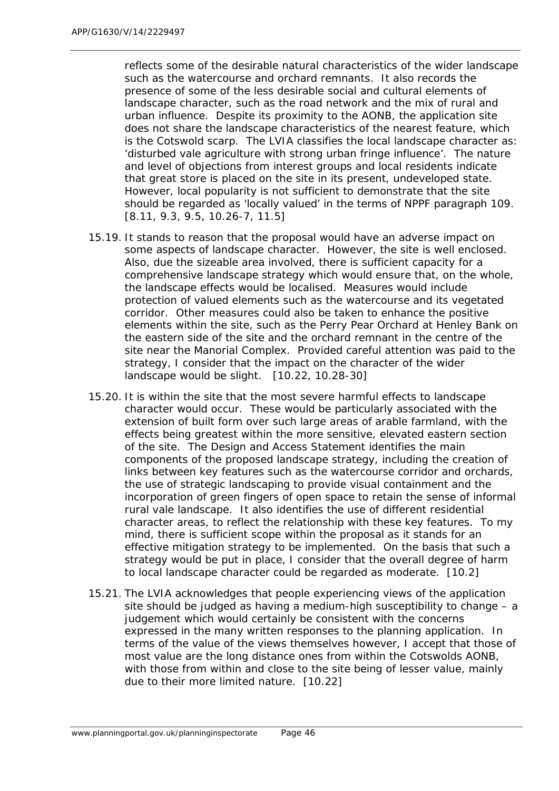reflects some of the desirable natural characteristics of the wider landscape such as the watercourse and orchard remnants. It also records the presence of some of the less desirable social and cultural elements of landscape character, such as the road network and the mix of rural and urban influence. Despite its proximity to the AONB, the application site does not share the landscape characteristics of the nearest feature, which is the Cotswold scarp. The LVIA classifies the local landscape character as: 'disturbed vale agriculture with strong urban fringe influence'. The nature and level of objections from interest groups and local residents indicate that great store is placed on the site in its present, undeveloped state. However, local popularity is not sufficient to demonstrate that the site should be regarded as 'locally valued' in the terms of NPPF paragraph 109. [8.11, 9.3, 9.5, 10.26-7, 11.5]

- 15.19. It stands to reason that the proposal would have an adverse impact on some aspects of landscape character. However, the site is well enclosed. Also, due the sizeable area involved, there is sufficient capacity for a comprehensive landscape strategy which would ensure that, on the whole, the landscape effects would be localised. Measures would include protection of valued elements such as the watercourse and its vegetated corridor. Other measures could also be taken to enhance the positive elements within the site, such as the Perry Pear Orchard at Henley Bank on the eastern side of the site and the orchard remnant in the centre of the site near the Manorial Complex. Provided careful attention was paid to the strategy, I consider that the impact on the character of the wider landscape would be slight. [10.22, 10.28-30]
- 15.20. It is within the site that the most severe harmful effects to landscape character would occur. These would be particularly associated with the extension of built form over such large areas of arable farmland, with the effects being greatest within the more sensitive, elevated eastern section of the site. The Design and Access Statement identifies the main components of the proposed landscape strategy, including the creation of links between key features such as the watercourse corridor and orchards, the use of strategic landscaping to provide visual containment and the incorporation of green fingers of open space to retain the sense of informal rural vale landscape. It also identifies the use of different residential character areas, to reflect the relationship with these key features. To my mind, there is sufficient scope within the proposal as it stands for an effective mitigation strategy to be implemented. On the basis that such a strategy would be put in place, I consider that the overall degree of harm to local landscape character could be regarded as moderate. [10.2]
- 15.21. The LVIA acknowledges that people experiencing views of the application site should be judged as having a medium-high susceptibility to change – a judgement which would certainly be consistent with the concerns expressed in the many written responses to the planning application. In terms of the value of the views themselves however, I accept that those of most value are the long distance ones from within the Cotswolds AONB, with those from within and close to the site being of lesser value, mainly due to their more limited nature. [10.22]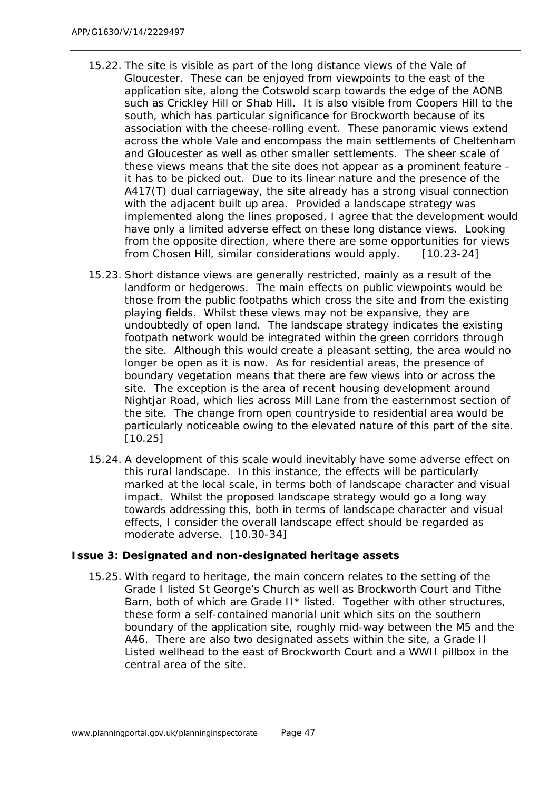- 15.22. The site is visible as part of the long distance views of the Vale of Gloucester. These can be enjoyed from viewpoints to the east of the application site, along the Cotswold scarp towards the edge of the AONB such as Crickley Hill or Shab Hill. It is also visible from Coopers Hill to the south, which has particular significance for Brockworth because of its association with the cheese-rolling event. These panoramic views extend across the whole Vale and encompass the main settlements of Cheltenham and Gloucester as well as other smaller settlements. The sheer scale of these views means that the site does not appear as a prominent feature – it has to be picked out. Due to its linear nature and the presence of the A417(T) dual carriageway, the site already has a strong visual connection with the adjacent built up area. Provided a landscape strategy was implemented along the lines proposed, I agree that the development would have only a limited adverse effect on these long distance views. Looking from the opposite direction, where there are some opportunities for views from Chosen Hill, similar considerations would apply. [10.23-24]
- 15.23. Short distance views are generally restricted, mainly as a result of the landform or hedgerows. The main effects on public viewpoints would be those from the public footpaths which cross the site and from the existing playing fields. Whilst these views may not be expansive, they are undoubtedly of open land. The landscape strategy indicates the existing footpath network would be integrated within the green corridors through the site. Although this would create a pleasant setting, the area would no longer be open as it is now. As for residential areas, the presence of boundary vegetation means that there are few views into or across the site. The exception is the area of recent housing development around Nightjar Road, which lies across Mill Lane from the easternmost section of the site. The change from open countryside to residential area would be particularly noticeable owing to the elevated nature of this part of the site. [10.25]
- 15.24. A development of this scale would inevitably have some adverse effect on this rural landscape. In this instance, the effects will be particularly marked at the local scale, in terms both of landscape character and visual impact. Whilst the proposed landscape strategy would go a long way towards addressing this, both in terms of landscape character and visual effects, I consider the overall landscape effect should be regarded as moderate adverse. [10.30-34]

#### *Issue 3: Designated and non-designated heritage assets*

15.25. With regard to heritage, the main concern relates to the setting of the Grade I listed St George's Church as well as Brockworth Court and Tithe Barn, both of which are Grade II\* listed. Together with other structures, these form a self-contained manorial unit which sits on the southern boundary of the application site, roughly mid-way between the M5 and the A46. There are also two designated assets within the site, a Grade II Listed wellhead to the east of Brockworth Court and a WWII pillbox in the central area of the site.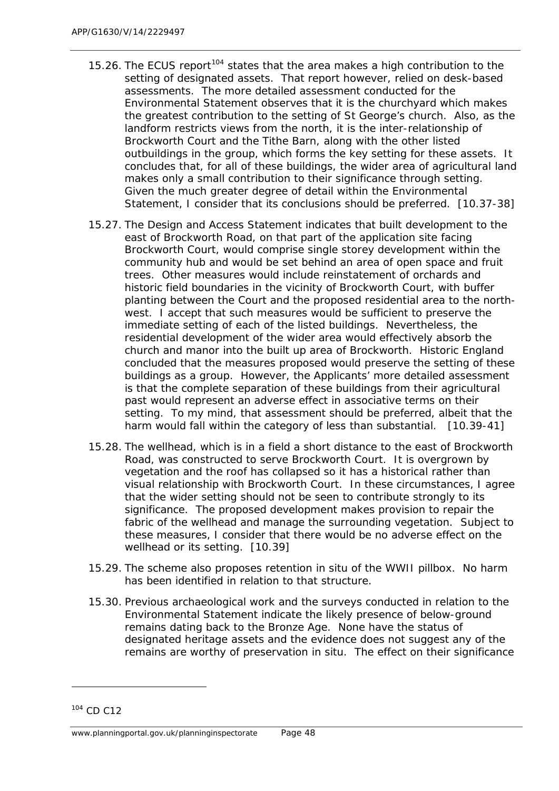- 15.26. The ECUS report<sup>[104](#page-61-0)</sup> states that the area makes a high contribution to the setting of designated assets. That report however, relied on desk-based assessments. The more detailed assessment conducted for the Environmental Statement observes that it is the churchyard which makes the greatest contribution to the setting of St George's church. Also, as the landform restricts views from the north, it is the inter-relationship of Brockworth Court and the Tithe Barn, along with the other listed outbuildings in the group, which forms the key setting for these assets. It concludes that, for all of these buildings, the wider area of agricultural land makes only a small contribution to their significance through setting. Given the much greater degree of detail within the Environmental Statement, I consider that its conclusions should be preferred. [10.37-38]
- 15.27. The Design and Access Statement indicates that built development to the east of Brockworth Road, on that part of the application site facing Brockworth Court, would comprise single storey development within the community hub and would be set behind an area of open space and fruit trees. Other measures would include reinstatement of orchards and historic field boundaries in the vicinity of Brockworth Court, with buffer planting between the Court and the proposed residential area to the northwest. I accept that such measures would be sufficient to preserve the immediate setting of each of the listed buildings. Nevertheless, the residential development of the wider area would effectively absorb the church and manor into the built up area of Brockworth. Historic England concluded that the measures proposed would preserve the setting of these buildings as a group. However, the Applicants' more detailed assessment is that the complete separation of these buildings from their agricultural past would represent an adverse effect in associative terms on their setting. To my mind, that assessment should be preferred, albeit that the harm would fall within the category of less than substantial. [10.39-41]
- 15.28. The wellhead, which is in a field a short distance to the east of Brockworth Road, was constructed to serve Brockworth Court. It is overgrown by vegetation and the roof has collapsed so it has a historical rather than visual relationship with Brockworth Court. In these circumstances, I agree that the wider setting should not be seen to contribute strongly to its significance. The proposed development makes provision to repair the fabric of the wellhead and manage the surrounding vegetation. Subject to these measures, I consider that there would be no adverse effect on the wellhead or its setting. [10.39]
- 15.29. The scheme also proposes retention in situ of the WWII pillbox. No harm has been identified in relation to that structure.
- 15.30. Previous archaeological work and the surveys conducted in relation to the Environmental Statement indicate the likely presence of below-ground remains dating back to the Bronze Age. None have the status of designated heritage assets and the evidence does not suggest any of the remains are worthy of preservation in situ. The effect on their significance

<span id="page-61-0"></span><sup>104</sup> CD C12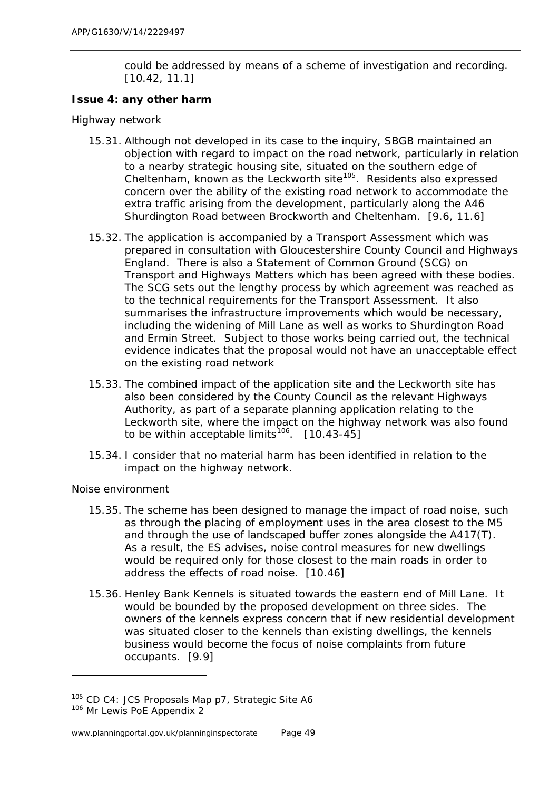could be addressed by means of a scheme of investigation and recording. [10.42, 11.1]

### *Issue 4: any other harm*

#### *Highway network*

- 15.31. Although not developed in its case to the inquiry, SBGB maintained an objection with regard to impact on the road network, particularly in relation to a nearby strategic housing site, situated on the southern edge of Cheltenham, known as the Leckworth site $105$ . Residents also expressed concern over the ability of the existing road network to accommodate the extra traffic arising from the development, particularly along the A46 Shurdington Road between Brockworth and Cheltenham. [9.6, 11.6]
- 15.32. The application is accompanied by a Transport Assessment which was prepared in consultation with Gloucestershire County Council and Highways England. There is also a Statement of Common Ground (SCG) on Transport and Highways Matters which has been agreed with these bodies. The SCG sets out the lengthy process by which agreement was reached as to the technical requirements for the Transport Assessment. It also summarises the infrastructure improvements which would be necessary, including the widening of Mill Lane as well as works to Shurdington Road and Ermin Street. Subject to those works being carried out, the technical evidence indicates that the proposal would not have an unacceptable effect on the existing road network
- 15.33. The combined impact of the application site and the Leckworth site has also been considered by the County Council as the relevant Highways Authority, as part of a separate planning application relating to the Leckworth site, where the impact on the highway network was also found to be within acceptable limits<sup>106</sup>.  $[10.43-45]$
- 15.34. I consider that no material harm has been identified in relation to the impact on the highway network.

#### *Noise environment*

- 15.35. The scheme has been designed to manage the impact of road noise, such as through the placing of employment uses in the area closest to the M5 and through the use of landscaped buffer zones alongside the A417(T). As a result, the ES advises, noise control measures for new dwellings would be required only for those closest to the main roads in order to address the effects of road noise. [10.46]
- 15.36. Henley Bank Kennels is situated towards the eastern end of Mill Lane. It would be bounded by the proposed development on three sides. The owners of the kennels express concern that if new residential development was situated closer to the kennels than existing dwellings, the kennels business would become the focus of noise complaints from future occupants. [9.9]

1

<span id="page-62-0"></span><sup>&</sup>lt;sup>105</sup> CD C4: JCS Proposals Map p7, Strategic Site A6

<span id="page-62-1"></span><sup>106</sup> Mr Lewis PoE Appendix 2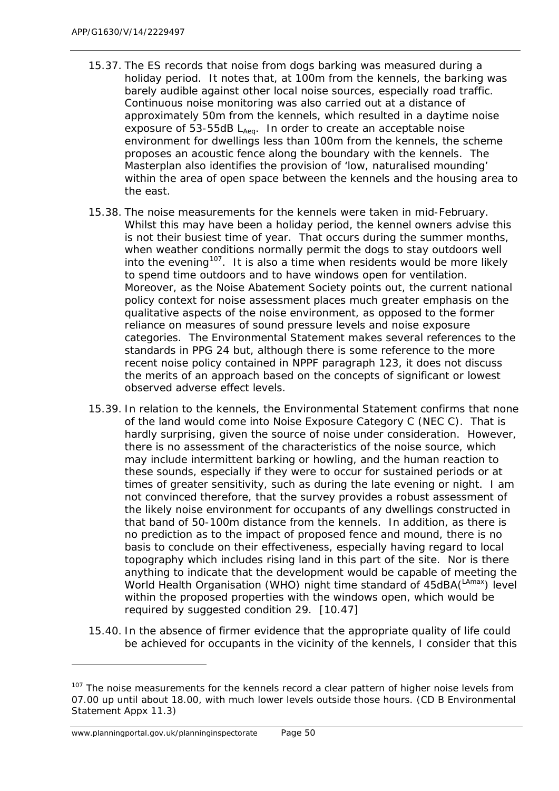- 15.37. The ES records that noise from dogs barking was measured during a holiday period. It notes that, at 100m from the kennels, the barking was barely audible against other local noise sources, especially road traffic. Continuous noise monitoring was also carried out at a distance of approximately 50m from the kennels, which resulted in a daytime noise exposure of 53-55dB  $L_{Aeq}$ . In order to create an acceptable noise environment for dwellings less than 100m from the kennels, the scheme proposes an acoustic fence along the boundary with the kennels. The Masterplan also identifies the provision of 'low, naturalised mounding' within the area of open space between the kennels and the housing area to the east.
- 15.38. The noise measurements for the kennels were taken in mid-February. Whilst this may have been a holiday period, the kennel owners advise this is not their busiest time of year. That occurs during the summer months, when weather conditions normally permit the dogs to stay outdoors well into the evening<sup>107</sup>. It is also a time when residents would be more likely to spend time outdoors and to have windows open for ventilation. Moreover, as the Noise Abatement Society points out, the current national policy context for noise assessment places much greater emphasis on the qualitative aspects of the noise environment, as opposed to the former reliance on measures of sound pressure levels and noise exposure categories. The Environmental Statement makes several references to the standards in PPG 24 but, although there is some reference to the more recent noise policy contained in NPPF paragraph 123, it does not discuss the merits of an approach based on the concepts of significant or lowest observed adverse effect levels.
- 15.39. In relation to the kennels, the Environmental Statement confirms that none of the land would come into Noise Exposure Category C (NEC C). That is hardly surprising, given the source of noise under consideration. However, there is no assessment of the characteristics of the noise source, which may include intermittent barking or howling, and the human reaction to these sounds, especially if they were to occur for sustained periods or at times of greater sensitivity, such as during the late evening or night. I am not convinced therefore, that the survey provides a robust assessment of the likely noise environment for occupants of any dwellings constructed in that band of 50-100m distance from the kennels. In addition, as there is no prediction as to the impact of proposed fence and mound, there is no basis to conclude on their effectiveness, especially having regard to local topography which includes rising land in this part of the site. Nor is there anything to indicate that the development would be capable of meeting the World Health Organisation (WHO) night time standard of 45dBA(LAmax) level within the proposed properties with the windows open, which would be required by suggested condition 29. [10.47]
- 15.40. In the absence of firmer evidence that the appropriate quality of life could be achieved for occupants in the vicinity of the kennels, I consider that this

<span id="page-63-0"></span><sup>&</sup>lt;sup>107</sup> The noise measurements for the kennels record a clear pattern of higher noise levels from 07.00 up until about 18.00, with much lower levels outside those hours. (CD B Environmental Statement Appx 11.3)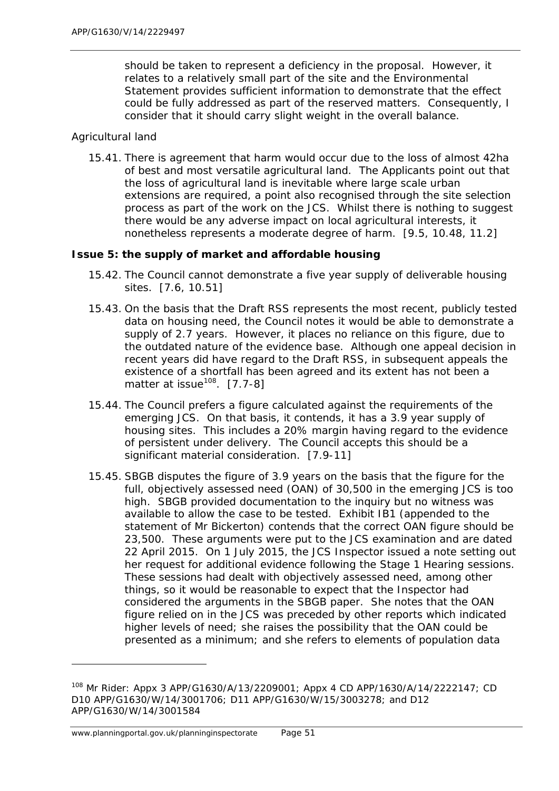should be taken to represent a deficiency in the proposal. However, it relates to a relatively small part of the site and the Environmental Statement provides sufficient information to demonstrate that the effect could be fully addressed as part of the reserved matters. Consequently, I consider that it should carry slight weight in the overall balance.

## *Agricultural land*

15.41. There is agreement that harm would occur due to the loss of almost 42ha of best and most versatile agricultural land. The Applicants point out that the loss of agricultural land is inevitable where large scale urban extensions are required, a point also recognised through the site selection process as part of the work on the JCS. Whilst there is nothing to suggest there would be any adverse impact on local agricultural interests, it nonetheless represents a moderate degree of harm. [9.5, 10.48, 11.2]

## *Issue 5: the supply of market and affordable housing*

- 15.42. The Council cannot demonstrate a five year supply of deliverable housing sites. [7.6, 10.51]
- 15.43. On the basis that the Draft RSS represents the most recent, publicly tested data on housing need, the Council notes it would be able to demonstrate a supply of 2.7 years. However, it places no reliance on this figure, due to the outdated nature of the evidence base. Although one appeal decision in recent years did have regard to the Draft RSS, in subsequent appeals the existence of a shortfall has been agreed and its extent has not been a matter at issue<sup>108</sup>.  $[7.7-8]$
- 15.44. The Council prefers a figure calculated against the requirements of the emerging JCS. On that basis, it contends, it has a 3.9 year supply of housing sites. This includes a 20% margin having regard to the evidence of persistent under delivery. The Council accepts this should be a significant material consideration. [7.9-11]
- 15.45. SBGB disputes the figure of 3.9 years on the basis that the figure for the full, objectively assessed need (OAN) of 30,500 in the emerging JCS is too high. SBGB provided documentation to the inquiry but no witness was available to allow the case to be tested. Exhibit IB1 (appended to the statement of Mr Bickerton) contends that the correct OAN figure should be 23,500. These arguments were put to the JCS examination and are dated 22 April 2015. On 1 July 2015, the JCS Inspector issued a note setting out her request for additional evidence following the Stage 1 Hearing sessions. These sessions had dealt with objectively assessed need, among other things, so it would be reasonable to expect that the Inspector had considered the arguments in the SBGB paper. She notes that the OAN figure relied on in the JCS was preceded by other reports which indicated higher levels of need; she raises the possibility that the OAN could be presented as a minimum; and she refers to elements of population data

<span id="page-64-0"></span><sup>108</sup> Mr Rider: Appx 3 APP/G1630/A/13/2209001; Appx 4 CD APP/1630/A/14/2222147; CD D10 APP/G1630/W/14/3001706; D11 APP/G1630/W/15/3003278; and D12 APP/G1630/W/14/3001584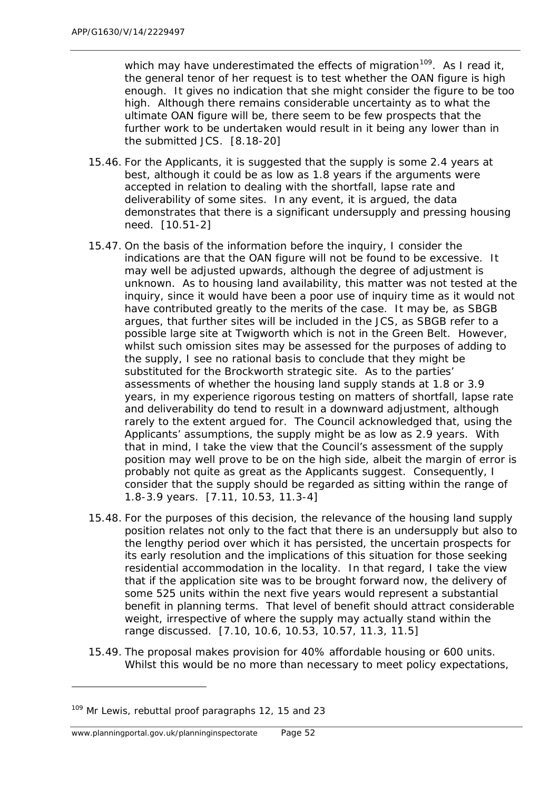which may have underestimated the effects of migration<sup>[109](#page-65-0)</sup>. As I read it, the general tenor of her request is to test whether the OAN figure is high enough. It gives no indication that she might consider the figure to be too high. Although there remains considerable uncertainty as to what the ultimate OAN figure will be, there seem to be few prospects that the further work to be undertaken would result in it being any lower than in the submitted JCS. [8.18-20]

- 15.46. For the Applicants, it is suggested that the supply is some 2.4 years at best, although it could be as low as 1.8 years if the arguments were accepted in relation to dealing with the shortfall, lapse rate and deliverability of some sites. In any event, it is argued, the data demonstrates that there is a significant undersupply and pressing housing need. [10.51-2]
- 15.47. On the basis of the information before the inquiry, I consider the indications are that the OAN figure will not be found to be excessive. It may well be adjusted upwards, although the degree of adjustment is unknown. As to housing land availability, this matter was not tested at the inquiry, since it would have been a poor use of inquiry time as it would not have contributed greatly to the merits of the case. It may be, as SBGB argues, that further sites will be included in the JCS, as SBGB refer to a possible large site at Twigworth which is not in the Green Belt. However, whilst such omission sites may be assessed for the purposes of adding to the supply, I see no rational basis to conclude that they might be substituted for the Brockworth strategic site. As to the parties' assessments of whether the housing land supply stands at 1.8 or 3.9 years, in my experience rigorous testing on matters of shortfall, lapse rate and deliverability do tend to result in a downward adjustment, although rarely to the extent argued for. The Council acknowledged that, using the Applicants' assumptions, the supply might be as low as 2.9 years. With that in mind, I take the view that the Council's assessment of the supply position may well prove to be on the high side, albeit the margin of error is probably not quite as great as the Applicants suggest. Consequently, I consider that the supply should be regarded as sitting within the range of 1.8-3.9 years. [7.11, 10.53, 11.3-4]
- 15.48. For the purposes of this decision, the relevance of the housing land supply position relates not only to the fact that there is an undersupply but also to the lengthy period over which it has persisted, the uncertain prospects for its early resolution and the implications of this situation for those seeking residential accommodation in the locality. In that regard, I take the view that if the application site was to be brought forward now, the delivery of some 525 units within the next five years would represent a substantial benefit in planning terms. That level of benefit should attract considerable weight, irrespective of where the supply may actually stand within the range discussed. [7.10, 10.6, 10.53, 10.57, 11.3, 11.5]
- 15.49. The proposal makes provision for 40% affordable housing or 600 units. Whilst this would be no more than necessary to meet policy expectations,

<span id="page-65-0"></span><sup>&</sup>lt;sup>109</sup> Mr Lewis, rebuttal proof paragraphs 12, 15 and 23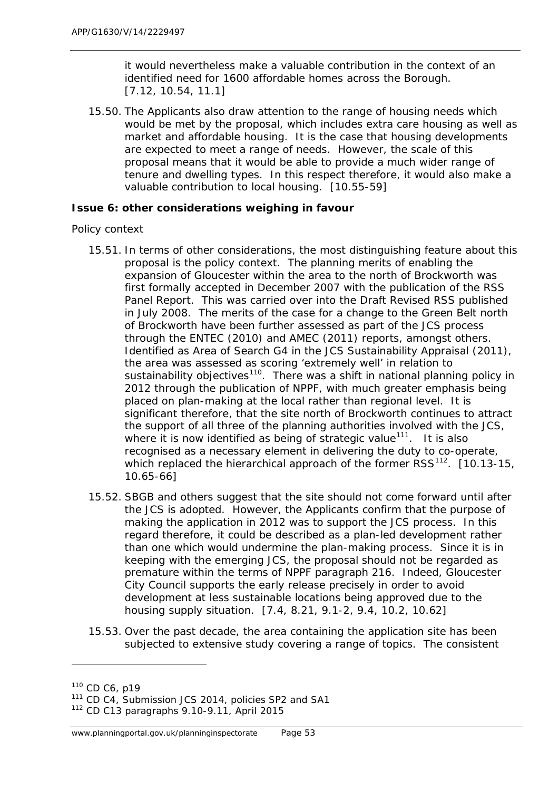it would nevertheless make a valuable contribution in the context of an identified need for 1600 affordable homes across the Borough. [7.12, 10.54, 11.1]

15.50. The Applicants also draw attention to the range of housing needs which would be met by the proposal, which includes extra care housing as well as market and affordable housing. It is the case that housing developments are expected to meet a range of needs. However, the scale of this proposal means that it would be able to provide a much wider range of tenure and dwelling types. In this respect therefore, it would also make a valuable contribution to local housing. [10.55-59]

## *Issue 6: other considerations weighing in favour*

#### *Policy context*

- 15.51. In terms of other considerations, the most distinguishing feature about this proposal is the policy context. The planning merits of enabling the expansion of Gloucester within the area to the north of Brockworth was first formally accepted in December 2007 with the publication of the RSS Panel Report. This was carried over into the Draft Revised RSS published in July 2008. The merits of the case for a change to the Green Belt north of Brockworth have been further assessed as part of the JCS process through the ENTEC (2010) and AMEC (2011) reports, amongst others. Identified as Area of Search G4 in the JCS Sustainability Appraisal (2011), the area was assessed as scoring 'extremely well' in relation to sustainability objectives<sup>[110](#page-66-0)</sup>. There was a shift in national planning policy in 2012 through the publication of NPPF, with much greater emphasis being placed on plan-making at the local rather than regional level. It is significant therefore, that the site north of Brockworth continues to attract the support of all three of the planning authorities involved with the JCS, where it is now identified as being of strategic value<sup>111</sup>. It is also recognised as a necessary element in delivering the duty to co-operate, which replaced the hierarchical approach of the former  $RSS^{112}$ . [10.13-15, 10.65-66]
- 15.52. SBGB and others suggest that the site should not come forward until after the JCS is adopted. However, the Applicants confirm that the purpose of making the application in 2012 was to support the JCS process. In this regard therefore, it could be described as a plan-led development rather than one which would undermine the plan-making process. Since it is in keeping with the emerging JCS, the proposal should not be regarded as premature within the terms of NPPF paragraph 216. Indeed, Gloucester City Council supports the early release precisely in order to avoid development at less sustainable locations being approved due to the housing supply situation. [7.4, 8.21, 9.1-2, 9.4, 10.2, 10.62]
- 15.53. Over the past decade, the area containing the application site has been subjected to extensive study covering a range of topics. The consistent

<span id="page-66-0"></span><sup>110</sup> CD C6, p19

<span id="page-66-1"></span><sup>&</sup>lt;sup>111</sup> CD C4, Submission JCS 2014, policies SP2 and SA1

<span id="page-66-2"></span><sup>112</sup> CD C13 paragraphs 9.10-9.11, April 2015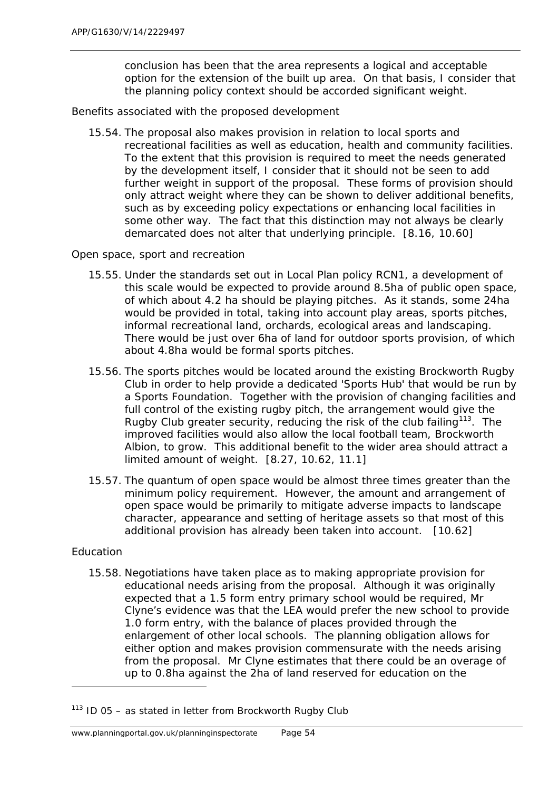conclusion has been that the area represents a logical and acceptable option for the extension of the built up area. On that basis, I consider that the planning policy context should be accorded significant weight.

#### *Benefits associated with the proposed development*

15.54. The proposal also makes provision in relation to local sports and recreational facilities as well as education, health and community facilities. To the extent that this provision is required to meet the needs generated by the development itself, I consider that it should not be seen to add further weight in support of the proposal. These forms of provision should only attract weight where they can be shown to deliver additional benefits, such as by exceeding policy expectations or enhancing local facilities in some other way. The fact that this distinction may not always be clearly demarcated does not alter that underlying principle. [8.16, 10.60]

#### *Open space, sport and recreation*

- 15.55. Under the standards set out in Local Plan policy RCN1, a development of this scale would be expected to provide around 8.5ha of public open space, of which about 4.2 ha should be playing pitches. As it stands, some 24ha would be provided in total, taking into account play areas, sports pitches, informal recreational land, orchards, ecological areas and landscaping. There would be just over 6ha of land for outdoor sports provision, of which about 4.8ha would be formal sports pitches.
- 15.56. The sports pitches would be located around the existing Brockworth Rugby Club in order to help provide a dedicated 'Sports Hub' that would be run by a Sports Foundation. Together with the provision of changing facilities and full control of the existing rugby pitch, the arrangement would give the Rugby Club greater security, reducing the risk of the club failing<sup>[113](#page-67-0)</sup>. The improved facilities would also allow the local football team, Brockworth Albion, to grow. This additional benefit to the wider area should attract a limited amount of weight. [8.27, 10.62, 11.1]
- 15.57. The quantum of open space would be almost three times greater than the minimum policy requirement. However, the amount and arrangement of open space would be primarily to mitigate adverse impacts to landscape character, appearance and setting of heritage assets so that most of this additional provision has already been taken into account. [10.62]

#### *Education*

l

15.58. Negotiations have taken place as to making appropriate provision for educational needs arising from the proposal. Although it was originally expected that a 1.5 form entry primary school would be required, Mr Clyne's evidence was that the LEA would prefer the new school to provide 1.0 form entry, with the balance of places provided through the enlargement of other local schools. The planning obligation allows for either option and makes provision commensurate with the needs arising from the proposal. Mr Clyne estimates that there could be an overage of up to 0.8ha against the 2ha of land reserved for education on the

<span id="page-67-0"></span> $113$  ID 05 – as stated in letter from Brockworth Rugby Club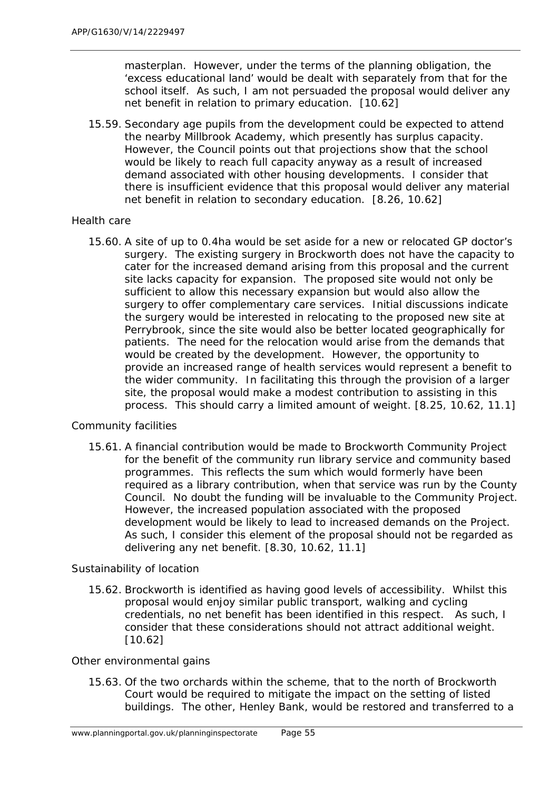masterplan. However, under the terms of the planning obligation, the 'excess educational land' would be dealt with separately from that for the school itself. As such, I am not persuaded the proposal would deliver any net benefit in relation to primary education. [10.62]

15.59. Secondary age pupils from the development could be expected to attend the nearby Millbrook Academy, which presently has surplus capacity. However, the Council points out that projections show that the school would be likely to reach full capacity anyway as a result of increased demand associated with other housing developments. I consider that there is insufficient evidence that this proposal would deliver any material net benefit in relation to secondary education. [8.26, 10.62]

## *Health care*

15.60. A site of up to 0.4ha would be set aside for a new or relocated GP doctor's surgery. The existing surgery in Brockworth does not have the capacity to cater for the increased demand arising from this proposal and the current site lacks capacity for expansion. The proposed site would not only be sufficient to allow this necessary expansion but would also allow the surgery to offer complementary care services. Initial discussions indicate the surgery would be interested in relocating to the proposed new site at Perrybrook, since the site would also be better located geographically for patients. The need for the relocation would arise from the demands that would be created by the development. However, the opportunity to provide an increased range of health services would represent a benefit to the wider community. In facilitating this through the provision of a larger site, the proposal would make a modest contribution to assisting in this process. This should carry a limited amount of weight. [8.25, 10.62, 11.1]

## *Community facilities*

15.61. A financial contribution would be made to Brockworth Community Project for the benefit of the community run library service and community based programmes. This reflects the sum which would formerly have been required as a library contribution, when that service was run by the County Council. No doubt the funding will be invaluable to the Community Project. However, the increased population associated with the proposed development would be likely to lead to increased demands on the Project. As such, I consider this element of the proposal should not be regarded as delivering any net benefit. [8.30, 10.62, 11.1]

#### *Sustainability of location*

15.62. Brockworth is identified as having good levels of accessibility. Whilst this proposal would enjoy similar public transport, walking and cycling credentials, no net benefit has been identified in this respect. As such, I consider that these considerations should not attract additional weight. [10.62]

#### *Other environmental gains*

15.63. Of the two orchards within the scheme, that to the north of Brockworth Court would be required to mitigate the impact on the setting of listed buildings. The other, Henley Bank, would be restored and transferred to a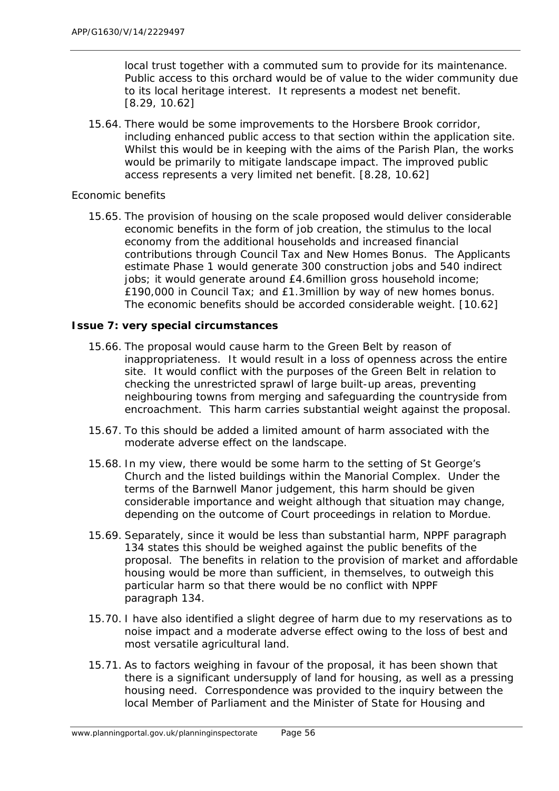local trust together with a commuted sum to provide for its maintenance. Public access to this orchard would be of value to the wider community due to its local heritage interest. It represents a modest net benefit. [8.29, 10.62]

15.64. There would be some improvements to the Horsbere Brook corridor, including enhanced public access to that section within the application site. Whilst this would be in keeping with the aims of the Parish Plan, the works would be primarily to mitigate landscape impact. The improved public access represents a very limited net benefit. [8.28, 10.62]

#### *Economic benefits*

15.65. The provision of housing on the scale proposed would deliver considerable economic benefits in the form of job creation, the stimulus to the local economy from the additional households and increased financial contributions through Council Tax and New Homes Bonus. The Applicants estimate Phase 1 would generate 300 construction jobs and 540 indirect jobs; it would generate around £4.6million gross household income; £190,000 in Council Tax; and £1.3million by way of new homes bonus. The economic benefits should be accorded considerable weight. [10.62]

## *Issue 7: very special circumstances*

- 15.66. The proposal would cause harm to the Green Belt by reason of inappropriateness. It would result in a loss of openness across the entire site. It would conflict with the purposes of the Green Belt in relation to checking the unrestricted sprawl of large built-up areas, preventing neighbouring towns from merging and safeguarding the countryside from encroachment. This harm carries substantial weight against the proposal.
- 15.67. To this should be added a limited amount of harm associated with the moderate adverse effect on the landscape.
- 15.68. In my view, there would be some harm to the setting of St George's Church and the listed buildings within the Manorial Complex. Under the terms of the *Barnwell Manor* judgement, this harm should be given considerable importance and weight although that situation may change, depending on the outcome of Court proceedings in relation to *Mordue*.
- 15.69. Separately, since it would be less than substantial harm, NPPF paragraph 134 states this should be weighed against the public benefits of the proposal. The benefits in relation to the provision of market and affordable housing would be more than sufficient, in themselves, to outweigh this particular harm so that there would be no conflict with NPPF paragraph 134.
- 15.70. I have also identified a slight degree of harm due to my reservations as to noise impact and a moderate adverse effect owing to the loss of best and most versatile agricultural land.
- 15.71. As to factors weighing in favour of the proposal, it has been shown that there is a significant undersupply of land for housing, as well as a pressing housing need. Correspondence was provided to the inquiry between the local Member of Parliament and the Minister of State for Housing and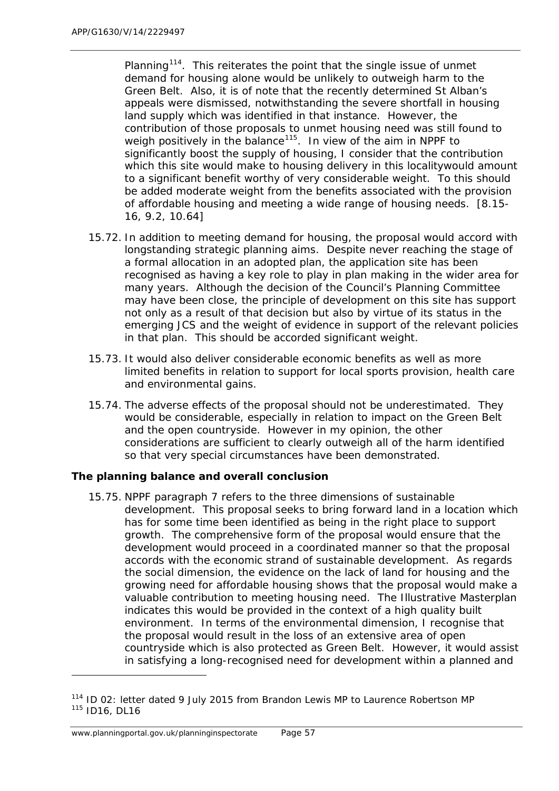Planning<sup>114</sup>. This reiterates the point that the single issue of unmet demand for housing alone would be unlikely to outweigh harm to the Green Belt. Also, it is of note that the recently determined St Alban's appeals were dismissed, notwithstanding the severe shortfall in housing land supply which was identified in that instance. However, the contribution of those proposals to unmet housing need was still found to weigh positively in the balance<sup>115</sup>. In view of the aim in NPPF to significantly boost the supply of housing, I consider that the contribution which this site would make to housing delivery in this localitywould amount to a significant benefit worthy of very considerable weight. To this should be added moderate weight from the benefits associated with the provision of affordable housing and meeting a wide range of housing needs. [8.15- 16, 9.2, 10.64]

- 15.72. In addition to meeting demand for housing, the proposal would accord with longstanding strategic planning aims. Despite never reaching the stage of a formal allocation in an adopted plan, the application site has been recognised as having a key role to play in plan making in the wider area for many years. Although the decision of the Council's Planning Committee may have been close, the principle of development on this site has support not only as a result of that decision but also by virtue of its status in the emerging JCS and the weight of evidence in support of the relevant policies in that plan. This should be accorded significant weight.
- 15.73. It would also deliver considerable economic benefits as well as more limited benefits in relation to support for local sports provision, health care and environmental gains.
- 15.74. The adverse effects of the proposal should not be underestimated. They would be considerable, especially in relation to impact on the Green Belt and the open countryside. However in my opinion, the other considerations are sufficient to clearly outweigh all of the harm identified so that very special circumstances have been demonstrated.

## **The planning balance and overall conclusion**

15.75. NPPF paragraph 7 refers to the three dimensions of sustainable development. This proposal seeks to bring forward land in a location which has for some time been identified as being in the right place to support growth. The comprehensive form of the proposal would ensure that the development would proceed in a coordinated manner so that the proposal accords with the economic strand of sustainable development. As regards the social dimension, the evidence on the lack of land for housing and the growing need for affordable housing shows that the proposal would make a valuable contribution to meeting housing need. The Illustrative Masterplan indicates this would be provided in the context of a high quality built environment. In terms of the environmental dimension, I recognise that the proposal would result in the loss of an extensive area of open countryside which is also protected as Green Belt. However, it would assist in satisfying a long-recognised need for development within a planned and

1

<span id="page-70-1"></span><span id="page-70-0"></span><sup>&</sup>lt;sup>114</sup> ID 02: letter dated 9 July 2015 from Brandon Lewis MP to Laurence Robertson MP <sup>115</sup> ID16, DL16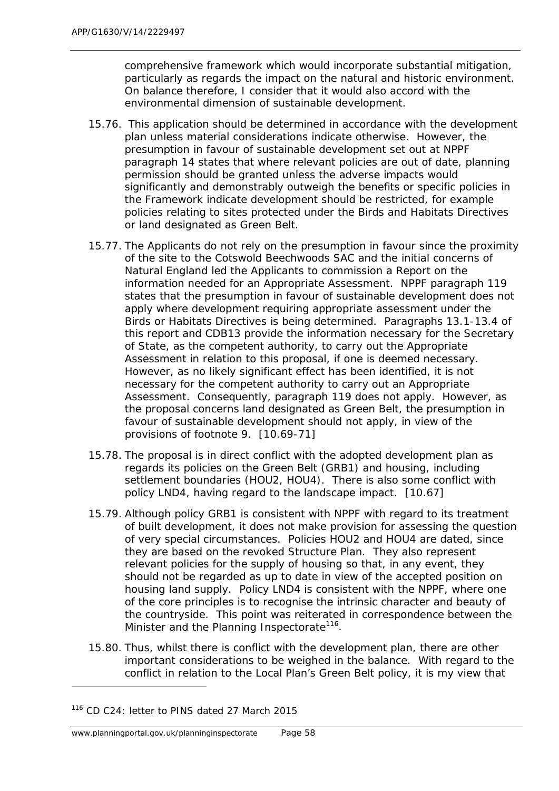comprehensive framework which would incorporate substantial mitigation, particularly as regards the impact on the natural and historic environment. On balance therefore, I consider that it would also accord with the environmental dimension of sustainable development.

- 15.76. This application should be determined in accordance with the development plan unless material considerations indicate otherwise. However, the presumption in favour of sustainable development set out at NPPF paragraph 14 states that where relevant policies are out of date, planning permission should be granted unless the adverse impacts would significantly and demonstrably outweigh the benefits or specific policies in the Framework indicate development should be restricted, for example policies relating to sites protected under the Birds and Habitats Directives or land designated as Green Belt.
- 15.77. The Applicants do not rely on the presumption in favour since the proximity of the site to the Cotswold Beechwoods SAC and the initial concerns of Natural England led the Applicants to commission a Report on the information needed for an Appropriate Assessment. NPPF paragraph 119 states that the presumption in favour of sustainable development does not apply where development requiring appropriate assessment under the Birds or Habitats Directives is being determined. Paragraphs 13.1-13.4 of this report and CDB13 provide the information necessary for the Secretary of State, as the competent authority, to carry out the Appropriate Assessment in relation to this proposal, if one is deemed necessary. However, as no likely significant effect has been identified, it is not necessary for the competent authority to carry out an Appropriate Assessment. Consequently, paragraph 119 does not apply. However, as the proposal concerns land designated as Green Belt, the presumption in favour of sustainable development should not apply, in view of the provisions of footnote 9. [10.69-71]
- 15.78. The proposal is in direct conflict with the adopted development plan as regards its policies on the Green Belt (GRB1) and housing, including settlement boundaries (HOU2, HOU4). There is also some conflict with policy LND4, having regard to the landscape impact. [10.67]
- 15.79. Although policy GRB1 is consistent with NPPF with regard to its treatment of built development, it does not make provision for assessing the question of very special circumstances. Policies HOU2 and HOU4 are dated, since they are based on the revoked Structure Plan. They also represent relevant policies for the supply of housing so that, in any event, they should not be regarded as up to date in view of the accepted position on housing land supply. Policy LND4 is consistent with the NPPF, where one of the core principles is to recognise the intrinsic character and beauty of the countryside. This point was reiterated in correspondence between the Minister and the Planning Inspectorate<sup>116</sup>.
- 15.80. Thus, whilst there is conflict with the development plan, there are other important considerations to be weighed in the balance. With regard to the conflict in relation to the Local Plan's Green Belt policy, it is my view that

<span id="page-71-0"></span><sup>&</sup>lt;sup>116</sup> CD C24: letter to PINS dated 27 March 2015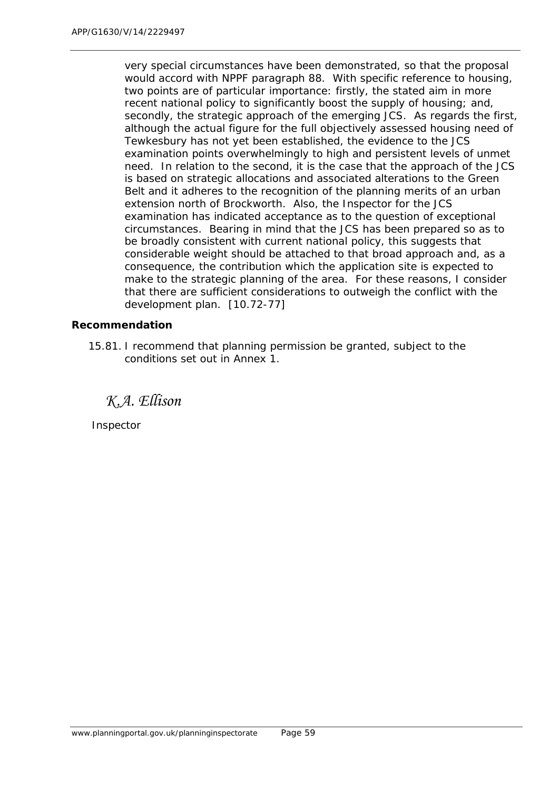very special circumstances have been demonstrated, so that the proposal would accord with NPPF paragraph 88. With specific reference to housing, two points are of particular importance: firstly, the stated aim in more recent national policy to significantly boost the supply of housing; and, secondly, the strategic approach of the emerging JCS. As regards the first, although the actual figure for the full objectively assessed housing need of Tewkesbury has not yet been established, the evidence to the JCS examination points overwhelmingly to high and persistent levels of unmet need. In relation to the second, it is the case that the approach of the JCS is based on strategic allocations and associated alterations to the Green Belt and it adheres to the recognition of the planning merits of an urban extension north of Brockworth. Also, the Inspector for the JCS examination has indicated acceptance as to the question of exceptional circumstances. Bearing in mind that the JCS has been prepared so as to be broadly consistent with current national policy, this suggests that considerable weight should be attached to that broad approach and, as a consequence, the contribution which the application site is expected to make to the strategic planning of the area. For these reasons, I consider that there are sufficient considerations to outweigh the conflict with the development plan. [10.72-77]

#### **Recommendation**

15.81. I recommend that planning permission be granted, subject to the conditions set out in Annex 1.

*K.A. Ellison*

Inspector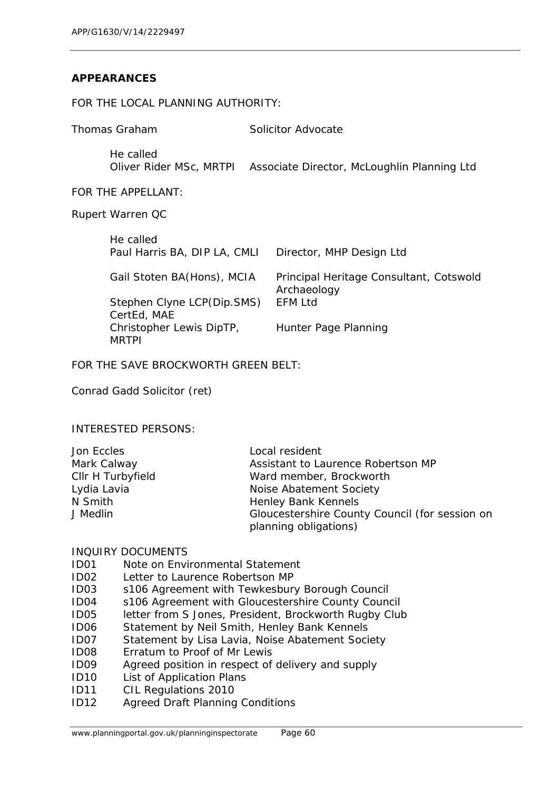### **APPEARANCES**

#### FOR THE LOCAL PLANNING AUTHORITY:

| Thomas Graham |                                           | Solicitor Advocate                                     |
|---------------|-------------------------------------------|--------------------------------------------------------|
|               | He called<br>Oliver Rider MSc, MRTPI      | Associate Director, McLoughlin Planning Ltd            |
|               | FOR THE APPELLANT:                        |                                                        |
|               | Rupert Warren QC                          |                                                        |
|               | He called<br>Paul Harris BA, DIP LA, CMLI | Director, MHP Design Ltd                               |
|               | Gail Stoten BA(Hons), MCIA                | Principal Heritage Consultant, Cotswold<br>Archaeology |
|               | Stephen Clyne LCP(Dip.SMS)<br>CertEd, MAE | EFM Ltd                                                |
|               | Christopher Lewis DipTP,<br>MRTPI         | Hunter Page Planning                                   |

FOR THE SAVE BROCKWORTH GREEN BELT:

Conrad Gadd Solicitor (ret)

INTERESTED PERSONS:

| Jon Eccles        | Local resident                                 |
|-------------------|------------------------------------------------|
| Mark Calway       | Assistant to Laurence Robertson MP             |
| Cllr H Turbyfield | Ward member, Brockworth                        |
| Lydia Lavia       | Noise Abatement Society                        |
| N Smith           | Henley Bank Kennels                            |
| J Medlin          | Gloucestershire County Council (for session on |
|                   | planning obligations)                          |

#### INQUIRY DOCUMENTS

- ID01 Note on Environmental Statement
- ID02 Letter to Laurence Robertson MP
- ID03 s106 Agreement with Tewkesbury Borough Council
- ID04 s106 Agreement with Gloucestershire County Council
- ID05 letter from S Jones, President, Brockworth Rugby Club
- ID06 Statement by Neil Smith, Henley Bank Kennels
- ID07 Statement by Lisa Lavia, Noise Abatement Society
- ID08 Erratum to Proof of Mr Lewis
- ID09 Agreed position in respect of delivery and supply
- ID10 List of Application Plans
- ID11 CIL Regulations 2010
- ID12 Agreed Draft Planning Conditions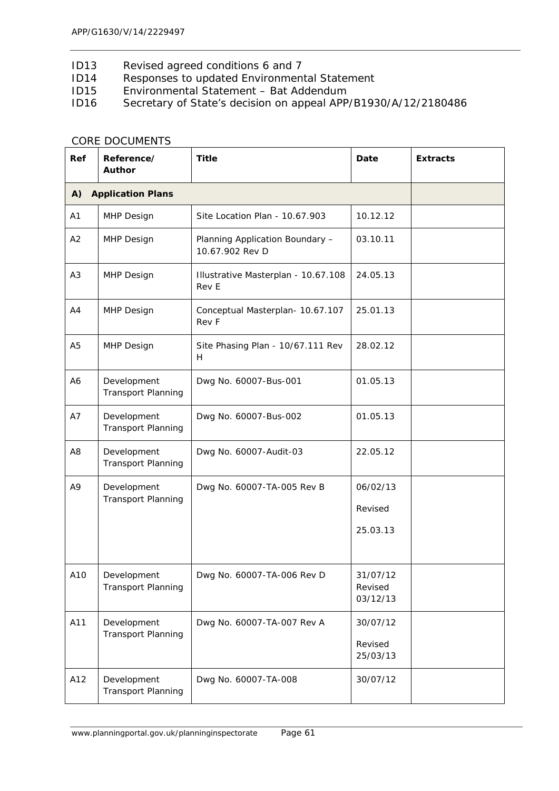- ID13 Revised agreed conditions 6 and 7<br>ID14 Responses to updated Environmen
- Responses to updated Environmental Statement
- ID15 Environmental Statement Bat Addendum
- ID16 Secretary of State's decision on appeal APP/B1930/A/12/2180486

| Ref            | Reference/<br>Author                     | <b>Title</b>                                       | Date                            | <b>Extracts</b> |
|----------------|------------------------------------------|----------------------------------------------------|---------------------------------|-----------------|
| A)             | <b>Application Plans</b>                 |                                                    |                                 |                 |
| A1             | MHP Design                               | Site Location Plan - 10.67.903                     | 10.12.12                        |                 |
| A2             | MHP Design                               | Planning Application Boundary -<br>10.67.902 Rev D | 03.10.11                        |                 |
| A3             | MHP Design                               | Illustrative Masterplan - 10.67.108<br>Rev E       | 24.05.13                        |                 |
| A4             | <b>MHP Design</b>                        | Conceptual Masterplan- 10.67.107<br>Rev F          | 25.01.13                        |                 |
| A <sub>5</sub> | <b>MHP Design</b>                        | Site Phasing Plan - 10/67.111 Rev<br>H             | 28.02.12                        |                 |
| A6             | Development<br>Transport Planning        | Dwg No. 60007-Bus-001                              | 01.05.13                        |                 |
| A7             | Development<br>Transport Planning        | Dwg No. 60007-Bus-002                              | 01.05.13                        |                 |
| A8             | Development<br>Transport Planning        | Dwg No. 60007-Audit-03                             | 22.05.12                        |                 |
| A9             | Development<br><b>Transport Planning</b> | Dwg No. 60007-TA-005 Rev B                         | 06/02/13<br>Revised             |                 |
|                |                                          |                                                    | 25.03.13                        |                 |
| A10            | Development<br><b>Transport Planning</b> | Dwg No. 60007-TA-006 Rev D                         | 31/07/12<br>Revised<br>03/12/13 |                 |
| A11            | Development<br><b>Transport Planning</b> | Dwg No. 60007-TA-007 Rev A                         | 30/07/12<br>Revised<br>25/03/13 |                 |
| A12            | Development<br><b>Transport Planning</b> | Dwg No. 60007-TA-008                               | 30/07/12                        |                 |

#### CORE DOCUMENTS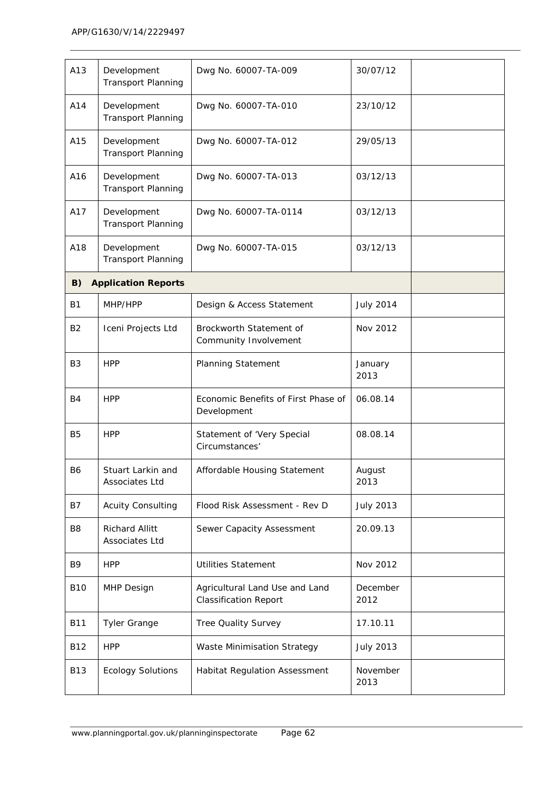| A13            | Development<br><b>Transport Planning</b> | Dwg No. 60007-TA-009                                           | 30/07/12         |  |
|----------------|------------------------------------------|----------------------------------------------------------------|------------------|--|
| A14            | Development<br><b>Transport Planning</b> | Dwg No. 60007-TA-010                                           | 23/10/12         |  |
| A15            | Development<br><b>Transport Planning</b> | Dwg No. 60007-TA-012                                           | 29/05/13         |  |
| A16            | Development<br><b>Transport Planning</b> | Dwg No. 60007-TA-013                                           | 03/12/13         |  |
| A17            | Development<br><b>Transport Planning</b> | Dwg No. 60007-TA-0114                                          | 03/12/13         |  |
| A18            | Development<br>Transport Planning        | Dwg No. 60007-TA-015                                           | 03/12/13         |  |
| B)             | <b>Application Reports</b>               |                                                                |                  |  |
| B1             | MHP/HPP                                  | Design & Access Statement                                      | <b>July 2014</b> |  |
| <b>B2</b>      | Iceni Projects Ltd                       | Brockworth Statement of<br>Community Involvement               | Nov 2012         |  |
| B <sub>3</sub> | <b>HPP</b>                               | Planning Statement                                             | January<br>2013  |  |
| B4             | <b>HPP</b>                               | Economic Benefits of First Phase of<br>Development             | 06.08.14         |  |
| B <sub>5</sub> | <b>HPP</b>                               | Statement of 'Very Special<br>Circumstances'                   | 08.08.14         |  |
| <b>B6</b>      | Stuart Larkin and<br>Associates Ltd      | Affordable Housing Statement                                   | August<br>2013   |  |
| B7             | <b>Acuity Consulting</b>                 | Flood Risk Assessment - Rev D                                  | <b>July 2013</b> |  |
| B8             | <b>Richard Allitt</b><br>Associates Ltd  | Sewer Capacity Assessment                                      | 20.09.13         |  |
| <b>B9</b>      | <b>HPP</b>                               | <b>Utilities Statement</b>                                     | Nov 2012         |  |
| <b>B10</b>     | MHP Design                               | Agricultural Land Use and Land<br><b>Classification Report</b> | December<br>2012 |  |
| <b>B11</b>     | <b>Tyler Grange</b>                      | Tree Quality Survey                                            | 17.10.11         |  |
| <b>B12</b>     | <b>HPP</b>                               | Waste Minimisation Strategy                                    | <b>July 2013</b> |  |
| <b>B13</b>     | <b>Ecology Solutions</b>                 | <b>Habitat Regulation Assessment</b>                           | November<br>2013 |  |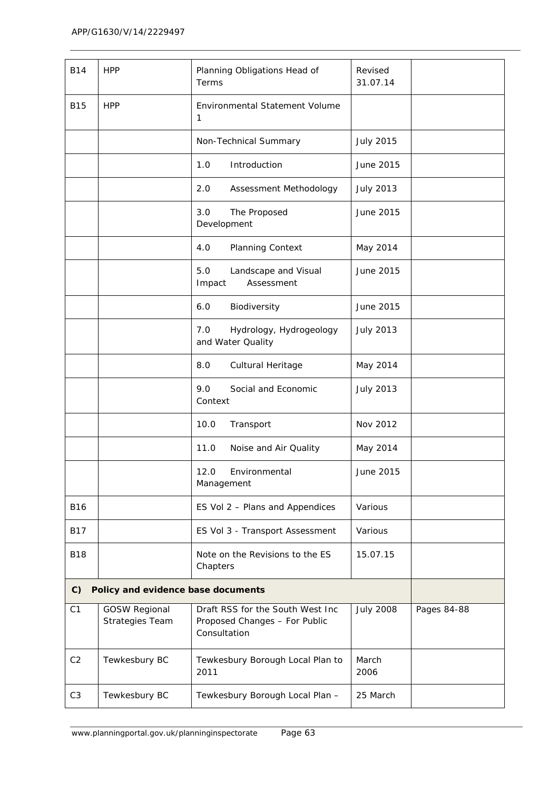| <b>B14</b>     | <b>HPP</b>                              | Planning Obligations Head of<br>Terms                                             | Revised<br>31.07.14 |             |
|----------------|-----------------------------------------|-----------------------------------------------------------------------------------|---------------------|-------------|
| <b>B15</b>     | <b>HPP</b>                              | Environmental Statement Volume<br>1                                               |                     |             |
|                |                                         | Non-Technical Summary                                                             | <b>July 2015</b>    |             |
|                |                                         | Introduction<br>1.0                                                               | June 2015           |             |
|                |                                         | 2.0<br>Assessment Methodology                                                     | <b>July 2013</b>    |             |
|                |                                         | 3.0<br>The Proposed<br>Development                                                | June 2015           |             |
|                |                                         | 4.0<br><b>Planning Context</b>                                                    | May 2014            |             |
|                |                                         | 5.0<br>Landscape and Visual<br>Impact<br>Assessment                               | June 2015           |             |
|                |                                         | 6.0<br>Biodiversity                                                               | June 2015           |             |
|                |                                         | 7.0<br>Hydrology, Hydrogeology<br>and Water Quality                               | <b>July 2013</b>    |             |
|                |                                         | 8.0<br>Cultural Heritage                                                          | May 2014            |             |
|                |                                         | 9.0<br>Social and Economic<br>Context                                             | <b>July 2013</b>    |             |
|                |                                         | 10.0<br>Transport                                                                 | Nov 2012            |             |
|                |                                         | 11.0<br>Noise and Air Quality                                                     | May 2014            |             |
|                |                                         | 12.0<br>Environmental<br>Management                                               | June 2015           |             |
| <b>B16</b>     |                                         | ES Vol 2 - Plans and Appendices                                                   | Various             |             |
| <b>B17</b>     |                                         | ES Vol 3 - Transport Assessment                                                   | Various             |             |
| <b>B18</b>     |                                         | Note on the Revisions to the ES<br>Chapters                                       | 15.07.15            |             |
| C              | Policy and evidence base documents      |                                                                                   |                     |             |
| C <sub>1</sub> | <b>GOSW Regional</b><br>Strategies Team | Draft RSS for the South West Inc<br>Proposed Changes - For Public<br>Consultation | <b>July 2008</b>    | Pages 84-88 |
| C <sub>2</sub> | Tewkesbury BC                           | Tewkesbury Borough Local Plan to<br>2011                                          | March<br>2006       |             |
| C <sub>3</sub> | Tewkesbury BC                           | Tewkesbury Borough Local Plan -                                                   | 25 March            |             |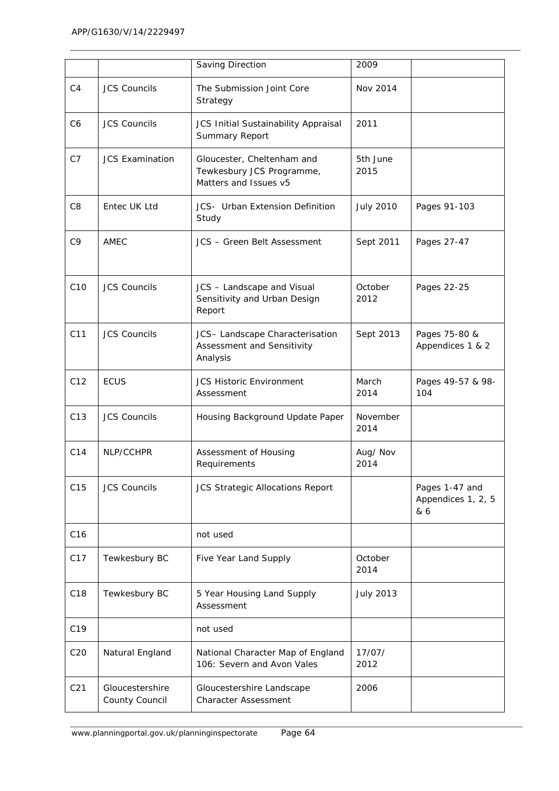|                 |                                   | Saving Direction                                                                 | 2009             |                                             |
|-----------------|-----------------------------------|----------------------------------------------------------------------------------|------------------|---------------------------------------------|
| C <sub>4</sub>  | <b>JCS Councils</b>               | The Submission Joint Core<br>Strategy                                            | Nov 2014         |                                             |
| C <sub>6</sub>  | <b>JCS Councils</b>               | JCS Initial Sustainability Appraisal<br>Summary Report                           | 2011             |                                             |
| C <sub>7</sub>  | <b>JCS Examination</b>            | Gloucester, Cheltenham and<br>Tewkesbury JCS Programme,<br>Matters and Issues v5 | 5th June<br>2015 |                                             |
| C <sub>8</sub>  | Entec UK Ltd                      | <b>JCS-</b> Urban Extension Definition<br>Study                                  | <b>July 2010</b> | Pages 91-103                                |
| C <sub>9</sub>  | AMEC                              | JCS - Green Belt Assessment                                                      | Sept 2011        | Pages 27-47                                 |
| C10             | <b>JCS Councils</b>               | JCS - Landscape and Visual<br>Sensitivity and Urban Design<br>Report             | October<br>2012  | Pages 22-25                                 |
| C11             | <b>JCS Councils</b>               | JCS- Landscape Characterisation<br>Assessment and Sensitivity<br>Analysis        | Sept 2013        | Pages 75-80 &<br>Appendices 1 & 2           |
| C12             | <b>ECUS</b>                       | <b>JCS Historic Environment</b><br>Assessment                                    | March<br>2014    | Pages 49-57 & 98-<br>104                    |
| C13             | <b>JCS Councils</b>               | Housing Background Update Paper                                                  | November<br>2014 |                                             |
| C14             | NLP/CCHPR                         | Assessment of Housing<br>Requirements                                            | Aug/ Nov<br>2014 |                                             |
| C15             | <b>JCS Councils</b>               | JCS Strategic Allocations Report                                                 |                  | Pages 1-47 and<br>Appendices 1, 2, 5<br>& 6 |
| C16             |                                   | not used                                                                         |                  |                                             |
| C17             | Tewkesbury BC                     | Five Year Land Supply                                                            | October<br>2014  |                                             |
| C18             | Tewkesbury BC                     | 5 Year Housing Land Supply<br>Assessment                                         | <b>July 2013</b> |                                             |
| C19             |                                   | not used                                                                         |                  |                                             |
| C20             | Natural England                   | National Character Map of England<br>106: Severn and Avon Vales                  | 17/07/<br>2012   |                                             |
| C <sub>21</sub> | Gloucestershire<br>County Council | Gloucestershire Landscape<br><b>Character Assessment</b>                         | 2006             |                                             |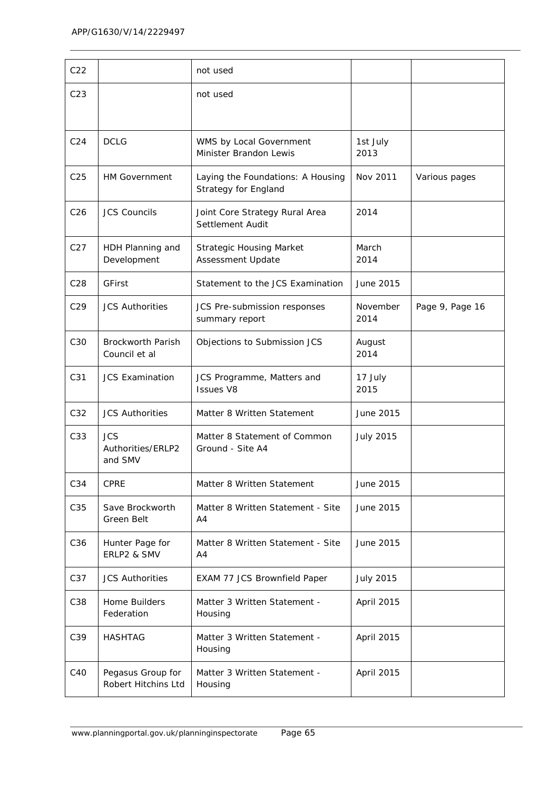| C <sub>22</sub> |                                            | not used                                                         |                  |                 |
|-----------------|--------------------------------------------|------------------------------------------------------------------|------------------|-----------------|
| C <sub>23</sub> |                                            | not used                                                         |                  |                 |
|                 |                                            |                                                                  |                  |                 |
| C <sub>24</sub> | <b>DCLG</b>                                | WMS by Local Government<br>Minister Brandon Lewis                | 1st July<br>2013 |                 |
| C <sub>25</sub> | <b>HM Government</b>                       | Laying the Foundations: A Housing<br><b>Strategy for England</b> | Nov 2011         | Various pages   |
| C <sub>26</sub> | <b>JCS Councils</b>                        | Joint Core Strategy Rural Area<br>Settlement Audit               | 2014             |                 |
| C <sub>27</sub> | HDH Planning and<br>Development            | <b>Strategic Housing Market</b><br>Assessment Update             | March<br>2014    |                 |
| C <sub>28</sub> | <b>GFirst</b>                              | Statement to the JCS Examination                                 | June 2015        |                 |
| C <sub>29</sub> | <b>JCS Authorities</b>                     | JCS Pre-submission responses<br>summary report                   | November<br>2014 | Page 9, Page 16 |
| C30             | <b>Brockworth Parish</b><br>Council et al  | Objections to Submission JCS                                     | August<br>2014   |                 |
| C31             | <b>JCS Examination</b>                     | JCS Programme, Matters and<br><b>Issues V8</b>                   | 17 July<br>2015  |                 |
| C <sub>32</sub> | <b>JCS Authorities</b>                     | Matter 8 Written Statement                                       | June 2015        |                 |
| C33             | <b>JCS</b><br>Authorities/ERLP2<br>and SMV | Matter 8 Statement of Common<br>Ground - Site A4                 | <b>July 2015</b> |                 |
| C34             | <b>CPRE</b>                                | Matter 8 Written Statement                                       | June 2015        |                 |
| C35             | Save Brockworth<br>Green Belt              | Matter 8 Written Statement - Site<br>A4                          | June 2015        |                 |
| C36             | Hunter Page for<br>ERLP2 & SMV             | Matter 8 Written Statement - Site<br>A <sub>4</sub>              | June 2015        |                 |
| C37             | <b>JCS Authorities</b>                     | EXAM 77 JCS Brownfield Paper                                     | <b>July 2015</b> |                 |
| C38             | Home Builders<br>Federation                | Matter 3 Written Statement -<br>Housing                          | April 2015       |                 |
| C39             | <b>HASHTAG</b>                             | Matter 3 Written Statement -<br>Housing                          | April 2015       |                 |
| C40             | Pegasus Group for<br>Robert Hitchins Ltd   | Matter 3 Written Statement -<br>Housing                          | April 2015       |                 |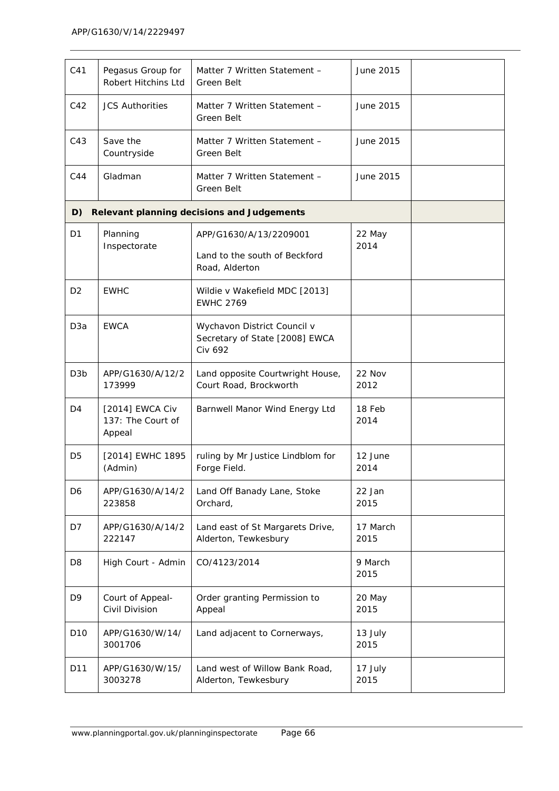| C <sub>41</sub>  | Pegasus Group for<br>Robert Hitchins Ltd       | Matter 7 Written Statement -<br><b>Green Belt</b>                               | June 2015        |  |
|------------------|------------------------------------------------|---------------------------------------------------------------------------------|------------------|--|
| C42              | <b>JCS Authorities</b>                         | Matter 7 Written Statement -<br>Green Belt                                      | June 2015        |  |
| C43              | Save the<br>Countryside                        | Matter 7 Written Statement -<br>Green Belt                                      | June 2015        |  |
| C44              | Gladman                                        | Matter 7 Written Statement -<br><b>Green Belt</b>                               | June 2015        |  |
| D)               |                                                | <b>Relevant planning decisions and Judgements</b>                               |                  |  |
| D <sub>1</sub>   | Planning                                       | APP/G1630/A/13/2209001                                                          | 22 May           |  |
|                  | Inspectorate                                   | Land to the south of Beckford<br>Road, Alderton                                 | 2014             |  |
| D <sub>2</sub>   | <b>EWHC</b>                                    | Wildie v Wakefield MDC [2013]<br><b>EWHC 2769</b>                               |                  |  |
| D <sub>3</sub> a | <b>EWCA</b>                                    | Wychavon District Council v<br>Secretary of State [2008] EWCA<br><b>Civ 692</b> |                  |  |
| D <sub>3</sub> b | APP/G1630/A/12/2<br>173999                     | Land opposite Courtwright House,<br>Court Road, Brockworth                      | 22 Nov<br>2012   |  |
| D4               | [2014] EWCA Civ<br>137: The Court of<br>Appeal | Barnwell Manor Wind Energy Ltd                                                  | 18 Feb<br>2014   |  |
| D <sub>5</sub>   | [2014] EWHC 1895<br>(Admin)                    | ruling by Mr Justice Lindblom for<br>Forge Field.                               | 12 June<br>2014  |  |
| D6               | APP/G1630/A/14/2<br>223858                     | Land Off Banady Lane, Stoke<br>Orchard,                                         | 22 Jan<br>2015   |  |
| D7               | APP/G1630/A/14/2<br>222147                     | Land east of St Margarets Drive,<br>Alderton, Tewkesbury                        | 17 March<br>2015 |  |
| D <sub>8</sub>   | High Court - Admin                             | CO/4123/2014                                                                    | 9 March<br>2015  |  |
| D <sub>9</sub>   | Court of Appeal-<br>Civil Division             | Order granting Permission to<br>Appeal                                          | 20 May<br>2015   |  |
| D <sub>10</sub>  | APP/G1630/W/14/<br>3001706                     | Land adjacent to Cornerways,                                                    | 13 July<br>2015  |  |
| D11              | APP/G1630/W/15/<br>3003278                     | Land west of Willow Bank Road,<br>Alderton, Tewkesbury                          | 17 July<br>2015  |  |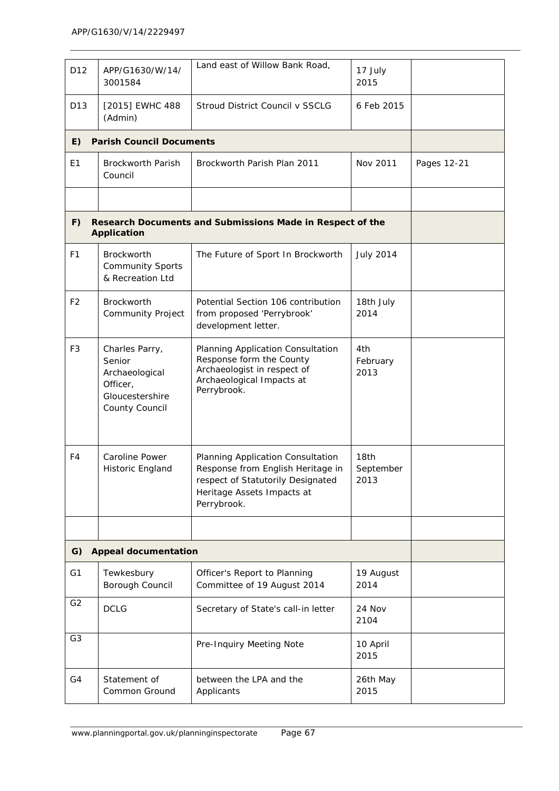| D <sub>12</sub> | APP/G1630/W/14/<br>3001584                                                                  | Land east of Willow Bank Road,                                                                                                                           | 17 July<br>2015                       |             |
|-----------------|---------------------------------------------------------------------------------------------|----------------------------------------------------------------------------------------------------------------------------------------------------------|---------------------------------------|-------------|
| D <sub>13</sub> | [2015] EWHC 488<br>(Admin)                                                                  | Stroud District Council v SSCLG                                                                                                                          | 6 Feb 2015                            |             |
| E)              | <b>Parish Council Documents</b>                                                             |                                                                                                                                                          |                                       |             |
| E1              | <b>Brockworth Parish</b><br>Council                                                         | Brockworth Parish Plan 2011                                                                                                                              | Nov 2011                              | Pages 12-21 |
|                 |                                                                                             |                                                                                                                                                          |                                       |             |
| F)              | <b>Application</b>                                                                          | Research Documents and Submissions Made in Respect of the                                                                                                |                                       |             |
| F <sub>1</sub>  | <b>Brockworth</b><br><b>Community Sports</b><br>& Recreation Ltd                            | The Future of Sport In Brockworth                                                                                                                        | <b>July 2014</b>                      |             |
| F <sub>2</sub>  | <b>Brockworth</b><br><b>Community Project</b>                                               | Potential Section 106 contribution<br>from proposed 'Perrybrook'<br>development letter.                                                                  | 18th July<br>2014                     |             |
| F <sub>3</sub>  | Charles Parry,<br>Senior<br>Archaeological<br>Officer,<br>Gloucestershire<br>County Council | Planning Application Consultation<br>Response form the County<br>Archaeologist in respect of<br>Archaeological Impacts at<br>Perrybrook.                 | 4th<br>February<br>2013               |             |
| F4              | <b>Caroline Power</b><br>Historic England                                                   | Planning Application Consultation<br>Response from English Heritage in<br>respect of Statutorily Designated<br>Heritage Assets Impacts at<br>Perrybrook. | 18 <sub>th</sub><br>September<br>2013 |             |
|                 |                                                                                             |                                                                                                                                                          |                                       |             |
| G)              | <b>Appeal documentation</b>                                                                 |                                                                                                                                                          |                                       |             |
| G <sub>1</sub>  | Tewkesbury<br>Borough Council                                                               | Officer's Report to Planning<br>Committee of 19 August 2014                                                                                              | 19 August<br>2014                     |             |
| G <sub>2</sub>  | <b>DCLG</b>                                                                                 | Secretary of State's call-in letter                                                                                                                      | 24 Nov<br>2104                        |             |
| G <sub>3</sub>  |                                                                                             | Pre-Inquiry Meeting Note                                                                                                                                 | 10 April<br>2015                      |             |
| G4              | Statement of<br>Common Ground                                                               | between the LPA and the<br>Applicants                                                                                                                    | 26th May<br>2015                      |             |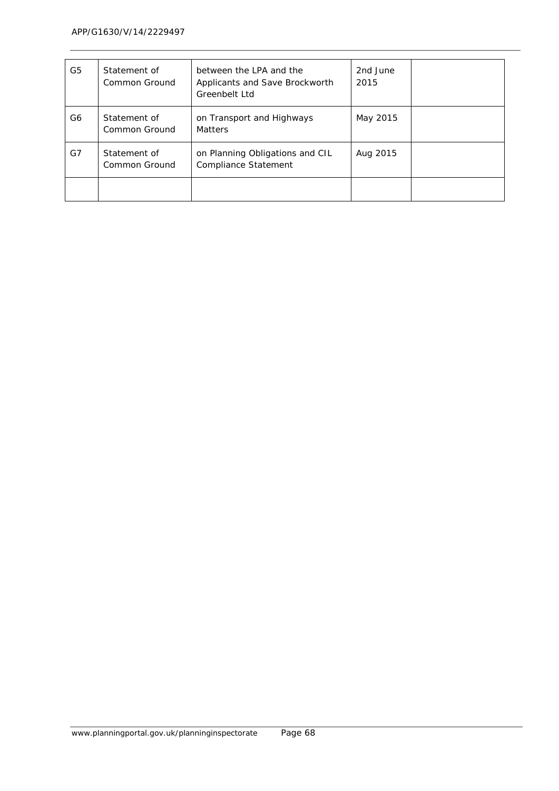| G5 | Statement of<br>Common Ground | between the LPA and the<br>Applicants and Save Brockworth<br>Greenbelt Ltd | 2nd June<br>2015 |  |
|----|-------------------------------|----------------------------------------------------------------------------|------------------|--|
| G6 | Statement of<br>Common Ground | on Transport and Highways<br><b>Matters</b>                                | May 2015         |  |
| G7 | Statement of<br>Common Ground | on Planning Obligations and CIL<br>Compliance Statement                    | Aug 2015         |  |
|    |                               |                                                                            |                  |  |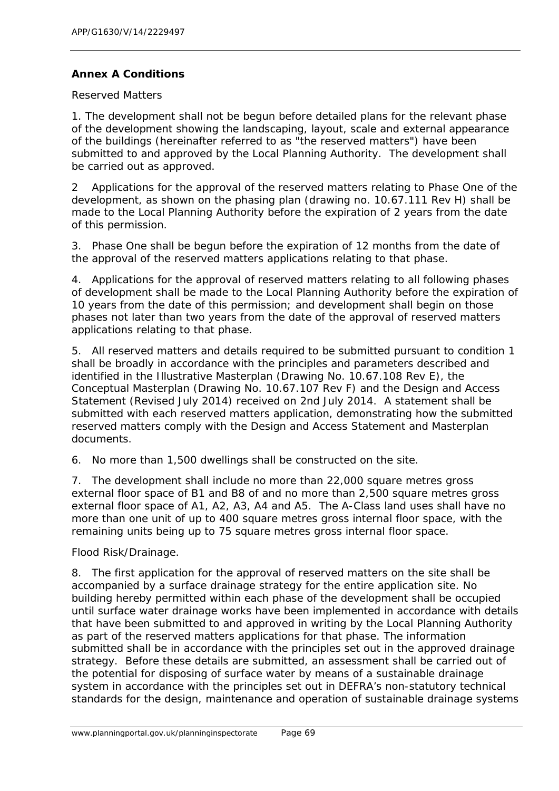### **Annex A Conditions**

Reserved Matters

1. The development shall not be begun before detailed plans for the relevant phase of the development showing the landscaping, layout, scale and external appearance of the buildings (hereinafter referred to as "the reserved matters") have been submitted to and approved by the Local Planning Authority. The development shall be carried out as approved.

2 Applications for the approval of the reserved matters relating to Phase One of the development, as shown on the phasing plan (drawing no. 10.67.111 Rev H) shall be made to the Local Planning Authority before the expiration of 2 years from the date of this permission.

3. Phase One shall be begun before the expiration of 12 months from the date of the approval of the reserved matters applications relating to that phase.

4. Applications for the approval of reserved matters relating to all following phases of development shall be made to the Local Planning Authority before the expiration of 10 years from the date of this permission; and development shall begin on those phases not later than two years from the date of the approval of reserved matters applications relating to that phase.

5. All reserved matters and details required to be submitted pursuant to condition 1 shall be broadly in accordance with the principles and parameters described and identified in the Illustrative Masterplan (Drawing No. 10.67.108 Rev E), the Conceptual Masterplan (Drawing No. 10.67.107 Rev F) and the Design and Access Statement (Revised July 2014) received on 2nd July 2014. A statement shall be submitted with each reserved matters application, demonstrating how the submitted reserved matters comply with the Design and Access Statement and Masterplan documents.

6. No more than 1,500 dwellings shall be constructed on the site.

7. The development shall include no more than 22,000 square metres gross external floor space of B1 and B8 of and no more than 2,500 square metres gross external floor space of A1, A2, A3, A4 and A5. The A-Class land uses shall have no more than one unit of up to 400 square metres gross internal floor space, with the remaining units being up to 75 square metres gross internal floor space.

Flood Risk/Drainage.

8. The first application for the approval of reserved matters on the site shall be accompanied by a surface drainage strategy for the entire application site. No building hereby permitted within each phase of the development shall be occupied until surface water drainage works have been implemented in accordance with details that have been submitted to and approved in writing by the Local Planning Authority as part of the reserved matters applications for that phase. The information submitted shall be in accordance with the principles set out in the approved drainage strategy. Before these details are submitted, an assessment shall be carried out of the potential for disposing of surface water by means of a sustainable drainage system in accordance with the principles set out in DEFRA's non-statutory technical standards for the design, maintenance and operation of sustainable drainage systems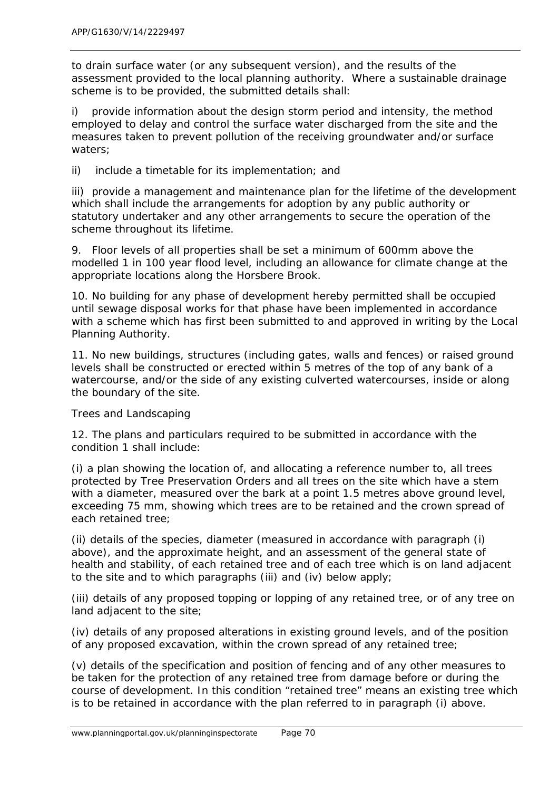to drain surface water (or any subsequent version), and the results of the assessment provided to the local planning authority. Where a sustainable drainage scheme is to be provided, the submitted details shall:

i) provide information about the design storm period and intensity, the method employed to delay and control the surface water discharged from the site and the measures taken to prevent pollution of the receiving groundwater and/or surface waters;

ii) include a timetable for its implementation; and

iii) provide a management and maintenance plan for the lifetime of the development which shall include the arrangements for adoption by any public authority or statutory undertaker and any other arrangements to secure the operation of the scheme throughout its lifetime.

9. Floor levels of all properties shall be set a minimum of 600mm above the modelled 1 in 100 year flood level, including an allowance for climate change at the appropriate locations along the Horsbere Brook.

10. No building for any phase of development hereby permitted shall be occupied until sewage disposal works for that phase have been implemented in accordance with a scheme which has first been submitted to and approved in writing by the Local Planning Authority.

11. No new buildings, structures (including gates, walls and fences) or raised ground levels shall be constructed or erected within 5 metres of the top of any bank of a watercourse, and/or the side of any existing culverted watercourses, inside or along the boundary of the site.

Trees and Landscaping

12. The plans and particulars required to be submitted in accordance with the condition 1 shall include:

(i) a plan showing the location of, and allocating a reference number to, all trees protected by Tree Preservation Orders and all trees on the site which have a stem with a diameter, measured over the bark at a point 1.5 metres above ground level, exceeding 75 mm, showing which trees are to be retained and the crown spread of each retained tree;

(ii) details of the species, diameter (measured in accordance with paragraph (i) above), and the approximate height, and an assessment of the general state of health and stability, of each retained tree and of each tree which is on land adjacent to the site and to which paragraphs (iii) and (iv) below apply;

(iii) details of any proposed topping or lopping of any retained tree, or of any tree on land adjacent to the site;

(iv) details of any proposed alterations in existing ground levels, and of the position of any proposed excavation, within the crown spread of any retained tree;

(v) details of the specification and position of fencing and of any other measures to be taken for the protection of any retained tree from damage before or during the course of development. In this condition "retained tree" means an existing tree which is to be retained in accordance with the plan referred to in paragraph (i) above.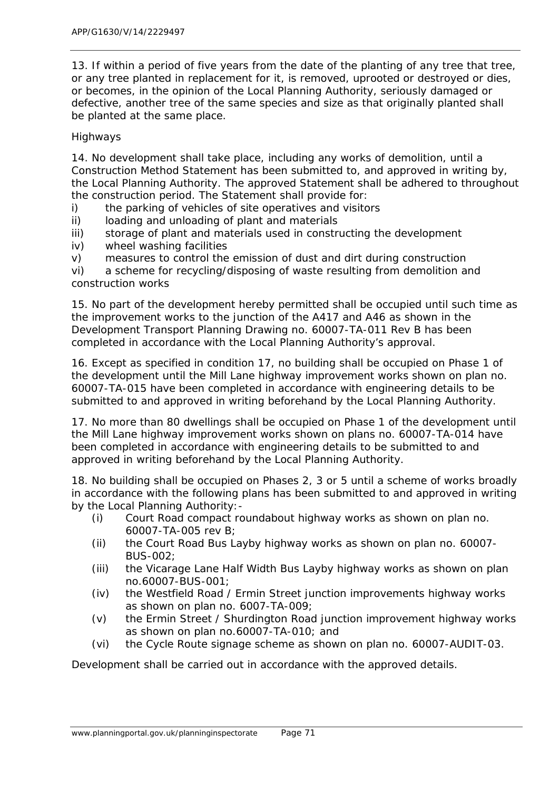13. If within a period of five years from the date of the planting of any tree that tree, or any tree planted in replacement for it, is removed, uprooted or destroyed or dies, or becomes, in the opinion of the Local Planning Authority, seriously damaged or defective, another tree of the same species and size as that originally planted shall be planted at the same place.

### Highways

14. No development shall take place, including any works of demolition, until a Construction Method Statement has been submitted to, and approved in writing by, the Local Planning Authority. The approved Statement shall be adhered to throughout the construction period. The Statement shall provide for:

i) the parking of vehicles of site operatives and visitors

ii) loading and unloading of plant and materials

iii) storage of plant and materials used in constructing the development

iv) wheel washing facilities

v) measures to control the emission of dust and dirt during construction

vi) a scheme for recycling/disposing of waste resulting from demolition and construction works

15. No part of the development hereby permitted shall be occupied until such time as the improvement works to the junction of the A417 and A46 as shown in the Development Transport Planning Drawing no. 60007-TA-011 Rev B has been completed in accordance with the Local Planning Authority's approval.

16. Except as specified in condition 17, no building shall be occupied on Phase 1 of the development until the Mill Lane highway improvement works shown on plan no. 60007-TA-015 have been completed in accordance with engineering details to be submitted to and approved in writing beforehand by the Local Planning Authority.

17. No more than 80 dwellings shall be occupied on Phase 1 of the development until the Mill Lane highway improvement works shown on plans no. 60007-TA-014 have been completed in accordance with engineering details to be submitted to and approved in writing beforehand by the Local Planning Authority.

18. No building shall be occupied on Phases 2, 3 or 5 until a scheme of works broadly in accordance with the following plans has been submitted to and approved in writing by the Local Planning Authority:-

- (i) Court Road compact roundabout highway works as shown on plan no. 60007-TA-005 rev B;
- (ii) the Court Road Bus Layby highway works as shown on plan no. 60007- BUS-002;
- (iii) the Vicarage Lane Half Width Bus Layby highway works as shown on plan no.60007-BUS-001;
- (iv) the Westfield Road / Ermin Street junction improvements highway works as shown on plan no. 6007-TA-009;
- (v) the Ermin Street / Shurdington Road junction improvement highway works as shown on plan no.60007-TA-010; and
- (vi) the Cycle Route signage scheme as shown on plan no. 60007-AUDIT-03.

Development shall be carried out in accordance with the approved details.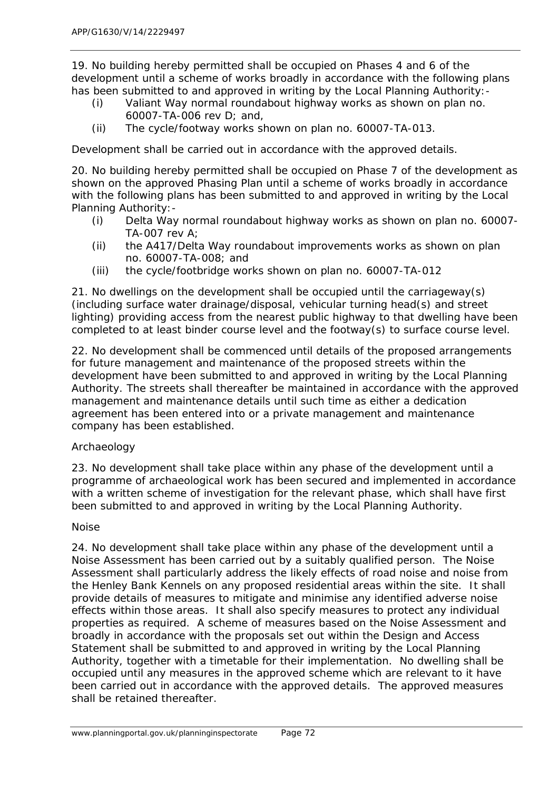19. No building hereby permitted shall be occupied on Phases 4 and 6 of the development until a scheme of works broadly in accordance with the following plans has been submitted to and approved in writing by the Local Planning Authority:-

- (i) Valiant Way normal roundabout highway works as shown on plan no. 60007-TA-006 rev D; and,
- (ii) The cycle/footway works shown on plan no. 60007-TA-013.

Development shall be carried out in accordance with the approved details.

20. No building hereby permitted shall be occupied on Phase 7 of the development as shown on the approved Phasing Plan until a scheme of works broadly in accordance with the following plans has been submitted to and approved in writing by the Local Planning Authority:-

- (i) Delta Way normal roundabout highway works as shown on plan no. 60007- TA-007 rev A;
- (ii) the A417/Delta Way roundabout improvements works as shown on plan no. 60007-TA-008; and
- (iii) the cycle/footbridge works shown on plan no. 60007-TA-012

21. No dwellings on the development shall be occupied until the carriageway(s) (including surface water drainage/disposal, vehicular turning head(s) and street lighting) providing access from the nearest public highway to that dwelling have been completed to at least binder course level and the footway(s) to surface course level.

22. No development shall be commenced until details of the proposed arrangements for future management and maintenance of the proposed streets within the development have been submitted to and approved in writing by the Local Planning Authority. The streets shall thereafter be maintained in accordance with the approved management and maintenance details until such time as either a dedication agreement has been entered into or a private management and maintenance company has been established.

### Archaeology

23. No development shall take place within any phase of the development until a programme of archaeological work has been secured and implemented in accordance with a written scheme of investigation for the relevant phase, which shall have first been submitted to and approved in writing by the Local Planning Authority.

### Noise

24. No development shall take place within any phase of the development until a Noise Assessment has been carried out by a suitably qualified person. The Noise Assessment shall particularly address the likely effects of road noise and noise from the Henley Bank Kennels on any proposed residential areas within the site. It shall provide details of measures to mitigate and minimise any identified adverse noise effects within those areas. It shall also specify measures to protect any individual properties as required. A scheme of measures based on the Noise Assessment and broadly in accordance with the proposals set out within the Design and Access Statement shall be submitted to and approved in writing by the Local Planning Authority, together with a timetable for their implementation. No dwelling shall be occupied until any measures in the approved scheme which are relevant to it have been carried out in accordance with the approved details. The approved measures shall be retained thereafter.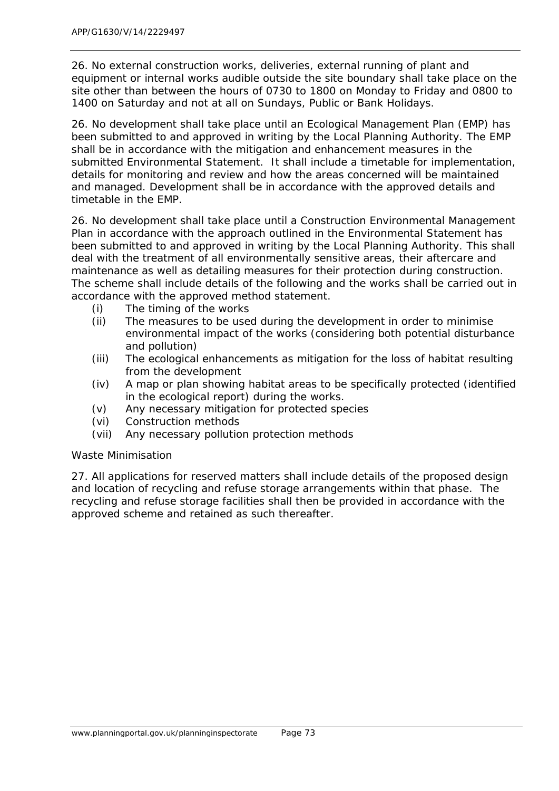26. No external construction works, deliveries, external running of plant and equipment or internal works audible outside the site boundary shall take place on the site other than between the hours of 0730 to 1800 on Monday to Friday and 0800 to 1400 on Saturday and not at all on Sundays, Public or Bank Holidays.

26. No development shall take place until an Ecological Management Plan (EMP) has been submitted to and approved in writing by the Local Planning Authority. The EMP shall be in accordance with the mitigation and enhancement measures in the submitted Environmental Statement. It shall include a timetable for implementation, details for monitoring and review and how the areas concerned will be maintained and managed. Development shall be in accordance with the approved details and timetable in the EMP.

26. No development shall take place until a Construction Environmental Management Plan in accordance with the approach outlined in the Environmental Statement has been submitted to and approved in writing by the Local Planning Authority. This shall deal with the treatment of all environmentally sensitive areas, their aftercare and maintenance as well as detailing measures for their protection during construction. The scheme shall include details of the following and the works shall be carried out in accordance with the approved method statement.

- (i) The timing of the works
- (ii) The measures to be used during the development in order to minimise environmental impact of the works (considering both potential disturbance and pollution)
- (iii) The ecological enhancements as mitigation for the loss of habitat resulting from the development
- (iv) A map or plan showing habitat areas to be specifically protected (identified in the ecological report) during the works.
- (v) Any necessary mitigation for protected species
- (vi) Construction methods
- (vii) Any necessary pollution protection methods

### Waste Minimisation

27. All applications for reserved matters shall include details of the proposed design and location of recycling and refuse storage arrangements within that phase. The recycling and refuse storage facilities shall then be provided in accordance with the approved scheme and retained as such thereafter.